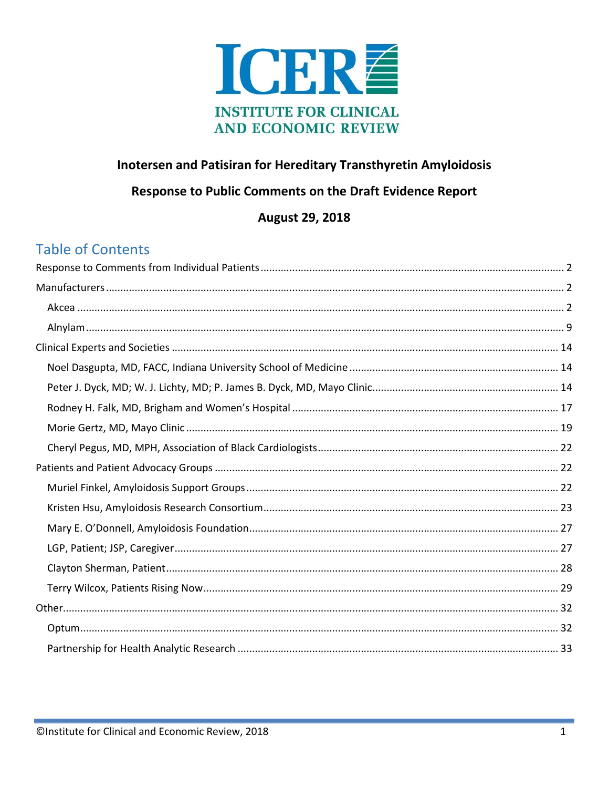

## Inotersen and Patisiran for Hereditary Transthyretin Amyloidosis

### Response to Public Comments on the Draft Evidence Report

### **August 29, 2018**

# **Table of Contents**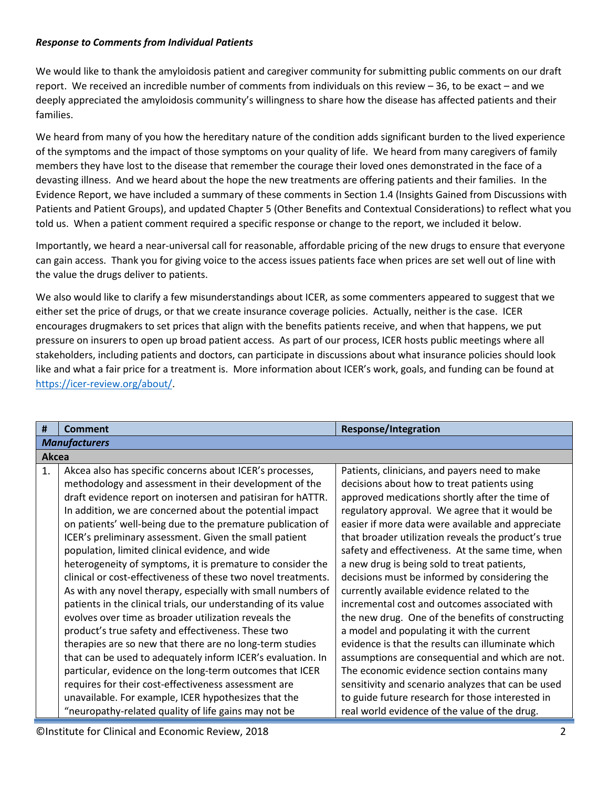#### <span id="page-1-0"></span>*Response to Comments from Individual Patients*

We would like to thank the amyloidosis patient and caregiver community for submitting public comments on our draft report. We received an incredible number of comments from individuals on this review – 36, to be exact – and we deeply appreciated the amyloidosis community's willingness to share how the disease has affected patients and their families.

We heard from many of you how the hereditary nature of the condition adds significant burden to the lived experience of the symptoms and the impact of those symptoms on your quality of life. We heard from many caregivers of family members they have lost to the disease that remember the courage their loved ones demonstrated in the face of a devasting illness. And we heard about the hope the new treatments are offering patients and their families. In the Evidence Report, we have included a summary of these comments in Section 1.4 (Insights Gained from Discussions with Patients and Patient Groups), and updated Chapter 5 (Other Benefits and Contextual Considerations) to reflect what you told us. When a patient comment required a specific response or change to the report, we included it below.

Importantly, we heard a near-universal call for reasonable, affordable pricing of the new drugs to ensure that everyone can gain access. Thank you for giving voice to the access issues patients face when prices are set well out of line with the value the drugs deliver to patients.

We also would like to clarify a few misunderstandings about ICER, as some commenters appeared to suggest that we either set the price of drugs, or that we create insurance coverage policies. Actually, neither is the case. ICER encourages drugmakers to set prices that align with the benefits patients receive, and when that happens, we put pressure on insurers to open up broad patient access. As part of our process, ICER hosts public meetings where all stakeholders, including patients and doctors, can participate in discussions about what insurance policies should look like and what a fair price for a treatment is. More information about ICER's work, goals, and funding can be found at [https://icer-review.org/about/.](https://icer-review.org/about/)

<span id="page-1-2"></span><span id="page-1-1"></span>

| #              | Comment                                                         | <b>Response/Integration</b>                         |  |
|----------------|-----------------------------------------------------------------|-----------------------------------------------------|--|
|                | <b>Manufacturers</b>                                            |                                                     |  |
| Akcea          |                                                                 |                                                     |  |
| $\mathbf{1}$ . | Akcea also has specific concerns about ICER's processes,        | Patients, clinicians, and payers need to make       |  |
|                | methodology and assessment in their development of the          | decisions about how to treat patients using         |  |
|                | draft evidence report on inotersen and patisiran for hATTR.     | approved medications shortly after the time of      |  |
|                | In addition, we are concerned about the potential impact        | regulatory approval. We agree that it would be      |  |
|                | on patients' well-being due to the premature publication of     | easier if more data were available and appreciate   |  |
|                | ICER's preliminary assessment. Given the small patient          | that broader utilization reveals the product's true |  |
|                | population, limited clinical evidence, and wide                 | safety and effectiveness. At the same time, when    |  |
|                | heterogeneity of symptoms, it is premature to consider the      | a new drug is being sold to treat patients,         |  |
|                | clinical or cost-effectiveness of these two novel treatments.   | decisions must be informed by considering the       |  |
|                | As with any novel therapy, especially with small numbers of     | currently available evidence related to the         |  |
|                | patients in the clinical trials, our understanding of its value | incremental cost and outcomes associated with       |  |
|                | evolves over time as broader utilization reveals the            | the new drug. One of the benefits of constructing   |  |
|                | product's true safety and effectiveness. These two              | a model and populating it with the current          |  |
|                | therapies are so new that there are no long-term studies        | evidence is that the results can illuminate which   |  |
|                | that can be used to adequately inform ICER's evaluation. In     | assumptions are consequential and which are not.    |  |
|                | particular, evidence on the long-term outcomes that ICER        | The economic evidence section contains many         |  |
|                | requires for their cost-effectiveness assessment are            | sensitivity and scenario analyzes that can be used  |  |
|                | unavailable. For example, ICER hypothesizes that the            | to guide future research for those interested in    |  |
|                | "neuropathy-related quality of life gains may not be            | real world evidence of the value of the drug.       |  |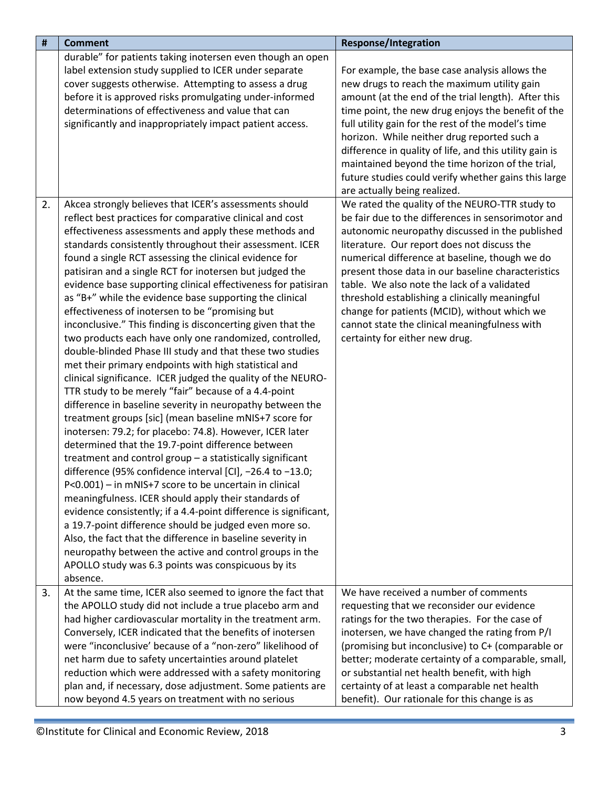| #  | <b>Comment</b>                                                                                                     | <b>Response/Integration</b>                             |
|----|--------------------------------------------------------------------------------------------------------------------|---------------------------------------------------------|
|    | durable" for patients taking inotersen even though an open                                                         |                                                         |
|    | label extension study supplied to ICER under separate                                                              | For example, the base case analysis allows the          |
|    | cover suggests otherwise. Attempting to assess a drug                                                              | new drugs to reach the maximum utility gain             |
|    | before it is approved risks promulgating under-informed                                                            | amount (at the end of the trial length). After this     |
|    | determinations of effectiveness and value that can                                                                 | time point, the new drug enjoys the benefit of the      |
|    | significantly and inappropriately impact patient access.                                                           | full utility gain for the rest of the model's time      |
|    |                                                                                                                    | horizon. While neither drug reported such a             |
|    |                                                                                                                    | difference in quality of life, and this utility gain is |
|    |                                                                                                                    | maintained beyond the time horizon of the trial,        |
|    |                                                                                                                    | future studies could verify whether gains this large    |
|    |                                                                                                                    | are actually being realized.                            |
| 2. | Akcea strongly believes that ICER's assessments should                                                             | We rated the quality of the NEURO-TTR study to          |
|    | reflect best practices for comparative clinical and cost                                                           | be fair due to the differences in sensorimotor and      |
|    | effectiveness assessments and apply these methods and                                                              | autonomic neuropathy discussed in the published         |
|    | standards consistently throughout their assessment. ICER                                                           | literature. Our report does not discuss the             |
|    | found a single RCT assessing the clinical evidence for                                                             | numerical difference at baseline, though we do          |
|    | patisiran and a single RCT for inotersen but judged the                                                            | present those data in our baseline characteristics      |
|    | evidence base supporting clinical effectiveness for patisiran                                                      | table. We also note the lack of a validated             |
|    | as "B+" while the evidence base supporting the clinical                                                            | threshold establishing a clinically meaningful          |
|    | effectiveness of inotersen to be "promising but                                                                    | change for patients (MCID), without which we            |
|    | inconclusive." This finding is disconcerting given that the                                                        | cannot state the clinical meaningfulness with           |
|    | two products each have only one randomized, controlled,                                                            | certainty for either new drug.                          |
|    | double-blinded Phase III study and that these two studies<br>met their primary endpoints with high statistical and |                                                         |
|    | clinical significance. ICER judged the quality of the NEURO-                                                       |                                                         |
|    | TTR study to be merely "fair" because of a 4.4-point                                                               |                                                         |
|    | difference in baseline severity in neuropathy between the                                                          |                                                         |
|    | treatment groups [sic] (mean baseline mNIS+7 score for                                                             |                                                         |
|    | inotersen: 79.2; for placebo: 74.8). However, ICER later                                                           |                                                         |
|    | determined that the 19.7-point difference between                                                                  |                                                         |
|    | treatment and control group - a statistically significant                                                          |                                                         |
|    | difference (95% confidence interval [CI], -26.4 to -13.0;                                                          |                                                         |
|    | P<0.001) - in mNIS+7 score to be uncertain in clinical                                                             |                                                         |
|    | meaningfulness. ICER should apply their standards of                                                               |                                                         |
|    | evidence consistently; if a 4.4-point difference is significant,                                                   |                                                         |
|    | a 19.7-point difference should be judged even more so.                                                             |                                                         |
|    | Also, the fact that the difference in baseline severity in                                                         |                                                         |
|    | neuropathy between the active and control groups in the                                                            |                                                         |
|    | APOLLO study was 6.3 points was conspicuous by its                                                                 |                                                         |
|    | absence.                                                                                                           |                                                         |
| 3. | At the same time, ICER also seemed to ignore the fact that                                                         | We have received a number of comments                   |
|    | the APOLLO study did not include a true placebo arm and                                                            | requesting that we reconsider our evidence              |
|    | had higher cardiovascular mortality in the treatment arm.                                                          | ratings for the two therapies. For the case of          |
|    | Conversely, ICER indicated that the benefits of inotersen                                                          | inotersen, we have changed the rating from P/I          |
|    | were "inconclusive' because of a "non-zero" likelihood of                                                          | (promising but inconclusive) to C+ (comparable or       |
|    | net harm due to safety uncertainties around platelet                                                               | better; moderate certainty of a comparable, small,      |
|    | reduction which were addressed with a safety monitoring                                                            | or substantial net health benefit, with high            |
|    | plan and, if necessary, dose adjustment. Some patients are                                                         | certainty of at least a comparable net health           |
|    | now beyond 4.5 years on treatment with no serious                                                                  | benefit). Our rationale for this change is as           |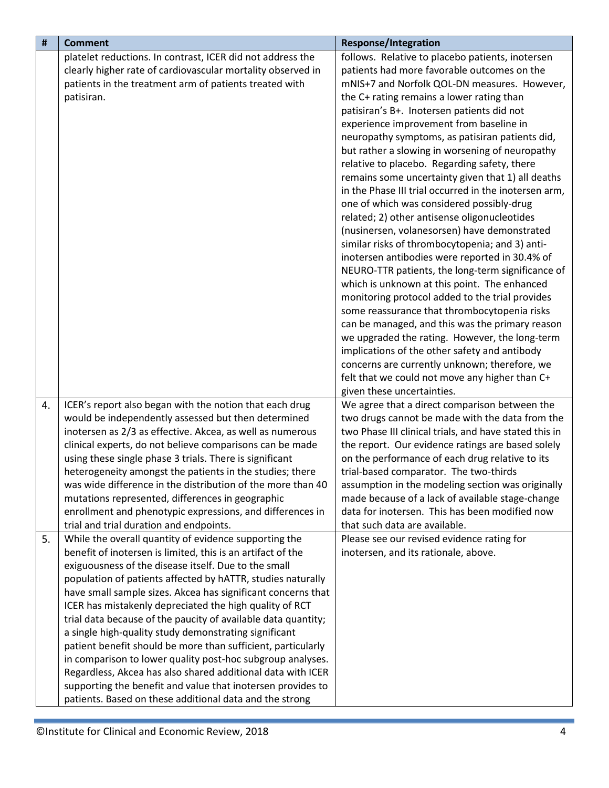| #  | <b>Comment</b>                                                | <b>Response/Integration</b>                            |
|----|---------------------------------------------------------------|--------------------------------------------------------|
|    | platelet reductions. In contrast, ICER did not address the    | follows. Relative to placebo patients, inotersen       |
|    | clearly higher rate of cardiovascular mortality observed in   | patients had more favorable outcomes on the            |
|    | patients in the treatment arm of patients treated with        | mNIS+7 and Norfolk QOL-DN measures. However,           |
|    | patisiran.                                                    | the C+ rating remains a lower rating than              |
|    |                                                               | patisiran's B+. Inotersen patients did not             |
|    |                                                               | experience improvement from baseline in                |
|    |                                                               | neuropathy symptoms, as patisiran patients did,        |
|    |                                                               | but rather a slowing in worsening of neuropathy        |
|    |                                                               | relative to placebo. Regarding safety, there           |
|    |                                                               | remains some uncertainty given that 1) all deaths      |
|    |                                                               | in the Phase III trial occurred in the inotersen arm,  |
|    |                                                               | one of which was considered possibly-drug              |
|    |                                                               | related; 2) other antisense oligonucleotides           |
|    |                                                               | (nusinersen, volanesorsen) have demonstrated           |
|    |                                                               | similar risks of thrombocytopenia; and 3) anti-        |
|    |                                                               | inotersen antibodies were reported in 30.4% of         |
|    |                                                               | NEURO-TTR patients, the long-term significance of      |
|    |                                                               | which is unknown at this point. The enhanced           |
|    |                                                               | monitoring protocol added to the trial provides        |
|    |                                                               | some reassurance that thrombocytopenia risks           |
|    |                                                               | can be managed, and this was the primary reason        |
|    |                                                               | we upgraded the rating. However, the long-term         |
|    |                                                               | implications of the other safety and antibody          |
|    |                                                               | concerns are currently unknown; therefore, we          |
|    |                                                               | felt that we could not move any higher than C+         |
|    |                                                               | given these uncertainties.                             |
| 4. | ICER's report also began with the notion that each drug       | We agree that a direct comparison between the          |
|    | would be independently assessed but then determined           | two drugs cannot be made with the data from the        |
|    | inotersen as 2/3 as effective. Akcea, as well as numerous     | two Phase III clinical trials, and have stated this in |
|    | clinical experts, do not believe comparisons can be made      | the report. Our evidence ratings are based solely      |
|    | using these single phase 3 trials. There is significant       | on the performance of each drug relative to its        |
|    | heterogeneity amongst the patients in the studies; there      | trial-based comparator. The two-thirds                 |
|    | was wide difference in the distribution of the more than 40   | assumption in the modeling section was originally      |
|    | mutations represented, differences in geographic              | made because of a lack of available stage-change       |
|    | enrollment and phenotypic expressions, and differences in     | data for inotersen. This has been modified now         |
|    | trial and trial duration and endpoints.                       | that such data are available.                          |
| 5. | While the overall quantity of evidence supporting the         | Please see our revised evidence rating for             |
|    | benefit of inotersen is limited, this is an artifact of the   | inotersen, and its rationale, above.                   |
|    | exiguousness of the disease itself. Due to the small          |                                                        |
|    | population of patients affected by hATTR, studies naturally   |                                                        |
|    | have small sample sizes. Akcea has significant concerns that  |                                                        |
|    | ICER has mistakenly depreciated the high quality of RCT       |                                                        |
|    | trial data because of the paucity of available data quantity; |                                                        |
|    | a single high-quality study demonstrating significant         |                                                        |
|    | patient benefit should be more than sufficient, particularly  |                                                        |
|    | in comparison to lower quality post-hoc subgroup analyses.    |                                                        |
|    | Regardless, Akcea has also shared additional data with ICER   |                                                        |
|    | supporting the benefit and value that inotersen provides to   |                                                        |
|    | patients. Based on these additional data and the strong       |                                                        |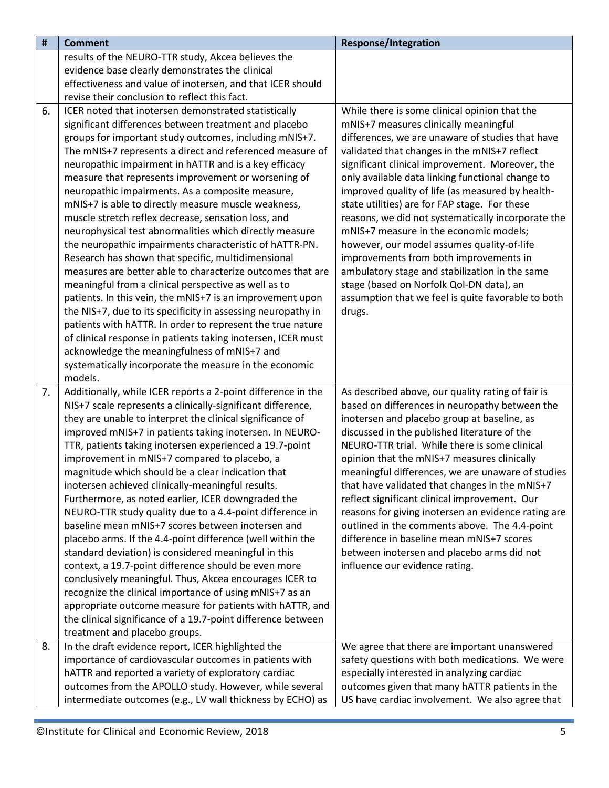| #  | <b>Comment</b>                                                                                                                                                                                                                                                                                                                                                                                                                                                                                                                                                                                                                                                                                                                                                                                                                                                                                                                                                                                                                                                                                                   | <b>Response/Integration</b>                                                                                                                                                                                                                                                                                                                                                                                                                                                                                                                                                                                                                                                                     |
|----|------------------------------------------------------------------------------------------------------------------------------------------------------------------------------------------------------------------------------------------------------------------------------------------------------------------------------------------------------------------------------------------------------------------------------------------------------------------------------------------------------------------------------------------------------------------------------------------------------------------------------------------------------------------------------------------------------------------------------------------------------------------------------------------------------------------------------------------------------------------------------------------------------------------------------------------------------------------------------------------------------------------------------------------------------------------------------------------------------------------|-------------------------------------------------------------------------------------------------------------------------------------------------------------------------------------------------------------------------------------------------------------------------------------------------------------------------------------------------------------------------------------------------------------------------------------------------------------------------------------------------------------------------------------------------------------------------------------------------------------------------------------------------------------------------------------------------|
|    | results of the NEURO-TTR study, Akcea believes the                                                                                                                                                                                                                                                                                                                                                                                                                                                                                                                                                                                                                                                                                                                                                                                                                                                                                                                                                                                                                                                               |                                                                                                                                                                                                                                                                                                                                                                                                                                                                                                                                                                                                                                                                                                 |
|    | evidence base clearly demonstrates the clinical                                                                                                                                                                                                                                                                                                                                                                                                                                                                                                                                                                                                                                                                                                                                                                                                                                                                                                                                                                                                                                                                  |                                                                                                                                                                                                                                                                                                                                                                                                                                                                                                                                                                                                                                                                                                 |
|    | effectiveness and value of inotersen, and that ICER should                                                                                                                                                                                                                                                                                                                                                                                                                                                                                                                                                                                                                                                                                                                                                                                                                                                                                                                                                                                                                                                       |                                                                                                                                                                                                                                                                                                                                                                                                                                                                                                                                                                                                                                                                                                 |
|    | revise their conclusion to reflect this fact.                                                                                                                                                                                                                                                                                                                                                                                                                                                                                                                                                                                                                                                                                                                                                                                                                                                                                                                                                                                                                                                                    |                                                                                                                                                                                                                                                                                                                                                                                                                                                                                                                                                                                                                                                                                                 |
| 6. | ICER noted that inotersen demonstrated statistically<br>significant differences between treatment and placebo                                                                                                                                                                                                                                                                                                                                                                                                                                                                                                                                                                                                                                                                                                                                                                                                                                                                                                                                                                                                    | While there is some clinical opinion that the<br>mNIS+7 measures clinically meaningful                                                                                                                                                                                                                                                                                                                                                                                                                                                                                                                                                                                                          |
|    | groups for important study outcomes, including mNIS+7.<br>The mNIS+7 represents a direct and referenced measure of<br>neuropathic impairment in hATTR and is a key efficacy<br>measure that represents improvement or worsening of<br>neuropathic impairments. As a composite measure,<br>mNIS+7 is able to directly measure muscle weakness,<br>muscle stretch reflex decrease, sensation loss, and<br>neurophysical test abnormalities which directly measure<br>the neuropathic impairments characteristic of hATTR-PN.<br>Research has shown that specific, multidimensional<br>measures are better able to characterize outcomes that are<br>meaningful from a clinical perspective as well as to<br>patients. In this vein, the mNIS+7 is an improvement upon<br>the NIS+7, due to its specificity in assessing neuropathy in<br>patients with hATTR. In order to represent the true nature<br>of clinical response in patients taking inotersen, ICER must<br>acknowledge the meaningfulness of mNIS+7 and                                                                                                | differences, we are unaware of studies that have<br>validated that changes in the mNIS+7 reflect<br>significant clinical improvement. Moreover, the<br>only available data linking functional change to<br>improved quality of life (as measured by health-<br>state utilities) are for FAP stage. For these<br>reasons, we did not systematically incorporate the<br>mNIS+7 measure in the economic models;<br>however, our model assumes quality-of-life<br>improvements from both improvements in<br>ambulatory stage and stabilization in the same<br>stage (based on Norfolk Qol-DN data), an<br>assumption that we feel is quite favorable to both<br>drugs.                              |
|    | systematically incorporate the measure in the economic<br>models.                                                                                                                                                                                                                                                                                                                                                                                                                                                                                                                                                                                                                                                                                                                                                                                                                                                                                                                                                                                                                                                |                                                                                                                                                                                                                                                                                                                                                                                                                                                                                                                                                                                                                                                                                                 |
| 7. | Additionally, while ICER reports a 2-point difference in the<br>NIS+7 scale represents a clinically-significant difference,<br>they are unable to interpret the clinical significance of<br>improved mNIS+7 in patients taking inotersen. In NEURO-<br>TTR, patients taking inotersen experienced a 19.7-point<br>improvement in mNIS+7 compared to placebo, a<br>magnitude which should be a clear indication that<br>inotersen achieved clinically-meaningful results.<br>Furthermore, as noted earlier, ICER downgraded the<br>NEURO-TTR study quality due to a 4.4-point difference in<br>baseline mean mNIS+7 scores between inotersen and<br>placebo arms. If the 4.4-point difference (well within the<br>standard deviation) is considered meaningful in this<br>context, a 19.7-point difference should be even more<br>conclusively meaningful. Thus, Akcea encourages ICER to<br>recognize the clinical importance of using mNIS+7 as an<br>appropriate outcome measure for patients with hATTR, and<br>the clinical significance of a 19.7-point difference between<br>treatment and placebo groups. | As described above, our quality rating of fair is<br>based on differences in neuropathy between the<br>inotersen and placebo group at baseline, as<br>discussed in the published literature of the<br>NEURO-TTR trial. While there is some clinical<br>opinion that the mNIS+7 measures clinically<br>meaningful differences, we are unaware of studies<br>that have validated that changes in the mNIS+7<br>reflect significant clinical improvement. Our<br>reasons for giving inotersen an evidence rating are<br>outlined in the comments above. The 4.4-point<br>difference in baseline mean mNIS+7 scores<br>between inotersen and placebo arms did not<br>influence our evidence rating. |
| 8. | In the draft evidence report, ICER highlighted the<br>importance of cardiovascular outcomes in patients with<br>hATTR and reported a variety of exploratory cardiac<br>outcomes from the APOLLO study. However, while several<br>intermediate outcomes (e.g., LV wall thickness by ECHO) as                                                                                                                                                                                                                                                                                                                                                                                                                                                                                                                                                                                                                                                                                                                                                                                                                      | We agree that there are important unanswered<br>safety questions with both medications. We were<br>especially interested in analyzing cardiac<br>outcomes given that many hATTR patients in the<br>US have cardiac involvement. We also agree that                                                                                                                                                                                                                                                                                                                                                                                                                                              |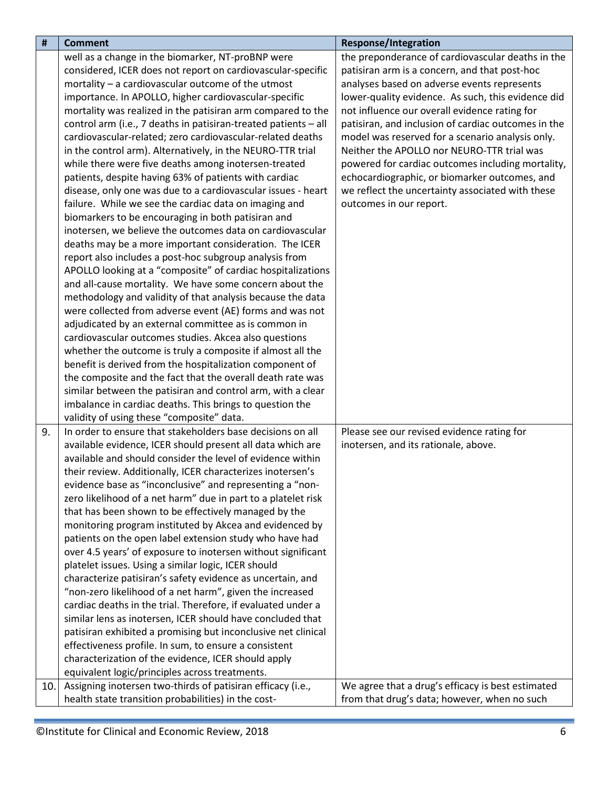| $\pmb{\sharp}$ | <b>Comment</b>                                                                                                     | <b>Response/Integration</b>                         |
|----------------|--------------------------------------------------------------------------------------------------------------------|-----------------------------------------------------|
|                | well as a change in the biomarker, NT-proBNP were                                                                  | the preponderance of cardiovascular deaths in the   |
|                | considered, ICER does not report on cardiovascular-specific                                                        | patisiran arm is a concern, and that post-hoc       |
|                | mortality - a cardiovascular outcome of the utmost                                                                 | analyses based on adverse events represents         |
|                | importance. In APOLLO, higher cardiovascular-specific                                                              | lower-quality evidence. As such, this evidence did  |
|                | mortality was realized in the patisiran arm compared to the                                                        | not influence our overall evidence rating for       |
|                | control arm (i.e., 7 deaths in patisiran-treated patients - all                                                    | patisiran, and inclusion of cardiac outcomes in the |
|                | cardiovascular-related; zero cardiovascular-related deaths                                                         | model was reserved for a scenario analysis only.    |
|                | in the control arm). Alternatively, in the NEURO-TTR trial                                                         | Neither the APOLLO nor NEURO-TTR trial was          |
|                | while there were five deaths among inotersen-treated                                                               | powered for cardiac outcomes including mortality,   |
|                | patients, despite having 63% of patients with cardiac                                                              | echocardiographic, or biomarker outcomes, and       |
|                | disease, only one was due to a cardiovascular issues - heart                                                       | we reflect the uncertainty associated with these    |
|                | failure. While we see the cardiac data on imaging and                                                              | outcomes in our report.                             |
|                | biomarkers to be encouraging in both patisiran and                                                                 |                                                     |
|                | inotersen, we believe the outcomes data on cardiovascular                                                          |                                                     |
|                | deaths may be a more important consideration. The ICER                                                             |                                                     |
|                | report also includes a post-hoc subgroup analysis from                                                             |                                                     |
|                | APOLLO looking at a "composite" of cardiac hospitalizations                                                        |                                                     |
|                | and all-cause mortality. We have some concern about the                                                            |                                                     |
|                | methodology and validity of that analysis because the data                                                         |                                                     |
|                | were collected from adverse event (AE) forms and was not                                                           |                                                     |
|                | adjudicated by an external committee as is common in                                                               |                                                     |
|                | cardiovascular outcomes studies. Akcea also questions                                                              |                                                     |
|                | whether the outcome is truly a composite if almost all the                                                         |                                                     |
|                | benefit is derived from the hospitalization component of                                                           |                                                     |
|                | the composite and the fact that the overall death rate was                                                         |                                                     |
|                | similar between the patisiran and control arm, with a clear                                                        |                                                     |
|                | imbalance in cardiac deaths. This brings to question the                                                           |                                                     |
|                | validity of using these "composite" data.                                                                          |                                                     |
| 9.             | In order to ensure that stakeholders base decisions on all                                                         | Please see our revised evidence rating for          |
|                | available evidence, ICER should present all data which are                                                         | inotersen, and its rationale, above.                |
|                | available and should consider the level of evidence within                                                         |                                                     |
|                | their review. Additionally, ICER characterizes inotersen's                                                         |                                                     |
|                | evidence base as "inconclusive" and representing a "non-                                                           |                                                     |
|                | zero likelihood of a net harm" due in part to a platelet risk                                                      |                                                     |
|                | that has been shown to be effectively managed by the                                                               |                                                     |
|                | monitoring program instituted by Akcea and evidenced by                                                            |                                                     |
|                | patients on the open label extension study who have had                                                            |                                                     |
|                | over 4.5 years' of exposure to inotersen without significant                                                       |                                                     |
|                | platelet issues. Using a similar logic, ICER should                                                                |                                                     |
|                | characterize patisiran's safety evidence as uncertain, and                                                         |                                                     |
|                | "non-zero likelihood of a net harm", given the increased                                                           |                                                     |
|                | cardiac deaths in the trial. Therefore, if evaluated under a                                                       |                                                     |
|                | similar lens as inotersen, ICER should have concluded that                                                         |                                                     |
|                | patisiran exhibited a promising but inconclusive net clinical                                                      |                                                     |
|                | effectiveness profile. In sum, to ensure a consistent                                                              |                                                     |
|                | characterization of the evidence, ICER should apply                                                                |                                                     |
|                | equivalent logic/principles across treatments.                                                                     |                                                     |
| 10.            | Assigning inotersen two-thirds of patisiran efficacy (i.e.,<br>health state transition probabilities) in the cost- | We agree that a drug's efficacy is best estimated   |
|                |                                                                                                                    | from that drug's data; however, when no such        |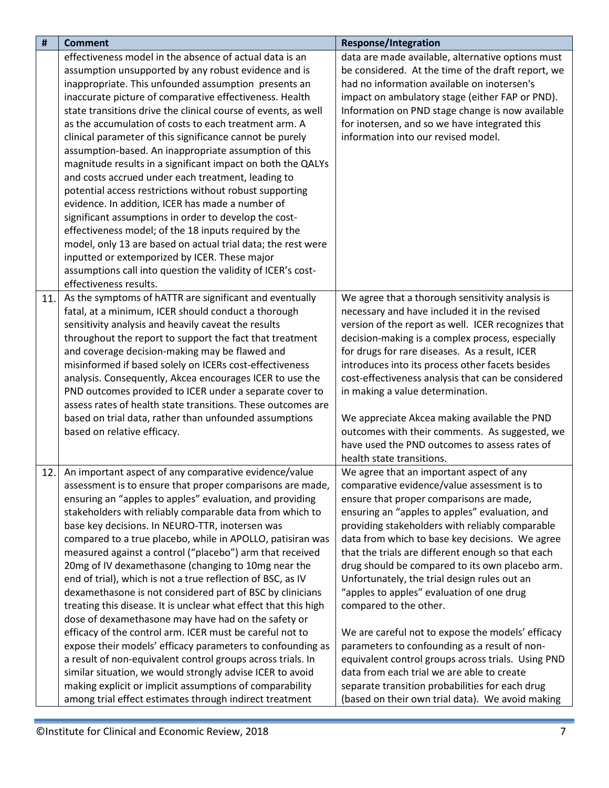| $\pmb{\sharp}$ | <b>Comment</b>                                                                                                                                                                                                                                                                                                                                                                                                                                                                                                                                                                                                                                                                                                                                                                                                                                                                                                                                                                                                                                                                                                    | <b>Response/Integration</b>                                                                                                                                                                                                                                                                                                                                                                                                                                                                                                                                                                                                                                                                                                                                                                                                                 |
|----------------|-------------------------------------------------------------------------------------------------------------------------------------------------------------------------------------------------------------------------------------------------------------------------------------------------------------------------------------------------------------------------------------------------------------------------------------------------------------------------------------------------------------------------------------------------------------------------------------------------------------------------------------------------------------------------------------------------------------------------------------------------------------------------------------------------------------------------------------------------------------------------------------------------------------------------------------------------------------------------------------------------------------------------------------------------------------------------------------------------------------------|---------------------------------------------------------------------------------------------------------------------------------------------------------------------------------------------------------------------------------------------------------------------------------------------------------------------------------------------------------------------------------------------------------------------------------------------------------------------------------------------------------------------------------------------------------------------------------------------------------------------------------------------------------------------------------------------------------------------------------------------------------------------------------------------------------------------------------------------|
|                | effectiveness model in the absence of actual data is an<br>assumption unsupported by any robust evidence and is<br>inappropriate. This unfounded assumption presents an<br>inaccurate picture of comparative effectiveness. Health<br>state transitions drive the clinical course of events, as well<br>as the accumulation of costs to each treatment arm. A<br>clinical parameter of this significance cannot be purely<br>assumption-based. An inappropriate assumption of this<br>magnitude results in a significant impact on both the QALYs<br>and costs accrued under each treatment, leading to<br>potential access restrictions without robust supporting<br>evidence. In addition, ICER has made a number of<br>significant assumptions in order to develop the cost-<br>effectiveness model; of the 18 inputs required by the<br>model, only 13 are based on actual trial data; the rest were<br>inputted or extemporized by ICER. These major<br>assumptions call into question the validity of ICER's cost-<br>effectiveness results.                                                                | data are made available, alternative options must<br>be considered. At the time of the draft report, we<br>had no information available on inotersen's<br>impact on ambulatory stage (either FAP or PND).<br>Information on PND stage change is now available<br>for inotersen, and so we have integrated this<br>information into our revised model.                                                                                                                                                                                                                                                                                                                                                                                                                                                                                       |
| 11.            | As the symptoms of hATTR are significant and eventually<br>fatal, at a minimum, ICER should conduct a thorough<br>sensitivity analysis and heavily caveat the results<br>throughout the report to support the fact that treatment<br>and coverage decision-making may be flawed and<br>misinformed if based solely on ICERs cost-effectiveness<br>analysis. Consequently, Akcea encourages ICER to use the<br>PND outcomes provided to ICER under a separate cover to<br>assess rates of health state transitions. These outcomes are<br>based on trial data, rather than unfounded assumptions<br>based on relative efficacy.                                                                                                                                                                                                                                                                                                                                                                                                                                                                                    | We agree that a thorough sensitivity analysis is<br>necessary and have included it in the revised<br>version of the report as well. ICER recognizes that<br>decision-making is a complex process, especially<br>for drugs for rare diseases. As a result, ICER<br>introduces into its process other facets besides<br>cost-effectiveness analysis that can be considered<br>in making a value determination.<br>We appreciate Akcea making available the PND<br>outcomes with their comments. As suggested, we<br>have used the PND outcomes to assess rates of<br>health state transitions.                                                                                                                                                                                                                                                |
| 12.            | An important aspect of any comparative evidence/value<br>assessment is to ensure that proper comparisons are made,<br>ensuring an "apples to apples" evaluation, and providing<br>stakeholders with reliably comparable data from which to<br>base key decisions. In NEURO-TTR, inotersen was<br>compared to a true placebo, while in APOLLO, patisiran was<br>measured against a control ("placebo") arm that received<br>20mg of IV dexamethasone (changing to 10mg near the<br>end of trial), which is not a true reflection of BSC, as IV<br>dexamethasone is not considered part of BSC by clinicians<br>treating this disease. It is unclear what effect that this high<br>dose of dexamethasone may have had on the safety or<br>efficacy of the control arm. ICER must be careful not to<br>expose their models' efficacy parameters to confounding as<br>a result of non-equivalent control groups across trials. In<br>similar situation, we would strongly advise ICER to avoid<br>making explicit or implicit assumptions of comparability<br>among trial effect estimates through indirect treatment | We agree that an important aspect of any<br>comparative evidence/value assessment is to<br>ensure that proper comparisons are made,<br>ensuring an "apples to apples" evaluation, and<br>providing stakeholders with reliably comparable<br>data from which to base key decisions. We agree<br>that the trials are different enough so that each<br>drug should be compared to its own placebo arm.<br>Unfortunately, the trial design rules out an<br>"apples to apples" evaluation of one drug<br>compared to the other.<br>We are careful not to expose the models' efficacy<br>parameters to confounding as a result of non-<br>equivalent control groups across trials. Using PND<br>data from each trial we are able to create<br>separate transition probabilities for each drug<br>(based on their own trial data). We avoid making |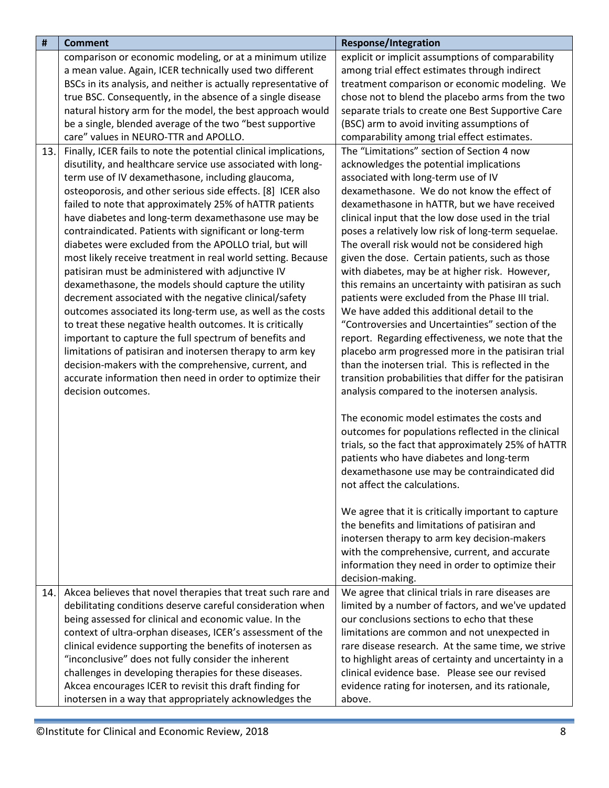| #   | <b>Comment</b>                                                                  | <b>Response/Integration</b>                                                                              |
|-----|---------------------------------------------------------------------------------|----------------------------------------------------------------------------------------------------------|
|     | comparison or economic modeling, or at a minimum utilize                        | explicit or implicit assumptions of comparability                                                        |
|     | a mean value. Again, ICER technically used two different                        | among trial effect estimates through indirect                                                            |
|     | BSCs in its analysis, and neither is actually representative of                 | treatment comparison or economic modeling. We                                                            |
|     | true BSC. Consequently, in the absence of a single disease                      | chose not to blend the placebo arms from the two                                                         |
|     | natural history arm for the model, the best approach would                      | separate trials to create one Best Supportive Care                                                       |
|     | be a single, blended average of the two "best supportive                        | (BSC) arm to avoid inviting assumptions of                                                               |
|     | care" values in NEURO-TTR and APOLLO.                                           | comparability among trial effect estimates.                                                              |
| 13. | Finally, ICER fails to note the potential clinical implications,                | The "Limitations" section of Section 4 now                                                               |
|     | disutility, and healthcare service use associated with long-                    | acknowledges the potential implications                                                                  |
|     | term use of IV dexamethasone, including glaucoma,                               | associated with long-term use of IV                                                                      |
|     | osteoporosis, and other serious side effects. [8] ICER also                     | dexamethasone. We do not know the effect of                                                              |
|     | failed to note that approximately 25% of hATTR patients                         | dexamethasone in hATTR, but we have received                                                             |
|     | have diabetes and long-term dexamethasone use may be                            | clinical input that the low dose used in the trial                                                       |
|     | contraindicated. Patients with significant or long-term                         | poses a relatively low risk of long-term sequelae.                                                       |
|     | diabetes were excluded from the APOLLO trial, but will                          | The overall risk would not be considered high                                                            |
|     | most likely receive treatment in real world setting. Because                    | given the dose. Certain patients, such as those                                                          |
|     | patisiran must be administered with adjunctive IV                               | with diabetes, may be at higher risk. However,                                                           |
|     | dexamethasone, the models should capture the utility                            | this remains an uncertainty with patisiran as such                                                       |
|     | decrement associated with the negative clinical/safety                          | patients were excluded from the Phase III trial.                                                         |
|     | outcomes associated its long-term use, as well as the costs                     | We have added this additional detail to the                                                              |
|     | to treat these negative health outcomes. It is critically                       | "Controversies and Uncertainties" section of the                                                         |
|     | important to capture the full spectrum of benefits and                          | report. Regarding effectiveness, we note that the                                                        |
|     | limitations of patisiran and inotersen therapy to arm key                       | placebo arm progressed more in the patisiran trial<br>than the inotersen trial. This is reflected in the |
|     | decision-makers with the comprehensive, current, and                            |                                                                                                          |
|     | accurate information then need in order to optimize their<br>decision outcomes. | transition probabilities that differ for the patisiran<br>analysis compared to the inotersen analysis.   |
|     |                                                                                 |                                                                                                          |
|     |                                                                                 | The economic model estimates the costs and                                                               |
|     |                                                                                 | outcomes for populations reflected in the clinical                                                       |
|     |                                                                                 | trials, so the fact that approximately 25% of hATTR                                                      |
|     |                                                                                 | patients who have diabetes and long-term                                                                 |
|     |                                                                                 | dexamethasone use may be contraindicated did                                                             |
|     |                                                                                 | not affect the calculations.                                                                             |
|     |                                                                                 |                                                                                                          |
|     |                                                                                 | We agree that it is critically important to capture                                                      |
|     |                                                                                 | the benefits and limitations of patisiran and                                                            |
|     |                                                                                 | inotersen therapy to arm key decision-makers                                                             |
|     |                                                                                 | with the comprehensive, current, and accurate                                                            |
|     |                                                                                 | information they need in order to optimize their                                                         |
|     |                                                                                 | decision-making.                                                                                         |
| 14. | Akcea believes that novel therapies that treat such rare and                    | We agree that clinical trials in rare diseases are                                                       |
|     | debilitating conditions deserve careful consideration when                      | limited by a number of factors, and we've updated                                                        |
|     | being assessed for clinical and economic value. In the                          | our conclusions sections to echo that these                                                              |
|     | context of ultra-orphan diseases, ICER's assessment of the                      | limitations are common and not unexpected in                                                             |
|     | clinical evidence supporting the benefits of inotersen as                       | rare disease research. At the same time, we strive                                                       |
|     | "inconclusive" does not fully consider the inherent                             | to highlight areas of certainty and uncertainty in a                                                     |
|     | challenges in developing therapies for these diseases.                          | clinical evidence base. Please see our revised                                                           |
|     | Akcea encourages ICER to revisit this draft finding for                         | evidence rating for inotersen, and its rationale,                                                        |
|     | inotersen in a way that appropriately acknowledges the                          | above.                                                                                                   |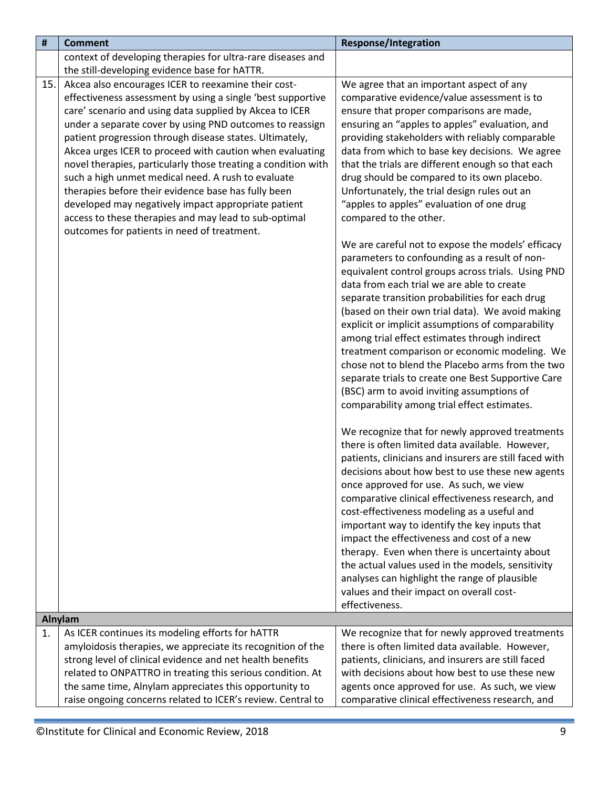<span id="page-8-0"></span>

| #   | <b>Comment</b>                                                | <b>Response/Integration</b>                                                                        |
|-----|---------------------------------------------------------------|----------------------------------------------------------------------------------------------------|
|     | context of developing therapies for ultra-rare diseases and   |                                                                                                    |
|     | the still-developing evidence base for hATTR.                 |                                                                                                    |
| 15. | Akcea also encourages ICER to reexamine their cost-           | We agree that an important aspect of any                                                           |
|     | effectiveness assessment by using a single 'best supportive   | comparative evidence/value assessment is to                                                        |
|     | care' scenario and using data supplied by Akcea to ICER       | ensure that proper comparisons are made,                                                           |
|     | under a separate cover by using PND outcomes to reassign      | ensuring an "apples to apples" evaluation, and                                                     |
|     | patient progression through disease states. Ultimately,       | providing stakeholders with reliably comparable                                                    |
|     | Akcea urges ICER to proceed with caution when evaluating      | data from which to base key decisions. We agree                                                    |
|     | novel therapies, particularly those treating a condition with | that the trials are different enough so that each                                                  |
|     | such a high unmet medical need. A rush to evaluate            | drug should be compared to its own placebo.                                                        |
|     | therapies before their evidence base has fully been           | Unfortunately, the trial design rules out an                                                       |
|     | developed may negatively impact appropriate patient           | "apples to apples" evaluation of one drug                                                          |
|     | access to these therapies and may lead to sub-optimal         | compared to the other.                                                                             |
|     | outcomes for patients in need of treatment.                   |                                                                                                    |
|     |                                                               | We are careful not to expose the models' efficacy                                                  |
|     |                                                               | parameters to confounding as a result of non-                                                      |
|     |                                                               | equivalent control groups across trials. Using PND                                                 |
|     |                                                               | data from each trial we are able to create                                                         |
|     |                                                               | separate transition probabilities for each drug                                                    |
|     |                                                               | (based on their own trial data). We avoid making                                                   |
|     |                                                               | explicit or implicit assumptions of comparability<br>among trial effect estimates through indirect |
|     |                                                               | treatment comparison or economic modeling. We                                                      |
|     |                                                               | chose not to blend the Placebo arms from the two                                                   |
|     |                                                               | separate trials to create one Best Supportive Care                                                 |
|     |                                                               | (BSC) arm to avoid inviting assumptions of                                                         |
|     |                                                               | comparability among trial effect estimates.                                                        |
|     |                                                               |                                                                                                    |
|     |                                                               | We recognize that for newly approved treatments                                                    |
|     |                                                               | there is often limited data available. However,                                                    |
|     |                                                               | patients, clinicians and insurers are still faced with                                             |
|     |                                                               | decisions about how best to use these new agents                                                   |
|     |                                                               | once approved for use. As such, we view                                                            |
|     |                                                               | comparative clinical effectiveness research, and                                                   |
|     |                                                               | cost-effectiveness modeling as a useful and                                                        |
|     |                                                               | important way to identify the key inputs that                                                      |
|     |                                                               | impact the effectiveness and cost of a new                                                         |
|     |                                                               | therapy. Even when there is uncertainty about                                                      |
|     |                                                               | the actual values used in the models, sensitivity                                                  |
|     |                                                               | analyses can highlight the range of plausible                                                      |
|     |                                                               | values and their impact on overall cost-                                                           |
|     |                                                               | effectiveness.                                                                                     |
|     | Alnylam                                                       |                                                                                                    |
| 1.  | As ICER continues its modeling efforts for hATTR              | We recognize that for newly approved treatments                                                    |
|     | amyloidosis therapies, we appreciate its recognition of the   | there is often limited data available. However,                                                    |
|     | strong level of clinical evidence and net health benefits     | patients, clinicians, and insurers are still faced                                                 |
|     | related to ONPATTRO in treating this serious condition. At    | with decisions about how best to use these new                                                     |
|     | the same time, Alnylam appreciates this opportunity to        | agents once approved for use. As such, we view                                                     |
|     | raise ongoing concerns related to ICER's review. Central to   | comparative clinical effectiveness research, and                                                   |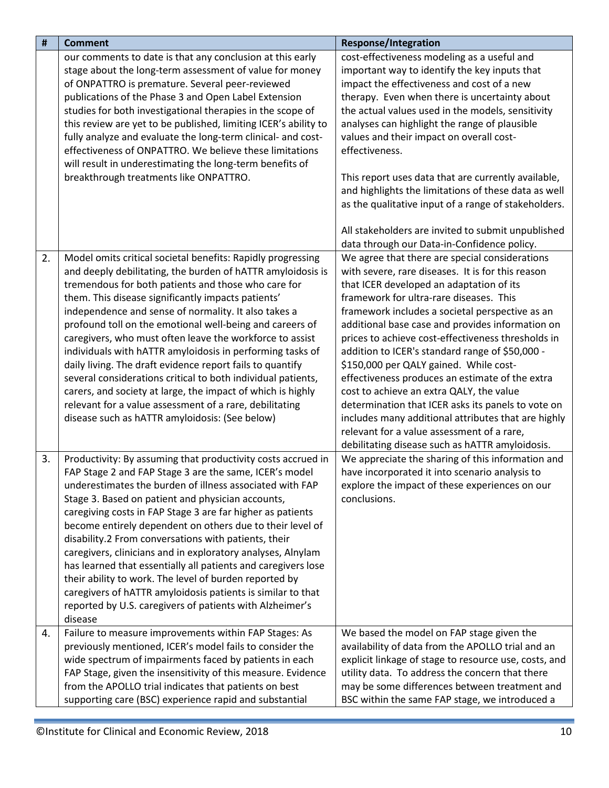| $\pmb{\sharp}$ | <b>Comment</b>                                                                                                                                                                                                                                                                                                                                                                                                                                                                                                                                                                                                                                                                                                                                                                                | <b>Response/Integration</b>                                                                                                                                                                                                                                                                                                                                                                                                                                                                                                                                                                                                                                                                                                                                       |
|----------------|-----------------------------------------------------------------------------------------------------------------------------------------------------------------------------------------------------------------------------------------------------------------------------------------------------------------------------------------------------------------------------------------------------------------------------------------------------------------------------------------------------------------------------------------------------------------------------------------------------------------------------------------------------------------------------------------------------------------------------------------------------------------------------------------------|-------------------------------------------------------------------------------------------------------------------------------------------------------------------------------------------------------------------------------------------------------------------------------------------------------------------------------------------------------------------------------------------------------------------------------------------------------------------------------------------------------------------------------------------------------------------------------------------------------------------------------------------------------------------------------------------------------------------------------------------------------------------|
|                | our comments to date is that any conclusion at this early<br>stage about the long-term assessment of value for money<br>of ONPATTRO is premature. Several peer-reviewed<br>publications of the Phase 3 and Open Label Extension<br>studies for both investigational therapies in the scope of<br>this review are yet to be published, limiting ICER's ability to<br>fully analyze and evaluate the long-term clinical- and cost-<br>effectiveness of ONPATTRO. We believe these limitations<br>will result in underestimating the long-term benefits of<br>breakthrough treatments like ONPATTRO.                                                                                                                                                                                             | cost-effectiveness modeling as a useful and<br>important way to identify the key inputs that<br>impact the effectiveness and cost of a new<br>therapy. Even when there is uncertainty about<br>the actual values used in the models, sensitivity<br>analyses can highlight the range of plausible<br>values and their impact on overall cost-<br>effectiveness.<br>This report uses data that are currently available,<br>and highlights the limitations of these data as well<br>as the qualitative input of a range of stakeholders.                                                                                                                                                                                                                            |
|                |                                                                                                                                                                                                                                                                                                                                                                                                                                                                                                                                                                                                                                                                                                                                                                                               | All stakeholders are invited to submit unpublished<br>data through our Data-in-Confidence policy.                                                                                                                                                                                                                                                                                                                                                                                                                                                                                                                                                                                                                                                                 |
| 2.             | Model omits critical societal benefits: Rapidly progressing<br>and deeply debilitating, the burden of hATTR amyloidosis is<br>tremendous for both patients and those who care for<br>them. This disease significantly impacts patients'<br>independence and sense of normality. It also takes a<br>profound toll on the emotional well-being and careers of<br>caregivers, who must often leave the workforce to assist<br>individuals with hATTR amyloidosis in performing tasks of<br>daily living. The draft evidence report fails to quantify<br>several considerations critical to both individual patients,<br>carers, and society at large, the impact of which is highly<br>relevant for a value assessment of a rare, debilitating<br>disease such as hATTR amyloidosis: (See below) | We agree that there are special considerations<br>with severe, rare diseases. It is for this reason<br>that ICER developed an adaptation of its<br>framework for ultra-rare diseases. This<br>framework includes a societal perspective as an<br>additional base case and provides information on<br>prices to achieve cost-effectiveness thresholds in<br>addition to ICER's standard range of \$50,000 -<br>\$150,000 per QALY gained. While cost-<br>effectiveness produces an estimate of the extra<br>cost to achieve an extra QALY, the value<br>determination that ICER asks its panels to vote on<br>includes many additional attributes that are highly<br>relevant for a value assessment of a rare,<br>debilitating disease such as hATTR amyloidosis. |
| 3.             | Productivity: By assuming that productivity costs accrued in<br>FAP Stage 2 and FAP Stage 3 are the same, ICER's model<br>underestimates the burden of illness associated with FAP<br>Stage 3. Based on patient and physician accounts,<br>caregiving costs in FAP Stage 3 are far higher as patients<br>become entirely dependent on others due to their level of<br>disability.2 From conversations with patients, their<br>caregivers, clinicians and in exploratory analyses, Alnylam<br>has learned that essentially all patients and caregivers lose<br>their ability to work. The level of burden reported by<br>caregivers of hATTR amyloidosis patients is similar to that<br>reported by U.S. caregivers of patients with Alzheimer's<br>disease                                    | We appreciate the sharing of this information and<br>have incorporated it into scenario analysis to<br>explore the impact of these experiences on our<br>conclusions.                                                                                                                                                                                                                                                                                                                                                                                                                                                                                                                                                                                             |
| 4.             | Failure to measure improvements within FAP Stages: As<br>previously mentioned, ICER's model fails to consider the<br>wide spectrum of impairments faced by patients in each<br>FAP Stage, given the insensitivity of this measure. Evidence<br>from the APOLLO trial indicates that patients on best<br>supporting care (BSC) experience rapid and substantial                                                                                                                                                                                                                                                                                                                                                                                                                                | We based the model on FAP stage given the<br>availability of data from the APOLLO trial and an<br>explicit linkage of stage to resource use, costs, and<br>utility data. To address the concern that there<br>may be some differences between treatment and<br>BSC within the same FAP stage, we introduced a                                                                                                                                                                                                                                                                                                                                                                                                                                                     |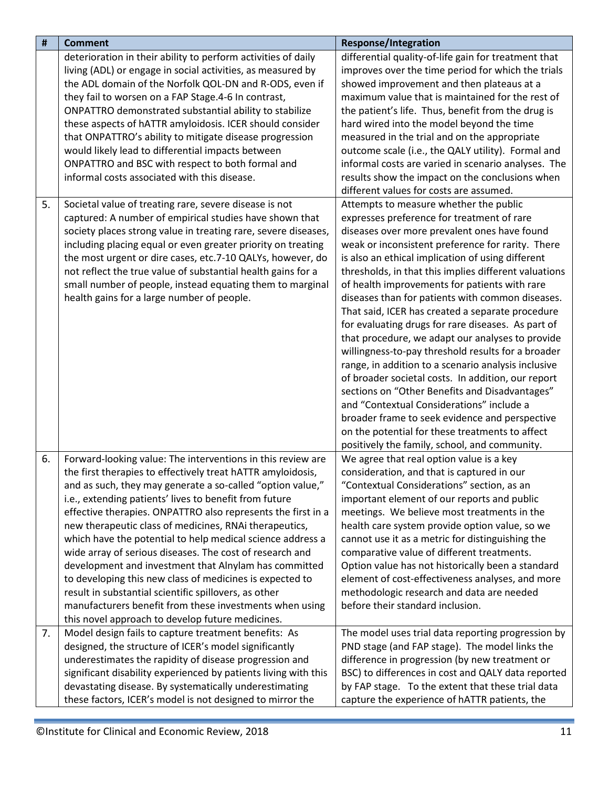| #  | <b>Comment</b>                                                  | <b>Response/Integration</b>                           |
|----|-----------------------------------------------------------------|-------------------------------------------------------|
|    | deterioration in their ability to perform activities of daily   | differential quality-of-life gain for treatment that  |
|    | living (ADL) or engage in social activities, as measured by     | improves over the time period for which the trials    |
|    | the ADL domain of the Norfolk QOL-DN and R-ODS, even if         | showed improvement and then plateaus at a             |
|    | they fail to worsen on a FAP Stage.4-6 In contrast,             | maximum value that is maintained for the rest of      |
|    | ONPATTRO demonstrated substantial ability to stabilize          | the patient's life. Thus, benefit from the drug is    |
|    | these aspects of hATTR amyloidosis. ICER should consider        | hard wired into the model beyond the time             |
|    | that ONPATTRO's ability to mitigate disease progression         | measured in the trial and on the appropriate          |
|    | would likely lead to differential impacts between               | outcome scale (i.e., the QALY utility). Formal and    |
|    | ONPATTRO and BSC with respect to both formal and                | informal costs are varied in scenario analyses. The   |
|    | informal costs associated with this disease.                    | results show the impact on the conclusions when       |
|    |                                                                 | different values for costs are assumed.               |
|    |                                                                 |                                                       |
| 5. | Societal value of treating rare, severe disease is not          | Attempts to measure whether the public                |
|    | captured: A number of empirical studies have shown that         | expresses preference for treatment of rare            |
|    | society places strong value in treating rare, severe diseases,  | diseases over more prevalent ones have found          |
|    | including placing equal or even greater priority on treating    | weak or inconsistent preference for rarity. There     |
|    | the most urgent or dire cases, etc.7-10 QALYs, however, do      | is also an ethical implication of using different     |
|    | not reflect the true value of substantial health gains for a    | thresholds, in that this implies different valuations |
|    | small number of people, instead equating them to marginal       | of health improvements for patients with rare         |
|    | health gains for a large number of people.                      | diseases than for patients with common diseases.      |
|    |                                                                 | That said, ICER has created a separate procedure      |
|    |                                                                 | for evaluating drugs for rare diseases. As part of    |
|    |                                                                 | that procedure, we adapt our analyses to provide      |
|    |                                                                 | willingness-to-pay threshold results for a broader    |
|    |                                                                 | range, in addition to a scenario analysis inclusive   |
|    |                                                                 | of broader societal costs. In addition, our report    |
|    |                                                                 | sections on "Other Benefits and Disadvantages"        |
|    |                                                                 | and "Contextual Considerations" include a             |
|    |                                                                 | broader frame to seek evidence and perspective        |
|    |                                                                 | on the potential for these treatments to affect       |
|    |                                                                 | positively the family, school, and community.         |
| 6. | Forward-looking value: The interventions in this review are     | We agree that real option value is a key              |
|    | the first therapies to effectively treat hATTR amyloidosis,     | consideration, and that is captured in our            |
|    | and as such, they may generate a so-called "option value,"      | "Contextual Considerations" section, as an            |
|    | i.e., extending patients' lives to benefit from future          | important element of our reports and public           |
|    | effective therapies. ONPATTRO also represents the first in a    | meetings. We believe most treatments in the           |
|    | new therapeutic class of medicines, RNAi therapeutics,          | health care system provide option value, so we        |
|    | which have the potential to help medical science address a      | cannot use it as a metric for distinguishing the      |
|    | wide array of serious diseases. The cost of research and        | comparative value of different treatments.            |
|    | development and investment that Alnylam has committed           | Option value has not historically been a standard     |
|    | to developing this new class of medicines is expected to        | element of cost-effectiveness analyses, and more      |
|    | result in substantial scientific spillovers, as other           | methodologic research and data are needed             |
|    | manufacturers benefit from these investments when using         | before their standard inclusion.                      |
|    | this novel approach to develop future medicines.                |                                                       |
| 7. | Model design fails to capture treatment benefits: As            | The model uses trial data reporting progression by    |
|    | designed, the structure of ICER's model significantly           | PND stage (and FAP stage). The model links the        |
|    | underestimates the rapidity of disease progression and          | difference in progression (by new treatment or        |
|    | significant disability experienced by patients living with this | BSC) to differences in cost and QALY data reported    |
|    | devastating disease. By systematically underestimating          | by FAP stage. To the extent that these trial data     |
|    | these factors, ICER's model is not designed to mirror the       | capture the experience of hATTR patients, the         |
|    |                                                                 |                                                       |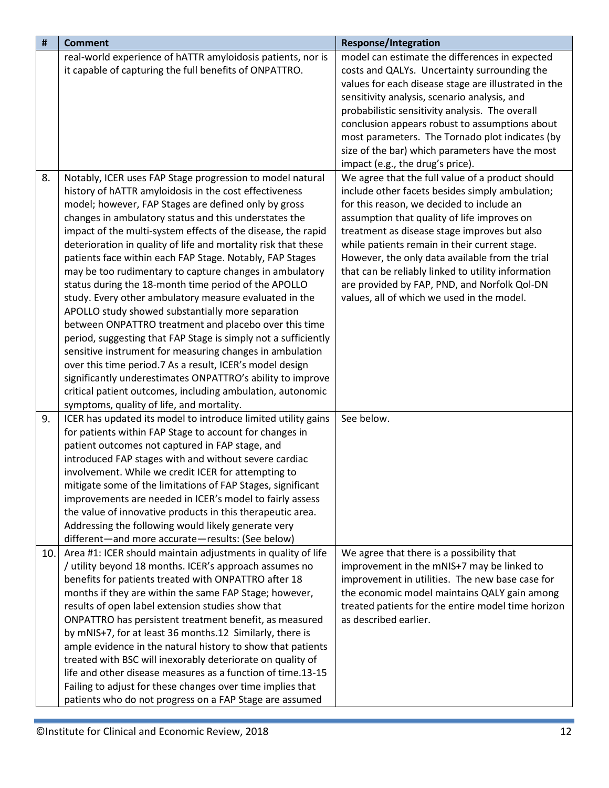| #   | <b>Comment</b>                                                 | <b>Response/Integration</b>                          |
|-----|----------------------------------------------------------------|------------------------------------------------------|
|     | real-world experience of hATTR amyloidosis patients, nor is    | model can estimate the differences in expected       |
|     | it capable of capturing the full benefits of ONPATTRO.         | costs and QALYs. Uncertainty surrounding the         |
|     |                                                                | values for each disease stage are illustrated in the |
|     |                                                                | sensitivity analysis, scenario analysis, and         |
|     |                                                                | probabilistic sensitivity analysis. The overall      |
|     |                                                                | conclusion appears robust to assumptions about       |
|     |                                                                | most parameters. The Tornado plot indicates (by      |
|     |                                                                | size of the bar) which parameters have the most      |
|     |                                                                | impact (e.g., the drug's price).                     |
| 8.  | Notably, ICER uses FAP Stage progression to model natural      | We agree that the full value of a product should     |
|     | history of hATTR amyloidosis in the cost effectiveness         | include other facets besides simply ambulation;      |
|     | model; however, FAP Stages are defined only by gross           | for this reason, we decided to include an            |
|     | changes in ambulatory status and this understates the          | assumption that quality of life improves on          |
|     | impact of the multi-system effects of the disease, the rapid   | treatment as disease stage improves but also         |
|     | deterioration in quality of life and mortality risk that these | while patients remain in their current stage.        |
|     | patients face within each FAP Stage. Notably, FAP Stages       | However, the only data available from the trial      |
|     | may be too rudimentary to capture changes in ambulatory        | that can be reliably linked to utility information   |
|     | status during the 18-month time period of the APOLLO           | are provided by FAP, PND, and Norfolk Qol-DN         |
|     | study. Every other ambulatory measure evaluated in the         | values, all of which we used in the model.           |
|     | APOLLO study showed substantially more separation              |                                                      |
|     | between ONPATTRO treatment and placebo over this time          |                                                      |
|     | period, suggesting that FAP Stage is simply not a sufficiently |                                                      |
|     | sensitive instrument for measuring changes in ambulation       |                                                      |
|     | over this time period.7 As a result, ICER's model design       |                                                      |
|     | significantly underestimates ONPATTRO's ability to improve     |                                                      |
|     | critical patient outcomes, including ambulation, autonomic     |                                                      |
|     | symptoms, quality of life, and mortality.                      |                                                      |
| 9.  | ICER has updated its model to introduce limited utility gains  | See below.                                           |
|     | for patients within FAP Stage to account for changes in        |                                                      |
|     | patient outcomes not captured in FAP stage, and                |                                                      |
|     | introduced FAP stages with and without severe cardiac          |                                                      |
|     | involvement. While we credit ICER for attempting to            |                                                      |
|     | mitigate some of the limitations of FAP Stages, significant    |                                                      |
|     | improvements are needed in ICER's model to fairly assess       |                                                      |
|     | the value of innovative products in this therapeutic area.     |                                                      |
|     | Addressing the following would likely generate very            |                                                      |
|     | different-and more accurate-results: (See below)               |                                                      |
| 10. | Area #1: ICER should maintain adjustments in quality of life   | We agree that there is a possibility that            |
|     | / utility beyond 18 months. ICER's approach assumes no         | improvement in the mNIS+7 may be linked to           |
|     | benefits for patients treated with ONPATTRO after 18           | improvement in utilities. The new base case for      |
|     | months if they are within the same FAP Stage; however,         | the economic model maintains QALY gain among         |
|     | results of open label extension studies show that              | treated patients for the entire model time horizon   |
|     | ONPATTRO has persistent treatment benefit, as measured         | as described earlier.                                |
|     | by mNIS+7, for at least 36 months.12 Similarly, there is       |                                                      |
|     | ample evidence in the natural history to show that patients    |                                                      |
|     | treated with BSC will inexorably deteriorate on quality of     |                                                      |
|     | life and other disease measures as a function of time.13-15    |                                                      |
|     | Failing to adjust for these changes over time implies that     |                                                      |
|     | patients who do not progress on a FAP Stage are assumed        |                                                      |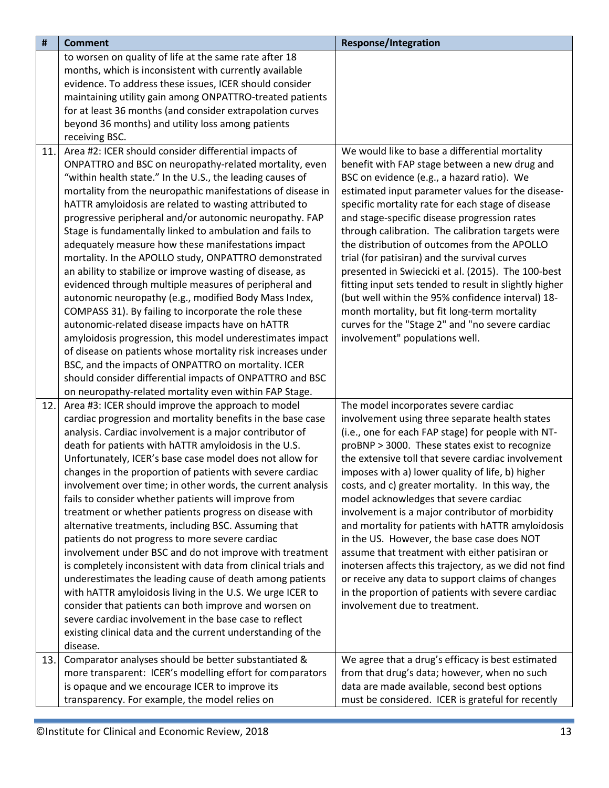| <b>Comment</b>                                            | <b>Response/Integration</b>                                                                                                                                                                                                                                                                                                                                                                                                                                                                                                                                                                                                                                                                                                                                                                                                                                                                                                                                                                                                                                                                                                                                                                                                                                                                                                                                                                                                                                                                                                                                                                                                                                                                                                                                                                                                                                                                                                                                                                                                                                                                                                                                                                                                                                                                                                                                                                                          |
|-----------------------------------------------------------|----------------------------------------------------------------------------------------------------------------------------------------------------------------------------------------------------------------------------------------------------------------------------------------------------------------------------------------------------------------------------------------------------------------------------------------------------------------------------------------------------------------------------------------------------------------------------------------------------------------------------------------------------------------------------------------------------------------------------------------------------------------------------------------------------------------------------------------------------------------------------------------------------------------------------------------------------------------------------------------------------------------------------------------------------------------------------------------------------------------------------------------------------------------------------------------------------------------------------------------------------------------------------------------------------------------------------------------------------------------------------------------------------------------------------------------------------------------------------------------------------------------------------------------------------------------------------------------------------------------------------------------------------------------------------------------------------------------------------------------------------------------------------------------------------------------------------------------------------------------------------------------------------------------------------------------------------------------------------------------------------------------------------------------------------------------------------------------------------------------------------------------------------------------------------------------------------------------------------------------------------------------------------------------------------------------------------------------------------------------------------------------------------------------------|
| to worsen on quality of life at the same rate after 18    |                                                                                                                                                                                                                                                                                                                                                                                                                                                                                                                                                                                                                                                                                                                                                                                                                                                                                                                                                                                                                                                                                                                                                                                                                                                                                                                                                                                                                                                                                                                                                                                                                                                                                                                                                                                                                                                                                                                                                                                                                                                                                                                                                                                                                                                                                                                                                                                                                      |
| months, which is inconsistent with currently available    |                                                                                                                                                                                                                                                                                                                                                                                                                                                                                                                                                                                                                                                                                                                                                                                                                                                                                                                                                                                                                                                                                                                                                                                                                                                                                                                                                                                                                                                                                                                                                                                                                                                                                                                                                                                                                                                                                                                                                                                                                                                                                                                                                                                                                                                                                                                                                                                                                      |
| evidence. To address these issues, ICER should consider   |                                                                                                                                                                                                                                                                                                                                                                                                                                                                                                                                                                                                                                                                                                                                                                                                                                                                                                                                                                                                                                                                                                                                                                                                                                                                                                                                                                                                                                                                                                                                                                                                                                                                                                                                                                                                                                                                                                                                                                                                                                                                                                                                                                                                                                                                                                                                                                                                                      |
| maintaining utility gain among ONPATTRO-treated patients  |                                                                                                                                                                                                                                                                                                                                                                                                                                                                                                                                                                                                                                                                                                                                                                                                                                                                                                                                                                                                                                                                                                                                                                                                                                                                                                                                                                                                                                                                                                                                                                                                                                                                                                                                                                                                                                                                                                                                                                                                                                                                                                                                                                                                                                                                                                                                                                                                                      |
| for at least 36 months (and consider extrapolation curves |                                                                                                                                                                                                                                                                                                                                                                                                                                                                                                                                                                                                                                                                                                                                                                                                                                                                                                                                                                                                                                                                                                                                                                                                                                                                                                                                                                                                                                                                                                                                                                                                                                                                                                                                                                                                                                                                                                                                                                                                                                                                                                                                                                                                                                                                                                                                                                                                                      |
| beyond 36 months) and utility loss among patients         |                                                                                                                                                                                                                                                                                                                                                                                                                                                                                                                                                                                                                                                                                                                                                                                                                                                                                                                                                                                                                                                                                                                                                                                                                                                                                                                                                                                                                                                                                                                                                                                                                                                                                                                                                                                                                                                                                                                                                                                                                                                                                                                                                                                                                                                                                                                                                                                                                      |
| receiving BSC.                                            |                                                                                                                                                                                                                                                                                                                                                                                                                                                                                                                                                                                                                                                                                                                                                                                                                                                                                                                                                                                                                                                                                                                                                                                                                                                                                                                                                                                                                                                                                                                                                                                                                                                                                                                                                                                                                                                                                                                                                                                                                                                                                                                                                                                                                                                                                                                                                                                                                      |
| Area #2: ICER should consider differential impacts of     | We would like to base a differential mortality                                                                                                                                                                                                                                                                                                                                                                                                                                                                                                                                                                                                                                                                                                                                                                                                                                                                                                                                                                                                                                                                                                                                                                                                                                                                                                                                                                                                                                                                                                                                                                                                                                                                                                                                                                                                                                                                                                                                                                                                                                                                                                                                                                                                                                                                                                                                                                       |
|                                                           | benefit with FAP stage between a new drug and                                                                                                                                                                                                                                                                                                                                                                                                                                                                                                                                                                                                                                                                                                                                                                                                                                                                                                                                                                                                                                                                                                                                                                                                                                                                                                                                                                                                                                                                                                                                                                                                                                                                                                                                                                                                                                                                                                                                                                                                                                                                                                                                                                                                                                                                                                                                                                        |
|                                                           | BSC on evidence (e.g., a hazard ratio). We                                                                                                                                                                                                                                                                                                                                                                                                                                                                                                                                                                                                                                                                                                                                                                                                                                                                                                                                                                                                                                                                                                                                                                                                                                                                                                                                                                                                                                                                                                                                                                                                                                                                                                                                                                                                                                                                                                                                                                                                                                                                                                                                                                                                                                                                                                                                                                           |
|                                                           | estimated input parameter values for the disease-                                                                                                                                                                                                                                                                                                                                                                                                                                                                                                                                                                                                                                                                                                                                                                                                                                                                                                                                                                                                                                                                                                                                                                                                                                                                                                                                                                                                                                                                                                                                                                                                                                                                                                                                                                                                                                                                                                                                                                                                                                                                                                                                                                                                                                                                                                                                                                    |
|                                                           | specific mortality rate for each stage of disease                                                                                                                                                                                                                                                                                                                                                                                                                                                                                                                                                                                                                                                                                                                                                                                                                                                                                                                                                                                                                                                                                                                                                                                                                                                                                                                                                                                                                                                                                                                                                                                                                                                                                                                                                                                                                                                                                                                                                                                                                                                                                                                                                                                                                                                                                                                                                                    |
|                                                           | and stage-specific disease progression rates                                                                                                                                                                                                                                                                                                                                                                                                                                                                                                                                                                                                                                                                                                                                                                                                                                                                                                                                                                                                                                                                                                                                                                                                                                                                                                                                                                                                                                                                                                                                                                                                                                                                                                                                                                                                                                                                                                                                                                                                                                                                                                                                                                                                                                                                                                                                                                         |
|                                                           | through calibration. The calibration targets were                                                                                                                                                                                                                                                                                                                                                                                                                                                                                                                                                                                                                                                                                                                                                                                                                                                                                                                                                                                                                                                                                                                                                                                                                                                                                                                                                                                                                                                                                                                                                                                                                                                                                                                                                                                                                                                                                                                                                                                                                                                                                                                                                                                                                                                                                                                                                                    |
|                                                           | the distribution of outcomes from the APOLLO                                                                                                                                                                                                                                                                                                                                                                                                                                                                                                                                                                                                                                                                                                                                                                                                                                                                                                                                                                                                                                                                                                                                                                                                                                                                                                                                                                                                                                                                                                                                                                                                                                                                                                                                                                                                                                                                                                                                                                                                                                                                                                                                                                                                                                                                                                                                                                         |
|                                                           | trial (for patisiran) and the survival curves                                                                                                                                                                                                                                                                                                                                                                                                                                                                                                                                                                                                                                                                                                                                                                                                                                                                                                                                                                                                                                                                                                                                                                                                                                                                                                                                                                                                                                                                                                                                                                                                                                                                                                                                                                                                                                                                                                                                                                                                                                                                                                                                                                                                                                                                                                                                                                        |
|                                                           | presented in Swiecicki et al. (2015). The 100-best                                                                                                                                                                                                                                                                                                                                                                                                                                                                                                                                                                                                                                                                                                                                                                                                                                                                                                                                                                                                                                                                                                                                                                                                                                                                                                                                                                                                                                                                                                                                                                                                                                                                                                                                                                                                                                                                                                                                                                                                                                                                                                                                                                                                                                                                                                                                                                   |
|                                                           | fitting input sets tended to result in slightly higher                                                                                                                                                                                                                                                                                                                                                                                                                                                                                                                                                                                                                                                                                                                                                                                                                                                                                                                                                                                                                                                                                                                                                                                                                                                                                                                                                                                                                                                                                                                                                                                                                                                                                                                                                                                                                                                                                                                                                                                                                                                                                                                                                                                                                                                                                                                                                               |
|                                                           | (but well within the 95% confidence interval) 18-                                                                                                                                                                                                                                                                                                                                                                                                                                                                                                                                                                                                                                                                                                                                                                                                                                                                                                                                                                                                                                                                                                                                                                                                                                                                                                                                                                                                                                                                                                                                                                                                                                                                                                                                                                                                                                                                                                                                                                                                                                                                                                                                                                                                                                                                                                                                                                    |
|                                                           | month mortality, but fit long-term mortality                                                                                                                                                                                                                                                                                                                                                                                                                                                                                                                                                                                                                                                                                                                                                                                                                                                                                                                                                                                                                                                                                                                                                                                                                                                                                                                                                                                                                                                                                                                                                                                                                                                                                                                                                                                                                                                                                                                                                                                                                                                                                                                                                                                                                                                                                                                                                                         |
|                                                           | curves for the "Stage 2" and "no severe cardiac                                                                                                                                                                                                                                                                                                                                                                                                                                                                                                                                                                                                                                                                                                                                                                                                                                                                                                                                                                                                                                                                                                                                                                                                                                                                                                                                                                                                                                                                                                                                                                                                                                                                                                                                                                                                                                                                                                                                                                                                                                                                                                                                                                                                                                                                                                                                                                      |
|                                                           | involvement" populations well.                                                                                                                                                                                                                                                                                                                                                                                                                                                                                                                                                                                                                                                                                                                                                                                                                                                                                                                                                                                                                                                                                                                                                                                                                                                                                                                                                                                                                                                                                                                                                                                                                                                                                                                                                                                                                                                                                                                                                                                                                                                                                                                                                                                                                                                                                                                                                                                       |
|                                                           |                                                                                                                                                                                                                                                                                                                                                                                                                                                                                                                                                                                                                                                                                                                                                                                                                                                                                                                                                                                                                                                                                                                                                                                                                                                                                                                                                                                                                                                                                                                                                                                                                                                                                                                                                                                                                                                                                                                                                                                                                                                                                                                                                                                                                                                                                                                                                                                                                      |
|                                                           |                                                                                                                                                                                                                                                                                                                                                                                                                                                                                                                                                                                                                                                                                                                                                                                                                                                                                                                                                                                                                                                                                                                                                                                                                                                                                                                                                                                                                                                                                                                                                                                                                                                                                                                                                                                                                                                                                                                                                                                                                                                                                                                                                                                                                                                                                                                                                                                                                      |
|                                                           |                                                                                                                                                                                                                                                                                                                                                                                                                                                                                                                                                                                                                                                                                                                                                                                                                                                                                                                                                                                                                                                                                                                                                                                                                                                                                                                                                                                                                                                                                                                                                                                                                                                                                                                                                                                                                                                                                                                                                                                                                                                                                                                                                                                                                                                                                                                                                                                                                      |
|                                                           |                                                                                                                                                                                                                                                                                                                                                                                                                                                                                                                                                                                                                                                                                                                                                                                                                                                                                                                                                                                                                                                                                                                                                                                                                                                                                                                                                                                                                                                                                                                                                                                                                                                                                                                                                                                                                                                                                                                                                                                                                                                                                                                                                                                                                                                                                                                                                                                                                      |
|                                                           | The model incorporates severe cardiac                                                                                                                                                                                                                                                                                                                                                                                                                                                                                                                                                                                                                                                                                                                                                                                                                                                                                                                                                                                                                                                                                                                                                                                                                                                                                                                                                                                                                                                                                                                                                                                                                                                                                                                                                                                                                                                                                                                                                                                                                                                                                                                                                                                                                                                                                                                                                                                |
|                                                           | involvement using three separate health states                                                                                                                                                                                                                                                                                                                                                                                                                                                                                                                                                                                                                                                                                                                                                                                                                                                                                                                                                                                                                                                                                                                                                                                                                                                                                                                                                                                                                                                                                                                                                                                                                                                                                                                                                                                                                                                                                                                                                                                                                                                                                                                                                                                                                                                                                                                                                                       |
|                                                           | (i.e., one for each FAP stage) for people with NT-<br>proBNP > 3000. These states exist to recognize                                                                                                                                                                                                                                                                                                                                                                                                                                                                                                                                                                                                                                                                                                                                                                                                                                                                                                                                                                                                                                                                                                                                                                                                                                                                                                                                                                                                                                                                                                                                                                                                                                                                                                                                                                                                                                                                                                                                                                                                                                                                                                                                                                                                                                                                                                                 |
|                                                           | the extensive toll that severe cardiac involvement                                                                                                                                                                                                                                                                                                                                                                                                                                                                                                                                                                                                                                                                                                                                                                                                                                                                                                                                                                                                                                                                                                                                                                                                                                                                                                                                                                                                                                                                                                                                                                                                                                                                                                                                                                                                                                                                                                                                                                                                                                                                                                                                                                                                                                                                                                                                                                   |
|                                                           | imposes with a) lower quality of life, b) higher                                                                                                                                                                                                                                                                                                                                                                                                                                                                                                                                                                                                                                                                                                                                                                                                                                                                                                                                                                                                                                                                                                                                                                                                                                                                                                                                                                                                                                                                                                                                                                                                                                                                                                                                                                                                                                                                                                                                                                                                                                                                                                                                                                                                                                                                                                                                                                     |
|                                                           | costs, and c) greater mortality. In this way, the                                                                                                                                                                                                                                                                                                                                                                                                                                                                                                                                                                                                                                                                                                                                                                                                                                                                                                                                                                                                                                                                                                                                                                                                                                                                                                                                                                                                                                                                                                                                                                                                                                                                                                                                                                                                                                                                                                                                                                                                                                                                                                                                                                                                                                                                                                                                                                    |
|                                                           | model acknowledges that severe cardiac                                                                                                                                                                                                                                                                                                                                                                                                                                                                                                                                                                                                                                                                                                                                                                                                                                                                                                                                                                                                                                                                                                                                                                                                                                                                                                                                                                                                                                                                                                                                                                                                                                                                                                                                                                                                                                                                                                                                                                                                                                                                                                                                                                                                                                                                                                                                                                               |
|                                                           | involvement is a major contributor of morbidity                                                                                                                                                                                                                                                                                                                                                                                                                                                                                                                                                                                                                                                                                                                                                                                                                                                                                                                                                                                                                                                                                                                                                                                                                                                                                                                                                                                                                                                                                                                                                                                                                                                                                                                                                                                                                                                                                                                                                                                                                                                                                                                                                                                                                                                                                                                                                                      |
|                                                           | and mortality for patients with hATTR amyloidosis                                                                                                                                                                                                                                                                                                                                                                                                                                                                                                                                                                                                                                                                                                                                                                                                                                                                                                                                                                                                                                                                                                                                                                                                                                                                                                                                                                                                                                                                                                                                                                                                                                                                                                                                                                                                                                                                                                                                                                                                                                                                                                                                                                                                                                                                                                                                                                    |
|                                                           | in the US. However, the base case does NOT                                                                                                                                                                                                                                                                                                                                                                                                                                                                                                                                                                                                                                                                                                                                                                                                                                                                                                                                                                                                                                                                                                                                                                                                                                                                                                                                                                                                                                                                                                                                                                                                                                                                                                                                                                                                                                                                                                                                                                                                                                                                                                                                                                                                                                                                                                                                                                           |
|                                                           | assume that treatment with either patisiran or                                                                                                                                                                                                                                                                                                                                                                                                                                                                                                                                                                                                                                                                                                                                                                                                                                                                                                                                                                                                                                                                                                                                                                                                                                                                                                                                                                                                                                                                                                                                                                                                                                                                                                                                                                                                                                                                                                                                                                                                                                                                                                                                                                                                                                                                                                                                                                       |
|                                                           | inotersen affects this trajectory, as we did not find                                                                                                                                                                                                                                                                                                                                                                                                                                                                                                                                                                                                                                                                                                                                                                                                                                                                                                                                                                                                                                                                                                                                                                                                                                                                                                                                                                                                                                                                                                                                                                                                                                                                                                                                                                                                                                                                                                                                                                                                                                                                                                                                                                                                                                                                                                                                                                |
|                                                           | or receive any data to support claims of changes                                                                                                                                                                                                                                                                                                                                                                                                                                                                                                                                                                                                                                                                                                                                                                                                                                                                                                                                                                                                                                                                                                                                                                                                                                                                                                                                                                                                                                                                                                                                                                                                                                                                                                                                                                                                                                                                                                                                                                                                                                                                                                                                                                                                                                                                                                                                                                     |
|                                                           | in the proportion of patients with severe cardiac                                                                                                                                                                                                                                                                                                                                                                                                                                                                                                                                                                                                                                                                                                                                                                                                                                                                                                                                                                                                                                                                                                                                                                                                                                                                                                                                                                                                                                                                                                                                                                                                                                                                                                                                                                                                                                                                                                                                                                                                                                                                                                                                                                                                                                                                                                                                                                    |
|                                                           | involvement due to treatment.                                                                                                                                                                                                                                                                                                                                                                                                                                                                                                                                                                                                                                                                                                                                                                                                                                                                                                                                                                                                                                                                                                                                                                                                                                                                                                                                                                                                                                                                                                                                                                                                                                                                                                                                                                                                                                                                                                                                                                                                                                                                                                                                                                                                                                                                                                                                                                                        |
|                                                           |                                                                                                                                                                                                                                                                                                                                                                                                                                                                                                                                                                                                                                                                                                                                                                                                                                                                                                                                                                                                                                                                                                                                                                                                                                                                                                                                                                                                                                                                                                                                                                                                                                                                                                                                                                                                                                                                                                                                                                                                                                                                                                                                                                                                                                                                                                                                                                                                                      |
|                                                           |                                                                                                                                                                                                                                                                                                                                                                                                                                                                                                                                                                                                                                                                                                                                                                                                                                                                                                                                                                                                                                                                                                                                                                                                                                                                                                                                                                                                                                                                                                                                                                                                                                                                                                                                                                                                                                                                                                                                                                                                                                                                                                                                                                                                                                                                                                                                                                                                                      |
| disease.                                                  |                                                                                                                                                                                                                                                                                                                                                                                                                                                                                                                                                                                                                                                                                                                                                                                                                                                                                                                                                                                                                                                                                                                                                                                                                                                                                                                                                                                                                                                                                                                                                                                                                                                                                                                                                                                                                                                                                                                                                                                                                                                                                                                                                                                                                                                                                                                                                                                                                      |
|                                                           | We agree that a drug's efficacy is best estimated                                                                                                                                                                                                                                                                                                                                                                                                                                                                                                                                                                                                                                                                                                                                                                                                                                                                                                                                                                                                                                                                                                                                                                                                                                                                                                                                                                                                                                                                                                                                                                                                                                                                                                                                                                                                                                                                                                                                                                                                                                                                                                                                                                                                                                                                                                                                                                    |
|                                                           | from that drug's data; however, when no such                                                                                                                                                                                                                                                                                                                                                                                                                                                                                                                                                                                                                                                                                                                                                                                                                                                                                                                                                                                                                                                                                                                                                                                                                                                                                                                                                                                                                                                                                                                                                                                                                                                                                                                                                                                                                                                                                                                                                                                                                                                                                                                                                                                                                                                                                                                                                                         |
|                                                           | data are made available, second best options                                                                                                                                                                                                                                                                                                                                                                                                                                                                                                                                                                                                                                                                                                                                                                                                                                                                                                                                                                                                                                                                                                                                                                                                                                                                                                                                                                                                                                                                                                                                                                                                                                                                                                                                                                                                                                                                                                                                                                                                                                                                                                                                                                                                                                                                                                                                                                         |
|                                                           | must be considered. ICER is grateful for recently                                                                                                                                                                                                                                                                                                                                                                                                                                                                                                                                                                                                                                                                                                                                                                                                                                                                                                                                                                                                                                                                                                                                                                                                                                                                                                                                                                                                                                                                                                                                                                                                                                                                                                                                                                                                                                                                                                                                                                                                                                                                                                                                                                                                                                                                                                                                                                    |
|                                                           | ONPATTRO and BSC on neuropathy-related mortality, even<br>"within health state." In the U.S., the leading causes of<br>mortality from the neuropathic manifestations of disease in<br>hATTR amyloidosis are related to wasting attributed to<br>progressive peripheral and/or autonomic neuropathy. FAP<br>Stage is fundamentally linked to ambulation and fails to<br>adequately measure how these manifestations impact<br>mortality. In the APOLLO study, ONPATTRO demonstrated<br>an ability to stabilize or improve wasting of disease, as<br>evidenced through multiple measures of peripheral and<br>autonomic neuropathy (e.g., modified Body Mass Index,<br>COMPASS 31). By failing to incorporate the role these<br>autonomic-related disease impacts have on hATTR<br>amyloidosis progression, this model underestimates impact<br>of disease on patients whose mortality risk increases under<br>BSC, and the impacts of ONPATTRO on mortality. ICER<br>should consider differential impacts of ONPATTRO and BSC<br>on neuropathy-related mortality even within FAP Stage.<br>Area #3: ICER should improve the approach to model<br>cardiac progression and mortality benefits in the base case<br>analysis. Cardiac involvement is a major contributor of<br>death for patients with hATTR amyloidosis in the U.S.<br>Unfortunately, ICER's base case model does not allow for<br>changes in the proportion of patients with severe cardiac<br>involvement over time; in other words, the current analysis<br>fails to consider whether patients will improve from<br>treatment or whether patients progress on disease with<br>alternative treatments, including BSC. Assuming that<br>patients do not progress to more severe cardiac<br>involvement under BSC and do not improve with treatment<br>is completely inconsistent with data from clinical trials and<br>underestimates the leading cause of death among patients<br>with hATTR amyloidosis living in the U.S. We urge ICER to<br>consider that patients can both improve and worsen on<br>severe cardiac involvement in the base case to reflect<br>existing clinical data and the current understanding of the<br>Comparator analyses should be better substantiated &<br>more transparent: ICER's modelling effort for comparators<br>is opaque and we encourage ICER to improve its<br>transparency. For example, the model relies on |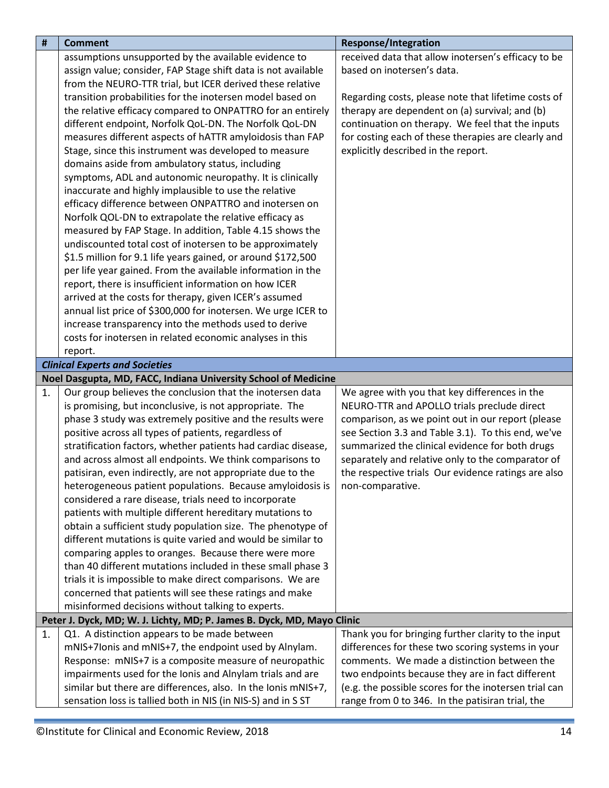<span id="page-13-2"></span><span id="page-13-1"></span><span id="page-13-0"></span>

| #  | <b>Comment</b>                                                                                                      | <b>Response/Integration</b>                           |
|----|---------------------------------------------------------------------------------------------------------------------|-------------------------------------------------------|
|    | assumptions unsupported by the available evidence to                                                                | received data that allow inotersen's efficacy to be   |
|    | assign value; consider, FAP Stage shift data is not available                                                       | based on inotersen's data.                            |
|    | from the NEURO-TTR trial, but ICER derived these relative                                                           |                                                       |
|    | transition probabilities for the inotersen model based on                                                           | Regarding costs, please note that lifetime costs of   |
|    | the relative efficacy compared to ONPATTRO for an entirely                                                          | therapy are dependent on (a) survival; and (b)        |
|    | different endpoint, Norfolk QoL-DN. The Norfolk QoL-DN                                                              | continuation on therapy. We feel that the inputs      |
|    | measures different aspects of hATTR amyloidosis than FAP                                                            | for costing each of these therapies are clearly and   |
|    | Stage, since this instrument was developed to measure                                                               | explicitly described in the report.                   |
|    | domains aside from ambulatory status, including                                                                     |                                                       |
|    | symptoms, ADL and autonomic neuropathy. It is clinically                                                            |                                                       |
|    | inaccurate and highly implausible to use the relative                                                               |                                                       |
|    | efficacy difference between ONPATTRO and inotersen on                                                               |                                                       |
|    | Norfolk QOL-DN to extrapolate the relative efficacy as                                                              |                                                       |
|    | measured by FAP Stage. In addition, Table 4.15 shows the                                                            |                                                       |
|    | undiscounted total cost of inotersen to be approximately                                                            |                                                       |
|    | \$1.5 million for 9.1 life years gained, or around \$172,500                                                        |                                                       |
|    | per life year gained. From the available information in the                                                         |                                                       |
|    | report, there is insufficient information on how ICER                                                               |                                                       |
|    | arrived at the costs for therapy, given ICER's assumed                                                              |                                                       |
|    | annual list price of \$300,000 for inotersen. We urge ICER to                                                       |                                                       |
|    | increase transparency into the methods used to derive                                                               |                                                       |
|    | costs for inotersen in related economic analyses in this                                                            |                                                       |
|    | report.                                                                                                             |                                                       |
|    | <b>Clinical Experts and Societies</b>                                                                               |                                                       |
|    | Noel Dasgupta, MD, FACC, Indiana University School of Medicine                                                      |                                                       |
| 1. | Our group believes the conclusion that the inotersen data                                                           | We agree with you that key differences in the         |
|    | is promising, but inconclusive, is not appropriate. The                                                             | NEURO-TTR and APOLLO trials preclude direct           |
|    | phase 3 study was extremely positive and the results were                                                           | comparison, as we point out in our report (please     |
|    | positive across all types of patients, regardless of                                                                | see Section 3.3 and Table 3.1). To this end, we've    |
|    | stratification factors, whether patients had cardiac disease,                                                       | summarized the clinical evidence for both drugs       |
|    | and across almost all endpoints. We think comparisons to                                                            | separately and relative only to the comparator of     |
|    | patisiran, even indirectly, are not appropriate due to the                                                          | the respective trials Our evidence ratings are also   |
|    | heterogeneous patient populations. Because amyloidosis is                                                           | non-comparative.                                      |
|    | considered a rare disease, trials need to incorporate                                                               |                                                       |
|    | patients with multiple different hereditary mutations to                                                            |                                                       |
|    | obtain a sufficient study population size. The phenotype of                                                         |                                                       |
|    | different mutations is quite varied and would be similar to<br>comparing apples to oranges. Because there were more |                                                       |
|    | than 40 different mutations included in these small phase 3                                                         |                                                       |
|    | trials it is impossible to make direct comparisons. We are                                                          |                                                       |
|    | concerned that patients will see these ratings and make                                                             |                                                       |
|    | misinformed decisions without talking to experts.                                                                   |                                                       |
|    | Peter J. Dyck, MD; W. J. Lichty, MD; P. James B. Dyck, MD, Mayo Clinic                                              |                                                       |
| 1. | Q1. A distinction appears to be made between                                                                        | Thank you for bringing further clarity to the input   |
|    | mNIS+7Ionis and mNIS+7, the endpoint used by Alnylam.                                                               | differences for these two scoring systems in your     |
|    | Response: mNIS+7 is a composite measure of neuropathic                                                              | comments. We made a distinction between the           |
|    | impairments used for the Ionis and Alnylam trials and are                                                           | two endpoints because they are in fact different      |
|    | similar but there are differences, also. In the Ionis mNIS+7,                                                       | (e.g. the possible scores for the inotersen trial can |
|    | sensation loss is tallied both in NIS (in NIS-S) and in S ST                                                        | range from 0 to 346. In the patisiran trial, the      |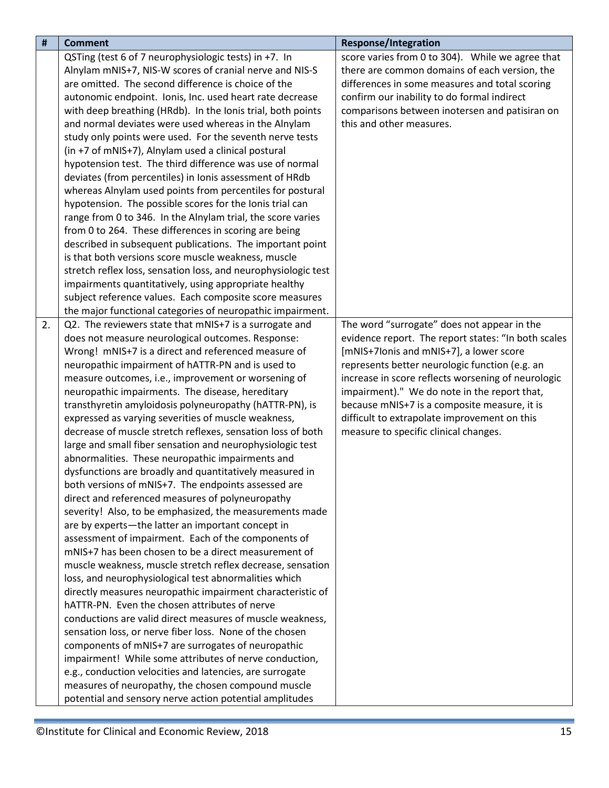| $\pmb{\sharp}$ | <b>Comment</b>                                                                                              | <b>Response/Integration</b>                         |
|----------------|-------------------------------------------------------------------------------------------------------------|-----------------------------------------------------|
|                | QSTing (test 6 of 7 neurophysiologic tests) in +7. In                                                       | score varies from 0 to 304). While we agree that    |
|                | Alnylam mNIS+7, NIS-W scores of cranial nerve and NIS-S                                                     | there are common domains of each version, the       |
|                | are omitted. The second difference is choice of the                                                         | differences in some measures and total scoring      |
|                | autonomic endpoint. Ionis, Inc. used heart rate decrease                                                    | confirm our inability to do formal indirect         |
|                | with deep breathing (HRdb). In the Ionis trial, both points                                                 | comparisons between inotersen and patisiran on      |
|                | and normal deviates were used whereas in the Alnylam                                                        | this and other measures.                            |
|                | study only points were used. For the seventh nerve tests                                                    |                                                     |
|                | (in +7 of mNIS+7), Alnylam used a clinical postural                                                         |                                                     |
|                | hypotension test. The third difference was use of normal                                                    |                                                     |
|                | deviates (from percentiles) in Ionis assessment of HRdb                                                     |                                                     |
|                | whereas Alnylam used points from percentiles for postural                                                   |                                                     |
|                | hypotension. The possible scores for the Ionis trial can                                                    |                                                     |
|                | range from 0 to 346. In the Alnylam trial, the score varies                                                 |                                                     |
|                | from 0 to 264. These differences in scoring are being                                                       |                                                     |
|                | described in subsequent publications. The important point                                                   |                                                     |
|                | is that both versions score muscle weakness, muscle                                                         |                                                     |
|                | stretch reflex loss, sensation loss, and neurophysiologic test                                              |                                                     |
|                | impairments quantitatively, using appropriate healthy                                                       |                                                     |
|                | subject reference values. Each composite score measures                                                     |                                                     |
|                | the major functional categories of neuropathic impairment.                                                  |                                                     |
| 2.             | Q2. The reviewers state that mNIS+7 is a surrogate and                                                      | The word "surrogate" does not appear in the         |
|                | does not measure neurological outcomes. Response:                                                           | evidence report. The report states: "In both scales |
|                | Wrong! mNIS+7 is a direct and referenced measure of                                                         | [mNIS+7lonis and mNIS+7], a lower score             |
|                | neuropathic impairment of hATTR-PN and is used to                                                           | represents better neurologic function (e.g. an      |
|                | measure outcomes, i.e., improvement or worsening of                                                         | increase in score reflects worsening of neurologic  |
|                | neuropathic impairments. The disease, hereditary                                                            | impairment)." We do note in the report that,        |
|                | transthyretin amyloidosis polyneuropathy (hATTR-PN), is                                                     | because mNIS+7 is a composite measure, it is        |
|                | expressed as varying severities of muscle weakness,                                                         | difficult to extrapolate improvement on this        |
|                | decrease of muscle stretch reflexes, sensation loss of both                                                 | measure to specific clinical changes.               |
|                | large and small fiber sensation and neurophysiologic test                                                   |                                                     |
|                | abnormalities. These neuropathic impairments and                                                            |                                                     |
|                | dysfunctions are broadly and quantitatively measured in                                                     |                                                     |
|                | both versions of mNIS+7. The endpoints assessed are                                                         |                                                     |
|                | direct and referenced measures of polyneuropathy                                                            |                                                     |
|                | severity! Also, to be emphasized, the measurements made                                                     |                                                     |
|                | are by experts-the latter an important concept in                                                           |                                                     |
|                | assessment of impairment. Each of the components of                                                         |                                                     |
|                | mNIS+7 has been chosen to be a direct measurement of                                                        |                                                     |
|                | muscle weakness, muscle stretch reflex decrease, sensation                                                  |                                                     |
|                | loss, and neurophysiological test abnormalities which                                                       |                                                     |
|                | directly measures neuropathic impairment characteristic of<br>hATTR-PN. Even the chosen attributes of nerve |                                                     |
|                | conductions are valid direct measures of muscle weakness,                                                   |                                                     |
|                | sensation loss, or nerve fiber loss. None of the chosen                                                     |                                                     |
|                | components of mNIS+7 are surrogates of neuropathic                                                          |                                                     |
|                | impairment! While some attributes of nerve conduction,                                                      |                                                     |
|                | e.g., conduction velocities and latencies, are surrogate                                                    |                                                     |
|                | measures of neuropathy, the chosen compound muscle                                                          |                                                     |
|                | potential and sensory nerve action potential amplitudes                                                     |                                                     |
|                |                                                                                                             |                                                     |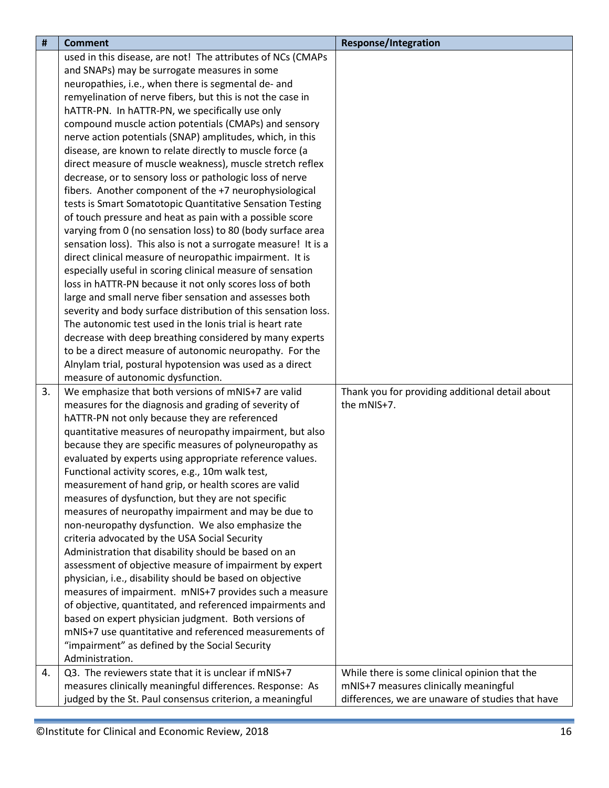| $\sharp$ | <b>Comment</b>                                                 | <b>Response/Integration</b>                      |
|----------|----------------------------------------------------------------|--------------------------------------------------|
|          | used in this disease, are not! The attributes of NCs (CMAPs    |                                                  |
|          | and SNAPs) may be surrogate measures in some                   |                                                  |
|          | neuropathies, i.e., when there is segmental de- and            |                                                  |
|          | remyelination of nerve fibers, but this is not the case in     |                                                  |
|          | hATTR-PN. In hATTR-PN, we specifically use only                |                                                  |
|          | compound muscle action potentials (CMAPs) and sensory          |                                                  |
|          | nerve action potentials (SNAP) amplitudes, which, in this      |                                                  |
|          | disease, are known to relate directly to muscle force (a       |                                                  |
|          | direct measure of muscle weakness), muscle stretch reflex      |                                                  |
|          | decrease, or to sensory loss or pathologic loss of nerve       |                                                  |
|          | fibers. Another component of the +7 neurophysiological         |                                                  |
|          | tests is Smart Somatotopic Quantitative Sensation Testing      |                                                  |
|          | of touch pressure and heat as pain with a possible score       |                                                  |
|          | varying from 0 (no sensation loss) to 80 (body surface area    |                                                  |
|          | sensation loss). This also is not a surrogate measure! It is a |                                                  |
|          | direct clinical measure of neuropathic impairment. It is       |                                                  |
|          | especially useful in scoring clinical measure of sensation     |                                                  |
|          | loss in hATTR-PN because it not only scores loss of both       |                                                  |
|          | large and small nerve fiber sensation and assesses both        |                                                  |
|          | severity and body surface distribution of this sensation loss. |                                                  |
|          | The autonomic test used in the Ionis trial is heart rate       |                                                  |
|          | decrease with deep breathing considered by many experts        |                                                  |
|          | to be a direct measure of autonomic neuropathy. For the        |                                                  |
|          | Alnylam trial, postural hypotension was used as a direct       |                                                  |
|          | measure of autonomic dysfunction.                              |                                                  |
| 3.       | We emphasize that both versions of mNIS+7 are valid            | Thank you for providing additional detail about  |
|          | measures for the diagnosis and grading of severity of          | the mNIS+7.                                      |
|          | hATTR-PN not only because they are referenced                  |                                                  |
|          | quantitative measures of neuropathy impairment, but also       |                                                  |
|          | because they are specific measures of polyneuropathy as        |                                                  |
|          | evaluated by experts using appropriate reference values.       |                                                  |
|          | Functional activity scores, e.g., 10m walk test,               |                                                  |
|          | measurement of hand grip, or health scores are valid           |                                                  |
|          | measures of dysfunction, but they are not specific             |                                                  |
|          | measures of neuropathy impairment and may be due to            |                                                  |
|          | non-neuropathy dysfunction. We also emphasize the              |                                                  |
|          | criteria advocated by the USA Social Security                  |                                                  |
|          | Administration that disability should be based on an           |                                                  |
|          | assessment of objective measure of impairment by expert        |                                                  |
|          | physician, i.e., disability should be based on objective       |                                                  |
|          | measures of impairment. mNIS+7 provides such a measure         |                                                  |
|          | of objective, quantitated, and referenced impairments and      |                                                  |
|          | based on expert physician judgment. Both versions of           |                                                  |
|          | mNIS+7 use quantitative and referenced measurements of         |                                                  |
|          | "impairment" as defined by the Social Security                 |                                                  |
|          | Administration.                                                |                                                  |
| 4.       | Q3. The reviewers state that it is unclear if mNIS+7           | While there is some clinical opinion that the    |
|          | measures clinically meaningful differences. Response: As       | mNIS+7 measures clinically meaningful            |
|          | judged by the St. Paul consensus criterion, a meaningful       | differences, we are unaware of studies that have |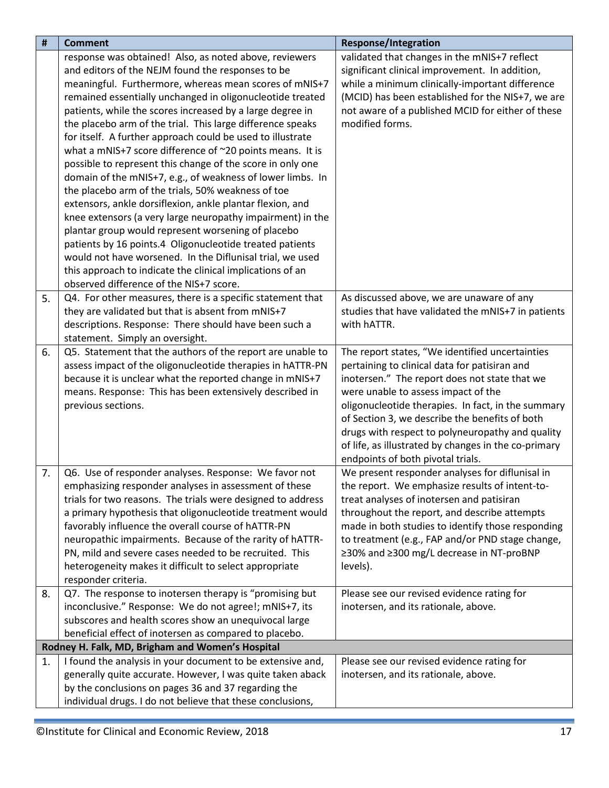<span id="page-16-0"></span>

| #  | <b>Comment</b>                                                                                                 | <b>Response/Integration</b>                                                        |
|----|----------------------------------------------------------------------------------------------------------------|------------------------------------------------------------------------------------|
|    | response was obtained! Also, as noted above, reviewers                                                         | validated that changes in the mNIS+7 reflect                                       |
|    | and editors of the NEJM found the responses to be                                                              | significant clinical improvement. In addition,                                     |
|    | meaningful. Furthermore, whereas mean scores of mNIS+7                                                         | while a minimum clinically-important difference                                    |
|    | remained essentially unchanged in oligonucleotide treated                                                      | (MCID) has been established for the NIS+7, we are                                  |
|    | patients, while the scores increased by a large degree in                                                      | not aware of a published MCID for either of these                                  |
|    | the placebo arm of the trial. This large difference speaks                                                     | modified forms.                                                                    |
|    | for itself. A further approach could be used to illustrate                                                     |                                                                                    |
|    | what a mNIS+7 score difference of ~20 points means. It is                                                      |                                                                                    |
|    | possible to represent this change of the score in only one                                                     |                                                                                    |
|    | domain of the mNIS+7, e.g., of weakness of lower limbs. In                                                     |                                                                                    |
|    | the placebo arm of the trials, 50% weakness of toe                                                             |                                                                                    |
|    | extensors, ankle dorsiflexion, ankle plantar flexion, and                                                      |                                                                                    |
|    | knee extensors (a very large neuropathy impairment) in the                                                     |                                                                                    |
|    | plantar group would represent worsening of placebo                                                             |                                                                                    |
|    | patients by 16 points.4 Oligonucleotide treated patients                                                       |                                                                                    |
|    | would not have worsened. In the Diflunisal trial, we used                                                      |                                                                                    |
|    | this approach to indicate the clinical implications of an                                                      |                                                                                    |
|    | observed difference of the NIS+7 score.                                                                        |                                                                                    |
| 5. | Q4. For other measures, there is a specific statement that                                                     | As discussed above, we are unaware of any                                          |
|    | they are validated but that is absent from mNIS+7                                                              | studies that have validated the mNIS+7 in patients                                 |
|    | descriptions. Response: There should have been such a                                                          | with hATTR.                                                                        |
|    | statement. Simply an oversight.                                                                                |                                                                                    |
| 6. | Q5. Statement that the authors of the report are unable to                                                     | The report states, "We identified uncertainties                                    |
|    | assess impact of the oligonucleotide therapies in hATTR-PN                                                     | pertaining to clinical data for patisiran and                                      |
|    | because it is unclear what the reported change in mNIS+7                                                       | inotersen." The report does not state that we                                      |
|    | means. Response: This has been extensively described in                                                        | were unable to assess impact of the                                                |
|    | previous sections.                                                                                             | oligonucleotide therapies. In fact, in the summary                                 |
|    |                                                                                                                | of Section 3, we describe the benefits of both                                     |
|    |                                                                                                                | drugs with respect to polyneuropathy and quality                                   |
|    |                                                                                                                | of life, as illustrated by changes in the co-primary                               |
|    |                                                                                                                | endpoints of both pivotal trials.                                                  |
| 7. | Q6. Use of responder analyses. Response: We favor not                                                          | We present responder analyses for diflunisal in                                    |
|    | emphasizing responder analyses in assessment of these                                                          | the report. We emphasize results of intent-to-                                     |
|    | trials for two reasons. The trials were designed to address                                                    | treat analyses of inotersen and patisiran                                          |
|    | a primary hypothesis that oligonucleotide treatment would                                                      | throughout the report, and describe attempts                                       |
|    | favorably influence the overall course of hATTR-PN                                                             | made in both studies to identify those responding                                  |
|    | neuropathic impairments. Because of the rarity of hATTR-                                                       | to treatment (e.g., FAP and/or PND stage change,                                   |
|    | PN, mild and severe cases needed to be recruited. This                                                         | ≥30% and ≥300 mg/L decrease in NT-proBNP                                           |
|    | heterogeneity makes it difficult to select appropriate<br>responder criteria.                                  | levels).                                                                           |
|    |                                                                                                                |                                                                                    |
| 8. | Q7. The response to inotersen therapy is "promising but                                                        | Please see our revised evidence rating for                                         |
|    | inconclusive." Response: We do not agree!; mNIS+7, its                                                         | inotersen, and its rationale, above.                                               |
|    | subscores and health scores show an unequivocal large                                                          |                                                                                    |
|    | beneficial effect of inotersen as compared to placebo.                                                         |                                                                                    |
| 1. | Rodney H. Falk, MD, Brigham and Women's Hospital<br>I found the analysis in your document to be extensive and, |                                                                                    |
|    | generally quite accurate. However, I was quite taken aback                                                     | Please see our revised evidence rating for<br>inotersen, and its rationale, above. |
|    | by the conclusions on pages 36 and 37 regarding the                                                            |                                                                                    |
|    | individual drugs. I do not believe that these conclusions,                                                     |                                                                                    |
|    |                                                                                                                |                                                                                    |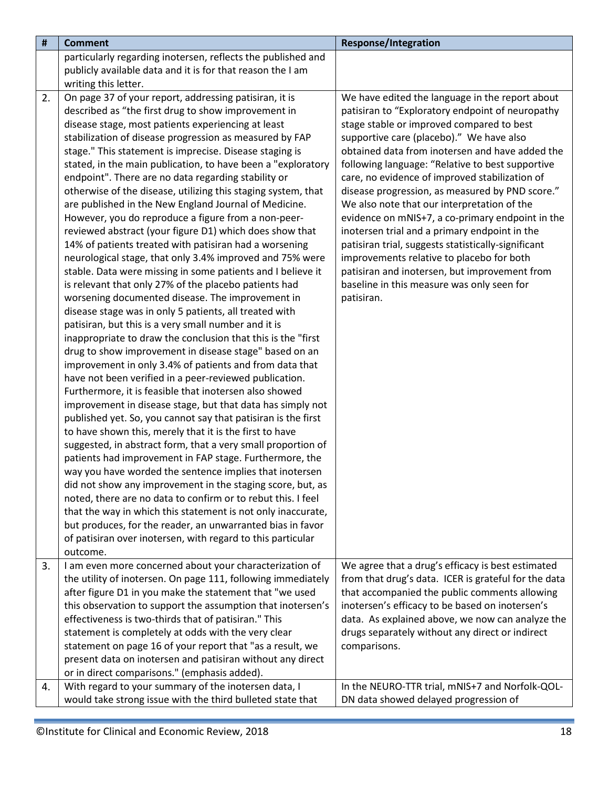| $\pmb{\sharp}$ | <b>Comment</b>                                                                                                                                                                                                                                                                                                                                                                                                                                                                                                                                                                                                                                                                                                                                                                                                                                                                                                                                                                                                                                                                                                                                                                                                                                                                                                                                                                                                                                                                                                                                                                                                                                                                                                                                                                                                                                                                                                                                                                                                                                                                                       | <b>Response/Integration</b>                                                                                                                                                                                                                                                                                                                                                                                                                                                                                                                                                                                                                                                                                                                                                   |
|----------------|------------------------------------------------------------------------------------------------------------------------------------------------------------------------------------------------------------------------------------------------------------------------------------------------------------------------------------------------------------------------------------------------------------------------------------------------------------------------------------------------------------------------------------------------------------------------------------------------------------------------------------------------------------------------------------------------------------------------------------------------------------------------------------------------------------------------------------------------------------------------------------------------------------------------------------------------------------------------------------------------------------------------------------------------------------------------------------------------------------------------------------------------------------------------------------------------------------------------------------------------------------------------------------------------------------------------------------------------------------------------------------------------------------------------------------------------------------------------------------------------------------------------------------------------------------------------------------------------------------------------------------------------------------------------------------------------------------------------------------------------------------------------------------------------------------------------------------------------------------------------------------------------------------------------------------------------------------------------------------------------------------------------------------------------------------------------------------------------------|-------------------------------------------------------------------------------------------------------------------------------------------------------------------------------------------------------------------------------------------------------------------------------------------------------------------------------------------------------------------------------------------------------------------------------------------------------------------------------------------------------------------------------------------------------------------------------------------------------------------------------------------------------------------------------------------------------------------------------------------------------------------------------|
|                | particularly regarding inotersen, reflects the published and                                                                                                                                                                                                                                                                                                                                                                                                                                                                                                                                                                                                                                                                                                                                                                                                                                                                                                                                                                                                                                                                                                                                                                                                                                                                                                                                                                                                                                                                                                                                                                                                                                                                                                                                                                                                                                                                                                                                                                                                                                         |                                                                                                                                                                                                                                                                                                                                                                                                                                                                                                                                                                                                                                                                                                                                                                               |
|                | publicly available data and it is for that reason the I am                                                                                                                                                                                                                                                                                                                                                                                                                                                                                                                                                                                                                                                                                                                                                                                                                                                                                                                                                                                                                                                                                                                                                                                                                                                                                                                                                                                                                                                                                                                                                                                                                                                                                                                                                                                                                                                                                                                                                                                                                                           |                                                                                                                                                                                                                                                                                                                                                                                                                                                                                                                                                                                                                                                                                                                                                                               |
|                | writing this letter.                                                                                                                                                                                                                                                                                                                                                                                                                                                                                                                                                                                                                                                                                                                                                                                                                                                                                                                                                                                                                                                                                                                                                                                                                                                                                                                                                                                                                                                                                                                                                                                                                                                                                                                                                                                                                                                                                                                                                                                                                                                                                 |                                                                                                                                                                                                                                                                                                                                                                                                                                                                                                                                                                                                                                                                                                                                                                               |
| 2.             | On page 37 of your report, addressing patisiran, it is<br>described as "the first drug to show improvement in<br>disease stage, most patients experiencing at least<br>stabilization of disease progression as measured by FAP<br>stage." This statement is imprecise. Disease staging is<br>stated, in the main publication, to have been a "exploratory<br>endpoint". There are no data regarding stability or<br>otherwise of the disease, utilizing this staging system, that<br>are published in the New England Journal of Medicine.<br>However, you do reproduce a figure from a non-peer-<br>reviewed abstract (your figure D1) which does show that<br>14% of patients treated with patisiran had a worsening<br>neurological stage, that only 3.4% improved and 75% were<br>stable. Data were missing in some patients and I believe it<br>is relevant that only 27% of the placebo patients had<br>worsening documented disease. The improvement in<br>disease stage was in only 5 patients, all treated with<br>patisiran, but this is a very small number and it is<br>inappropriate to draw the conclusion that this is the "first<br>drug to show improvement in disease stage" based on an<br>improvement in only 3.4% of patients and from data that<br>have not been verified in a peer-reviewed publication.<br>Furthermore, it is feasible that inotersen also showed<br>improvement in disease stage, but that data has simply not<br>published yet. So, you cannot say that patisiran is the first<br>to have shown this, merely that it is the first to have<br>suggested, in abstract form, that a very small proportion of<br>patients had improvement in FAP stage. Furthermore, the<br>way you have worded the sentence implies that inotersen<br>did not show any improvement in the staging score, but, as<br>noted, there are no data to confirm or to rebut this. I feel<br>that the way in which this statement is not only inaccurate,<br>but produces, for the reader, an unwarranted bias in favor<br>of patisiran over inotersen, with regard to this particular | We have edited the language in the report about<br>patisiran to "Exploratory endpoint of neuropathy<br>stage stable or improved compared to best<br>supportive care (placebo)." We have also<br>obtained data from inotersen and have added the<br>following language: "Relative to best supportive<br>care, no evidence of improved stabilization of<br>disease progression, as measured by PND score."<br>We also note that our interpretation of the<br>evidence on mNIS+7, a co-primary endpoint in the<br>inotersen trial and a primary endpoint in the<br>patisiran trial, suggests statistically-significant<br>improvements relative to placebo for both<br>patisiran and inotersen, but improvement from<br>baseline in this measure was only seen for<br>patisiran. |
|                | outcome.                                                                                                                                                                                                                                                                                                                                                                                                                                                                                                                                                                                                                                                                                                                                                                                                                                                                                                                                                                                                                                                                                                                                                                                                                                                                                                                                                                                                                                                                                                                                                                                                                                                                                                                                                                                                                                                                                                                                                                                                                                                                                             |                                                                                                                                                                                                                                                                                                                                                                                                                                                                                                                                                                                                                                                                                                                                                                               |
| 3.             | I am even more concerned about your characterization of                                                                                                                                                                                                                                                                                                                                                                                                                                                                                                                                                                                                                                                                                                                                                                                                                                                                                                                                                                                                                                                                                                                                                                                                                                                                                                                                                                                                                                                                                                                                                                                                                                                                                                                                                                                                                                                                                                                                                                                                                                              | We agree that a drug's efficacy is best estimated                                                                                                                                                                                                                                                                                                                                                                                                                                                                                                                                                                                                                                                                                                                             |
|                | the utility of inotersen. On page 111, following immediately                                                                                                                                                                                                                                                                                                                                                                                                                                                                                                                                                                                                                                                                                                                                                                                                                                                                                                                                                                                                                                                                                                                                                                                                                                                                                                                                                                                                                                                                                                                                                                                                                                                                                                                                                                                                                                                                                                                                                                                                                                         | from that drug's data. ICER is grateful for the data                                                                                                                                                                                                                                                                                                                                                                                                                                                                                                                                                                                                                                                                                                                          |
|                | after figure D1 in you make the statement that "we used                                                                                                                                                                                                                                                                                                                                                                                                                                                                                                                                                                                                                                                                                                                                                                                                                                                                                                                                                                                                                                                                                                                                                                                                                                                                                                                                                                                                                                                                                                                                                                                                                                                                                                                                                                                                                                                                                                                                                                                                                                              | that accompanied the public comments allowing                                                                                                                                                                                                                                                                                                                                                                                                                                                                                                                                                                                                                                                                                                                                 |
|                | this observation to support the assumption that inotersen's<br>effectiveness is two-thirds that of patisiran." This                                                                                                                                                                                                                                                                                                                                                                                                                                                                                                                                                                                                                                                                                                                                                                                                                                                                                                                                                                                                                                                                                                                                                                                                                                                                                                                                                                                                                                                                                                                                                                                                                                                                                                                                                                                                                                                                                                                                                                                  | inotersen's efficacy to be based on inotersen's<br>data. As explained above, we now can analyze the                                                                                                                                                                                                                                                                                                                                                                                                                                                                                                                                                                                                                                                                           |
|                | statement is completely at odds with the very clear                                                                                                                                                                                                                                                                                                                                                                                                                                                                                                                                                                                                                                                                                                                                                                                                                                                                                                                                                                                                                                                                                                                                                                                                                                                                                                                                                                                                                                                                                                                                                                                                                                                                                                                                                                                                                                                                                                                                                                                                                                                  | drugs separately without any direct or indirect                                                                                                                                                                                                                                                                                                                                                                                                                                                                                                                                                                                                                                                                                                                               |
|                | statement on page 16 of your report that "as a result, we                                                                                                                                                                                                                                                                                                                                                                                                                                                                                                                                                                                                                                                                                                                                                                                                                                                                                                                                                                                                                                                                                                                                                                                                                                                                                                                                                                                                                                                                                                                                                                                                                                                                                                                                                                                                                                                                                                                                                                                                                                            | comparisons.                                                                                                                                                                                                                                                                                                                                                                                                                                                                                                                                                                                                                                                                                                                                                                  |
|                | present data on inotersen and patisiran without any direct                                                                                                                                                                                                                                                                                                                                                                                                                                                                                                                                                                                                                                                                                                                                                                                                                                                                                                                                                                                                                                                                                                                                                                                                                                                                                                                                                                                                                                                                                                                                                                                                                                                                                                                                                                                                                                                                                                                                                                                                                                           |                                                                                                                                                                                                                                                                                                                                                                                                                                                                                                                                                                                                                                                                                                                                                                               |
|                | or in direct comparisons." (emphasis added).                                                                                                                                                                                                                                                                                                                                                                                                                                                                                                                                                                                                                                                                                                                                                                                                                                                                                                                                                                                                                                                                                                                                                                                                                                                                                                                                                                                                                                                                                                                                                                                                                                                                                                                                                                                                                                                                                                                                                                                                                                                         |                                                                                                                                                                                                                                                                                                                                                                                                                                                                                                                                                                                                                                                                                                                                                                               |
| 4.             | With regard to your summary of the inotersen data, I                                                                                                                                                                                                                                                                                                                                                                                                                                                                                                                                                                                                                                                                                                                                                                                                                                                                                                                                                                                                                                                                                                                                                                                                                                                                                                                                                                                                                                                                                                                                                                                                                                                                                                                                                                                                                                                                                                                                                                                                                                                 | In the NEURO-TTR trial, mNIS+7 and Norfolk-QOL-                                                                                                                                                                                                                                                                                                                                                                                                                                                                                                                                                                                                                                                                                                                               |
|                | would take strong issue with the third bulleted state that                                                                                                                                                                                                                                                                                                                                                                                                                                                                                                                                                                                                                                                                                                                                                                                                                                                                                                                                                                                                                                                                                                                                                                                                                                                                                                                                                                                                                                                                                                                                                                                                                                                                                                                                                                                                                                                                                                                                                                                                                                           | DN data showed delayed progression of                                                                                                                                                                                                                                                                                                                                                                                                                                                                                                                                                                                                                                                                                                                                         |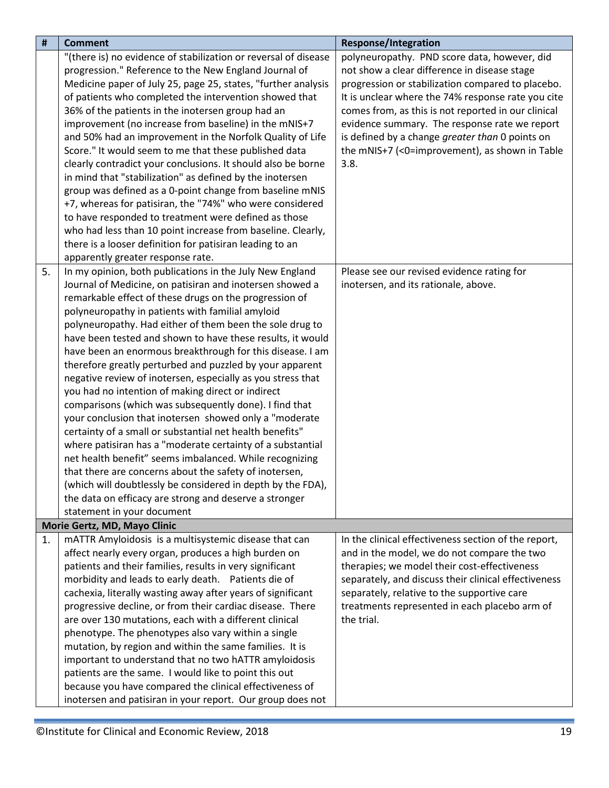<span id="page-18-0"></span>

| #  | <b>Comment</b>                                                  | <b>Response/Integration</b>                          |
|----|-----------------------------------------------------------------|------------------------------------------------------|
|    | "(there is) no evidence of stabilization or reversal of disease | polyneuropathy. PND score data, however, did         |
|    | progression." Reference to the New England Journal of           | not show a clear difference in disease stage         |
|    | Medicine paper of July 25, page 25, states, "further analysis   | progression or stabilization compared to placebo.    |
|    | of patients who completed the intervention showed that          | It is unclear where the 74% response rate you cite   |
|    | 36% of the patients in the inotersen group had an               | comes from, as this is not reported in our clinical  |
|    | improvement (no increase from baseline) in the mNIS+7           | evidence summary. The response rate we report        |
|    | and 50% had an improvement in the Norfolk Quality of Life       | is defined by a change greater than 0 points on      |
|    | Score." It would seem to me that these published data           | the mNIS+7 (<0=improvement), as shown in Table       |
|    | clearly contradict your conclusions. It should also be borne    | 3.8.                                                 |
|    | in mind that "stabilization" as defined by the inotersen        |                                                      |
|    | group was defined as a 0-point change from baseline mNIS        |                                                      |
|    | +7, whereas for patisiran, the "74%" who were considered        |                                                      |
|    | to have responded to treatment were defined as those            |                                                      |
|    | who had less than 10 point increase from baseline. Clearly,     |                                                      |
|    | there is a looser definition for patisiran leading to an        |                                                      |
|    | apparently greater response rate.                               |                                                      |
| 5. | In my opinion, both publications in the July New England        | Please see our revised evidence rating for           |
|    | Journal of Medicine, on patisiran and inotersen showed a        | inotersen, and its rationale, above.                 |
|    | remarkable effect of these drugs on the progression of          |                                                      |
|    | polyneuropathy in patients with familial amyloid                |                                                      |
|    | polyneuropathy. Had either of them been the sole drug to        |                                                      |
|    | have been tested and shown to have these results, it would      |                                                      |
|    | have been an enormous breakthrough for this disease. I am       |                                                      |
|    | therefore greatly perturbed and puzzled by your apparent        |                                                      |
|    | negative review of inotersen, especially as you stress that     |                                                      |
|    | you had no intention of making direct or indirect               |                                                      |
|    | comparisons (which was subsequently done). I find that          |                                                      |
|    | your conclusion that inotersen showed only a "moderate          |                                                      |
|    | certainty of a small or substantial net health benefits"        |                                                      |
|    | where patisiran has a "moderate certainty of a substantial      |                                                      |
|    | net health benefit" seems imbalanced. While recognizing         |                                                      |
|    | that there are concerns about the safety of inotersen,          |                                                      |
|    | (which will doubtlessly be considered in depth by the FDA),     |                                                      |
|    | the data on efficacy are strong and deserve a stronger          |                                                      |
|    | statement in your document                                      |                                                      |
|    | Morie Gertz, MD, Mayo Clinic                                    |                                                      |
| 1. | mATTR Amyloidosis is a multisystemic disease that can           | In the clinical effectiveness section of the report, |
|    | affect nearly every organ, produces a high burden on            | and in the model, we do not compare the two          |
|    | patients and their families, results in very significant        | therapies; we model their cost-effectiveness         |
|    | morbidity and leads to early death. Patients die of             | separately, and discuss their clinical effectiveness |
|    | cachexia, literally wasting away after years of significant     | separately, relative to the supportive care          |
|    | progressive decline, or from their cardiac disease. There       | treatments represented in each placebo arm of        |
|    | are over 130 mutations, each with a different clinical          | the trial.                                           |
|    | phenotype. The phenotypes also vary within a single             |                                                      |
|    | mutation, by region and within the same families. It is         |                                                      |
|    | important to understand that no two hATTR amyloidosis           |                                                      |
|    | patients are the same. I would like to point this out           |                                                      |
|    | because you have compared the clinical effectiveness of         |                                                      |
|    | inotersen and patisiran in your report. Our group does not      |                                                      |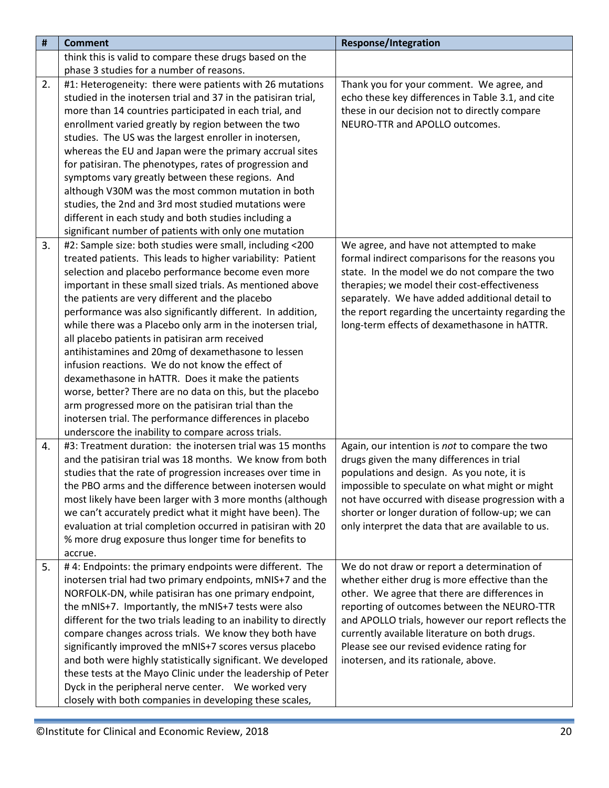| #  | <b>Comment</b>                                                   | <b>Response/Integration</b>                        |
|----|------------------------------------------------------------------|----------------------------------------------------|
|    | think this is valid to compare these drugs based on the          |                                                    |
|    | phase 3 studies for a number of reasons.                         |                                                    |
| 2. | #1: Heterogeneity: there were patients with 26 mutations         | Thank you for your comment. We agree, and          |
|    | studied in the inotersen trial and 37 in the patisiran trial,    | echo these key differences in Table 3.1, and cite  |
|    | more than 14 countries participated in each trial, and           | these in our decision not to directly compare      |
|    | enrollment varied greatly by region between the two              | NEURO-TTR and APOLLO outcomes.                     |
|    | studies. The US was the largest enroller in inotersen,           |                                                    |
|    | whereas the EU and Japan were the primary accrual sites          |                                                    |
|    | for patisiran. The phenotypes, rates of progression and          |                                                    |
|    | symptoms vary greatly between these regions. And                 |                                                    |
|    | although V30M was the most common mutation in both               |                                                    |
|    | studies, the 2nd and 3rd most studied mutations were             |                                                    |
|    | different in each study and both studies including a             |                                                    |
|    | significant number of patients with only one mutation            |                                                    |
| 3. | #2: Sample size: both studies were small, including <200         | We agree, and have not attempted to make           |
|    | treated patients. This leads to higher variability: Patient      | formal indirect comparisons for the reasons you    |
|    | selection and placebo performance become even more               | state. In the model we do not compare the two      |
|    | important in these small sized trials. As mentioned above        | therapies; we model their cost-effectiveness       |
|    | the patients are very different and the placebo                  | separately. We have added additional detail to     |
|    | performance was also significantly different. In addition,       | the report regarding the uncertainty regarding the |
|    | while there was a Placebo only arm in the inotersen trial,       | long-term effects of dexamethasone in hATTR.       |
|    | all placebo patients in patisiran arm received                   |                                                    |
|    | antihistamines and 20mg of dexamethasone to lessen               |                                                    |
|    | infusion reactions. We do not know the effect of                 |                                                    |
|    | dexamethasone in hATTR. Does it make the patients                |                                                    |
|    | worse, better? There are no data on this, but the placebo        |                                                    |
|    | arm progressed more on the patisiran trial than the              |                                                    |
|    | inotersen trial. The performance differences in placebo          |                                                    |
|    | underscore the inability to compare across trials.               |                                                    |
| 4. | #3: Treatment duration: the inotersen trial was 15 months        | Again, our intention is not to compare the two     |
|    | and the patisiran trial was 18 months. We know from both         | drugs given the many differences in trial          |
|    | studies that the rate of progression increases over time in      | populations and design. As you note, it is         |
|    | the PBO arms and the difference between inotersen would          | impossible to speculate on what might or might     |
|    | most likely have been larger with 3 more months (although        | not have occurred with disease progression with a  |
|    | we can't accurately predict what it might have been). The        | shorter or longer duration of follow-up; we can    |
|    | evaluation at trial completion occurred in patisiran with 20     | only interpret the data that are available to us.  |
|    | % more drug exposure thus longer time for benefits to            |                                                    |
|    | accrue.                                                          |                                                    |
| 5. | #4: Endpoints: the primary endpoints were different. The         | We do not draw or report a determination of        |
|    | inotersen trial had two primary endpoints, mNIS+7 and the        | whether either drug is more effective than the     |
|    | NORFOLK-DN, while patisiran has one primary endpoint,            | other. We agree that there are differences in      |
|    | the mNIS+7. Importantly, the mNIS+7 tests were also              | reporting of outcomes between the NEURO-TTR        |
|    | different for the two trials leading to an inability to directly | and APOLLO trials, however our report reflects the |
|    | compare changes across trials. We know they both have            | currently available literature on both drugs.      |
|    | significantly improved the mNIS+7 scores versus placebo          | Please see our revised evidence rating for         |
|    | and both were highly statistically significant. We developed     | inotersen, and its rationale, above.               |
|    | these tests at the Mayo Clinic under the leadership of Peter     |                                                    |
|    | Dyck in the peripheral nerve center. We worked very              |                                                    |
|    | closely with both companies in developing these scales,          |                                                    |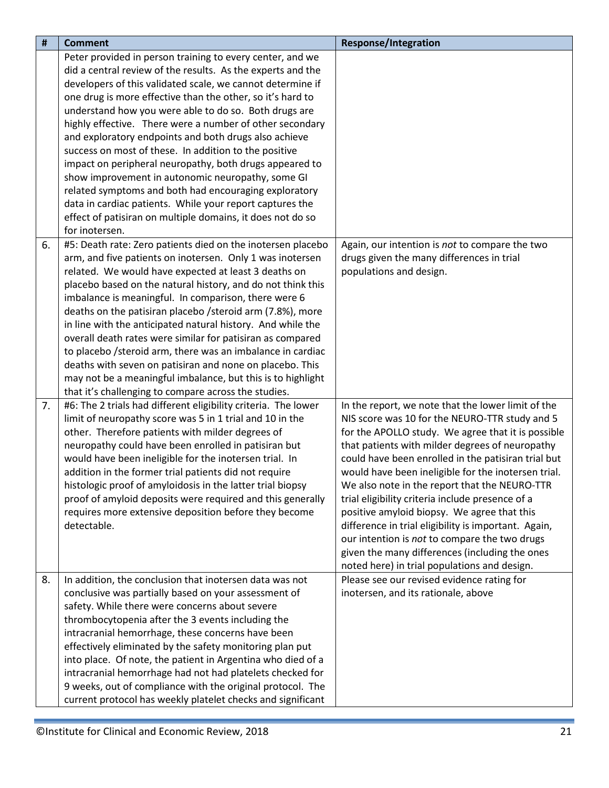| $\pmb{\sharp}$ | <b>Comment</b>                                                 | <b>Response/Integration</b>                                                                |
|----------------|----------------------------------------------------------------|--------------------------------------------------------------------------------------------|
|                | Peter provided in person training to every center, and we      |                                                                                            |
|                | did a central review of the results. As the experts and the    |                                                                                            |
|                | developers of this validated scale, we cannot determine if     |                                                                                            |
|                | one drug is more effective than the other, so it's hard to     |                                                                                            |
|                | understand how you were able to do so. Both drugs are          |                                                                                            |
|                | highly effective. There were a number of other secondary       |                                                                                            |
|                | and exploratory endpoints and both drugs also achieve          |                                                                                            |
|                | success on most of these. In addition to the positive          |                                                                                            |
|                | impact on peripheral neuropathy, both drugs appeared to        |                                                                                            |
|                | show improvement in autonomic neuropathy, some GI              |                                                                                            |
|                | related symptoms and both had encouraging exploratory          |                                                                                            |
|                | data in cardiac patients. While your report captures the       |                                                                                            |
|                | effect of patisiran on multiple domains, it does not do so     |                                                                                            |
|                | for inotersen.                                                 |                                                                                            |
| 6.             | #5: Death rate: Zero patients died on the inotersen placebo    | Again, our intention is not to compare the two                                             |
|                | arm, and five patients on inotersen. Only 1 was inotersen      | drugs given the many differences in trial                                                  |
|                | related. We would have expected at least 3 deaths on           | populations and design.                                                                    |
|                | placebo based on the natural history, and do not think this    |                                                                                            |
|                | imbalance is meaningful. In comparison, there were 6           |                                                                                            |
|                | deaths on the patisiran placebo / steroid arm (7.8%), more     |                                                                                            |
|                | in line with the anticipated natural history. And while the    |                                                                                            |
|                | overall death rates were similar for patisiran as compared     |                                                                                            |
|                | to placebo /steroid arm, there was an imbalance in cardiac     |                                                                                            |
|                | deaths with seven on patisiran and none on placebo. This       |                                                                                            |
|                | may not be a meaningful imbalance, but this is to highlight    |                                                                                            |
|                | that it's challenging to compare across the studies.           |                                                                                            |
| 7.             | #6: The 2 trials had different eligibility criteria. The lower | In the report, we note that the lower limit of the                                         |
|                | limit of neuropathy score was 5 in 1 trial and 10 in the       | NIS score was 10 for the NEURO-TTR study and 5                                             |
|                | other. Therefore patients with milder degrees of               | for the APOLLO study. We agree that it is possible                                         |
|                | neuropathy could have been enrolled in patisiran but           | that patients with milder degrees of neuropathy                                            |
|                | would have been ineligible for the inotersen trial. In         | could have been enrolled in the patisiran trial but                                        |
|                | addition in the former trial patients did not require          | would have been ineligible for the inotersen trial.                                        |
|                | histologic proof of amyloidosis in the latter trial biopsy     | We also note in the report that the NEURO-TTR                                              |
|                | proof of amyloid deposits were required and this generally     | trial eligibility criteria include presence of a                                           |
|                | requires more extensive deposition before they become          | positive amyloid biopsy. We agree that this                                                |
|                | detectable.                                                    | difference in trial eligibility is important. Again,                                       |
|                |                                                                | our intention is not to compare the two drugs                                              |
|                |                                                                | given the many differences (including the ones                                             |
| 8.             | In addition, the conclusion that inotersen data was not        | noted here) in trial populations and design.<br>Please see our revised evidence rating for |
|                | conclusive was partially based on your assessment of           | inotersen, and its rationale, above                                                        |
|                | safety. While there were concerns about severe                 |                                                                                            |
|                | thrombocytopenia after the 3 events including the              |                                                                                            |
|                | intracranial hemorrhage, these concerns have been              |                                                                                            |
|                | effectively eliminated by the safety monitoring plan put       |                                                                                            |
|                | into place. Of note, the patient in Argentina who died of a    |                                                                                            |
|                | intracranial hemorrhage had not had platelets checked for      |                                                                                            |
|                | 9 weeks, out of compliance with the original protocol. The     |                                                                                            |
|                | current protocol has weekly platelet checks and significant    |                                                                                            |
|                |                                                                |                                                                                            |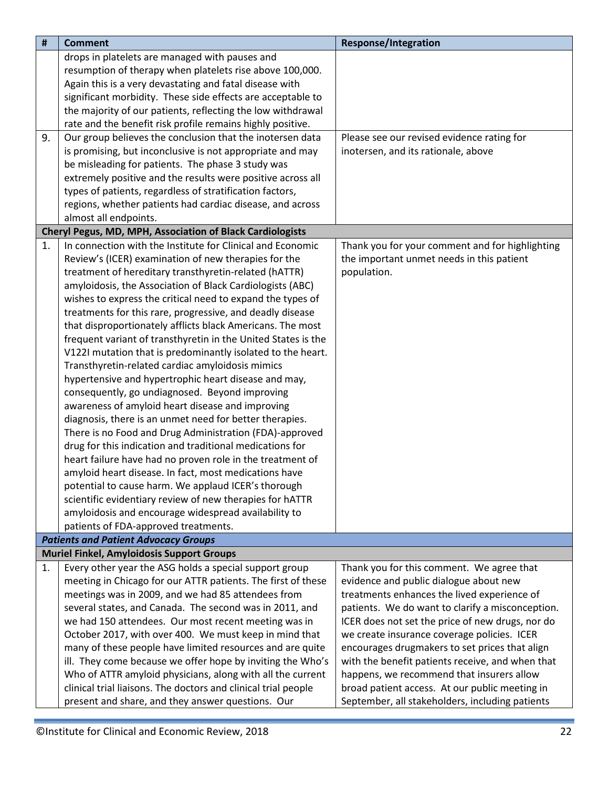<span id="page-21-2"></span><span id="page-21-1"></span><span id="page-21-0"></span>

| #  | <b>Comment</b>                                                                                             | <b>Response/Integration</b>                      |
|----|------------------------------------------------------------------------------------------------------------|--------------------------------------------------|
|    | drops in platelets are managed with pauses and                                                             |                                                  |
|    | resumption of therapy when platelets rise above 100,000.                                                   |                                                  |
|    | Again this is a very devastating and fatal disease with                                                    |                                                  |
|    | significant morbidity. These side effects are acceptable to                                                |                                                  |
|    | the majority of our patients, reflecting the low withdrawal                                                |                                                  |
|    | rate and the benefit risk profile remains highly positive.                                                 |                                                  |
| 9. | Our group believes the conclusion that the inotersen data                                                  | Please see our revised evidence rating for       |
|    | is promising, but inconclusive is not appropriate and may                                                  | inotersen, and its rationale, above              |
|    | be misleading for patients. The phase 3 study was                                                          |                                                  |
|    | extremely positive and the results were positive across all                                                |                                                  |
|    | types of patients, regardless of stratification factors,                                                   |                                                  |
|    | regions, whether patients had cardiac disease, and across                                                  |                                                  |
|    | almost all endpoints.                                                                                      |                                                  |
|    | <b>Cheryl Pegus, MD, MPH, Association of Black Cardiologists</b>                                           |                                                  |
| 1. | In connection with the Institute for Clinical and Economic                                                 | Thank you for your comment and for highlighting  |
|    | Review's (ICER) examination of new therapies for the                                                       | the important unmet needs in this patient        |
|    | treatment of hereditary transthyretin-related (hATTR)                                                      | population.                                      |
|    | amyloidosis, the Association of Black Cardiologists (ABC)                                                  |                                                  |
|    | wishes to express the critical need to expand the types of                                                 |                                                  |
|    | treatments for this rare, progressive, and deadly disease                                                  |                                                  |
|    | that disproportionately afflicts black Americans. The most                                                 |                                                  |
|    | frequent variant of transthyretin in the United States is the                                              |                                                  |
|    | V122I mutation that is predominantly isolated to the heart.                                                |                                                  |
|    | Transthyretin-related cardiac amyloidosis mimics                                                           |                                                  |
|    | hypertensive and hypertrophic heart disease and may,                                                       |                                                  |
|    | consequently, go undiagnosed. Beyond improving                                                             |                                                  |
|    | awareness of amyloid heart disease and improving                                                           |                                                  |
|    | diagnosis, there is an unmet need for better therapies.                                                    |                                                  |
|    | There is no Food and Drug Administration (FDA)-approved                                                    |                                                  |
|    | drug for this indication and traditional medications for                                                   |                                                  |
|    | heart failure have had no proven role in the treatment of                                                  |                                                  |
|    | amyloid heart disease. In fact, most medications have                                                      |                                                  |
|    | potential to cause harm. We applaud ICER's thorough                                                        |                                                  |
|    | scientific evidentiary review of new therapies for hATTR                                                   |                                                  |
|    | amyloidosis and encourage widespread availability to                                                       |                                                  |
|    | patients of FDA-approved treatments.                                                                       |                                                  |
|    | <b>Patients and Patient Advocacy Groups</b>                                                                |                                                  |
| 1. | <b>Muriel Finkel, Amyloidosis Support Groups</b><br>Every other year the ASG holds a special support group | Thank you for this comment. We agree that        |
|    | meeting in Chicago for our ATTR patients. The first of these                                               | evidence and public dialogue about new           |
|    | meetings was in 2009, and we had 85 attendees from                                                         | treatments enhances the lived experience of      |
|    | several states, and Canada. The second was in 2011, and                                                    | patients. We do want to clarify a misconception. |
|    | we had 150 attendees. Our most recent meeting was in                                                       | ICER does not set the price of new drugs, nor do |
|    | October 2017, with over 400. We must keep in mind that                                                     | we create insurance coverage policies. ICER      |
|    | many of these people have limited resources and are quite                                                  | encourages drugmakers to set prices that align   |
|    | ill. They come because we offer hope by inviting the Who's                                                 | with the benefit patients receive, and when that |
|    | Who of ATTR amyloid physicians, along with all the current                                                 | happens, we recommend that insurers allow        |
|    | clinical trial liaisons. The doctors and clinical trial people                                             | broad patient access. At our public meeting in   |
|    | present and share, and they answer questions. Our                                                          | September, all stakeholders, including patients  |
|    |                                                                                                            |                                                  |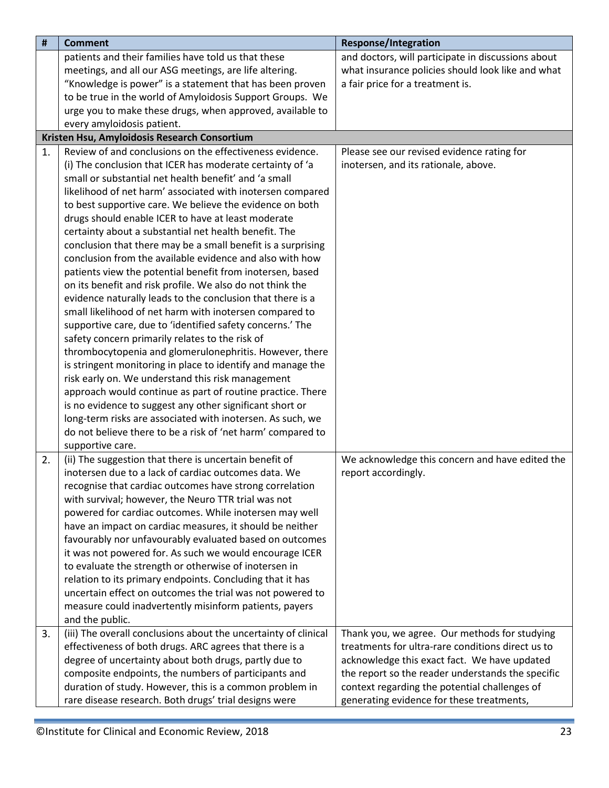<span id="page-22-0"></span>

| #  | <b>Comment</b>                                                  | <b>Response/Integration</b>                        |
|----|-----------------------------------------------------------------|----------------------------------------------------|
|    | patients and their families have told us that these             | and doctors, will participate in discussions about |
|    | meetings, and all our ASG meetings, are life altering.          | what insurance policies should look like and what  |
|    | "Knowledge is power" is a statement that has been proven        | a fair price for a treatment is.                   |
|    | to be true in the world of Amyloidosis Support Groups. We       |                                                    |
|    | urge you to make these drugs, when approved, available to       |                                                    |
|    | every amyloidosis patient.                                      |                                                    |
|    | Kristen Hsu, Amyloidosis Research Consortium                    |                                                    |
| 1. | Review of and conclusions on the effectiveness evidence.        | Please see our revised evidence rating for         |
|    | (i) The conclusion that ICER has moderate certainty of 'a       | inotersen, and its rationale, above.               |
|    | small or substantial net health benefit' and 'a small           |                                                    |
|    | likelihood of net harm' associated with inotersen compared      |                                                    |
|    | to best supportive care. We believe the evidence on both        |                                                    |
|    | drugs should enable ICER to have at least moderate              |                                                    |
|    | certainty about a substantial net health benefit. The           |                                                    |
|    | conclusion that there may be a small benefit is a surprising    |                                                    |
|    | conclusion from the available evidence and also with how        |                                                    |
|    | patients view the potential benefit from inotersen, based       |                                                    |
|    | on its benefit and risk profile. We also do not think the       |                                                    |
|    | evidence naturally leads to the conclusion that there is a      |                                                    |
|    | small likelihood of net harm with inotersen compared to         |                                                    |
|    | supportive care, due to 'identified safety concerns.' The       |                                                    |
|    | safety concern primarily relates to the risk of                 |                                                    |
|    | thrombocytopenia and glomerulonephritis. However, there         |                                                    |
|    | is stringent monitoring in place to identify and manage the     |                                                    |
|    | risk early on. We understand this risk management               |                                                    |
|    | approach would continue as part of routine practice. There      |                                                    |
|    | is no evidence to suggest any other significant short or        |                                                    |
|    | long-term risks are associated with inotersen. As such, we      |                                                    |
|    | do not believe there to be a risk of 'net harm' compared to     |                                                    |
|    | supportive care.                                                |                                                    |
| 2. | (ii) The suggestion that there is uncertain benefit of          | We acknowledge this concern and have edited the    |
|    | inotersen due to a lack of cardiac outcomes data. We            | report accordingly.                                |
|    | recognise that cardiac outcomes have strong correlation         |                                                    |
|    | with survival; however, the Neuro TTR trial was not             |                                                    |
|    | powered for cardiac outcomes. While inotersen may well          |                                                    |
|    | have an impact on cardiac measures, it should be neither        |                                                    |
|    | favourably nor unfavourably evaluated based on outcomes         |                                                    |
|    | it was not powered for. As such we would encourage ICER         |                                                    |
|    | to evaluate the strength or otherwise of inotersen in           |                                                    |
|    | relation to its primary endpoints. Concluding that it has       |                                                    |
|    | uncertain effect on outcomes the trial was not powered to       |                                                    |
|    | measure could inadvertently misinform patients, payers          |                                                    |
|    | and the public.                                                 |                                                    |
| 3. | (iii) The overall conclusions about the uncertainty of clinical | Thank you, we agree. Our methods for studying      |
|    | effectiveness of both drugs. ARC agrees that there is a         | treatments for ultra-rare conditions direct us to  |
|    | degree of uncertainty about both drugs, partly due to           | acknowledge this exact fact. We have updated       |
|    | composite endpoints, the numbers of participants and            | the report so the reader understands the specific  |
|    | duration of study. However, this is a common problem in         | context regarding the potential challenges of      |
|    | rare disease research. Both drugs' trial designs were           | generating evidence for these treatments,          |
|    |                                                                 |                                                    |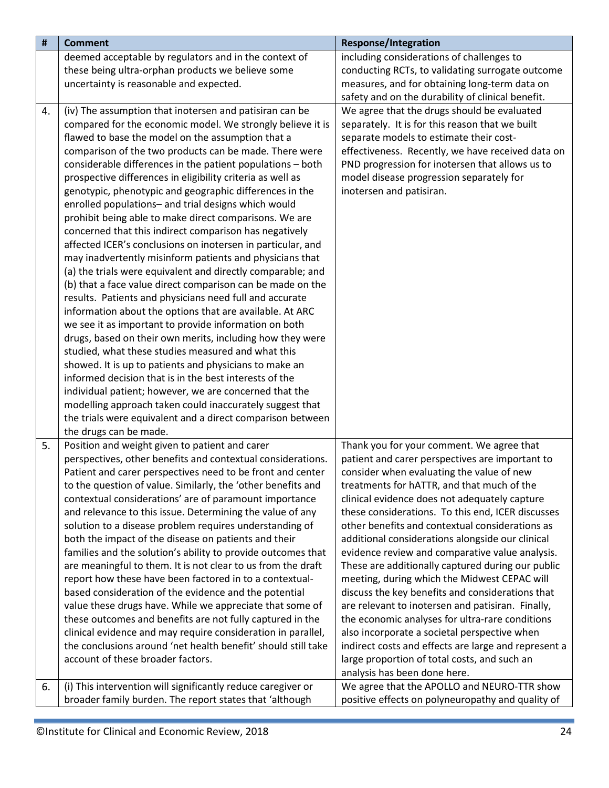| #  | <b>Comment</b>                                                                                                                | <b>Response/Integration</b>                                                  |
|----|-------------------------------------------------------------------------------------------------------------------------------|------------------------------------------------------------------------------|
|    | deemed acceptable by regulators and in the context of                                                                         | including considerations of challenges to                                    |
|    | these being ultra-orphan products we believe some                                                                             | conducting RCTs, to validating surrogate outcome                             |
|    | uncertainty is reasonable and expected.                                                                                       | measures, and for obtaining long-term data on                                |
|    |                                                                                                                               | safety and on the durability of clinical benefit.                            |
| 4. | (iv) The assumption that inotersen and patisiran can be                                                                       | We agree that the drugs should be evaluated                                  |
|    | compared for the economic model. We strongly believe it is                                                                    | separately. It is for this reason that we built                              |
|    | flawed to base the model on the assumption that a                                                                             | separate models to estimate their cost-                                      |
|    | comparison of the two products can be made. There were                                                                        | effectiveness. Recently, we have received data on                            |
|    | considerable differences in the patient populations - both                                                                    | PND progression for inotersen that allows us to                              |
|    | prospective differences in eligibility criteria as well as                                                                    | model disease progression separately for                                     |
|    | genotypic, phenotypic and geographic differences in the                                                                       | inotersen and patisiran.                                                     |
|    | enrolled populations- and trial designs which would                                                                           |                                                                              |
|    | prohibit being able to make direct comparisons. We are                                                                        |                                                                              |
|    | concerned that this indirect comparison has negatively                                                                        |                                                                              |
|    | affected ICER's conclusions on inotersen in particular, and                                                                   |                                                                              |
|    | may inadvertently misinform patients and physicians that                                                                      |                                                                              |
|    | (a) the trials were equivalent and directly comparable; and                                                                   |                                                                              |
|    | (b) that a face value direct comparison can be made on the                                                                    |                                                                              |
|    | results. Patients and physicians need full and accurate                                                                       |                                                                              |
|    | information about the options that are available. At ARC                                                                      |                                                                              |
|    | we see it as important to provide information on both                                                                         |                                                                              |
|    | drugs, based on their own merits, including how they were                                                                     |                                                                              |
|    | studied, what these studies measured and what this                                                                            |                                                                              |
|    | showed. It is up to patients and physicians to make an                                                                        |                                                                              |
|    | informed decision that is in the best interests of the                                                                        |                                                                              |
|    | individual patient; however, we are concerned that the                                                                        |                                                                              |
|    | modelling approach taken could inaccurately suggest that                                                                      |                                                                              |
|    | the trials were equivalent and a direct comparison between                                                                    |                                                                              |
|    | the drugs can be made.                                                                                                        |                                                                              |
| 5. | Position and weight given to patient and carer                                                                                | Thank you for your comment. We agree that                                    |
|    | perspectives, other benefits and contextual considerations.                                                                   | patient and carer perspectives are important to                              |
|    | Patient and carer perspectives need to be front and center                                                                    | consider when evaluating the value of new                                    |
|    | to the question of value. Similarly, the 'other benefits and                                                                  | treatments for hATTR, and that much of the                                   |
|    | contextual considerations' are of paramount importance                                                                        | clinical evidence does not adequately capture                                |
|    | and relevance to this issue. Determining the value of any                                                                     | these considerations. To this end, ICER discusses                            |
|    | solution to a disease problem requires understanding of                                                                       | other benefits and contextual considerations as                              |
|    | both the impact of the disease on patients and their                                                                          | additional considerations alongside our clinical                             |
|    | families and the solution's ability to provide outcomes that                                                                  | evidence review and comparative value analysis.                              |
|    | are meaningful to them. It is not clear to us from the draft                                                                  | These are additionally captured during our public                            |
|    | report how these have been factored in to a contextual-                                                                       | meeting, during which the Midwest CEPAC will                                 |
|    | based consideration of the evidence and the potential                                                                         | discuss the key benefits and considerations that                             |
|    | value these drugs have. While we appreciate that some of                                                                      | are relevant to inotersen and patisiran. Finally,                            |
|    | these outcomes and benefits are not fully captured in the                                                                     | the economic analyses for ultra-rare conditions                              |
|    | clinical evidence and may require consideration in parallel,<br>the conclusions around 'net health benefit' should still take | also incorporate a societal perspective when                                 |
|    | account of these broader factors.                                                                                             | indirect costs and effects are large and represent a                         |
|    |                                                                                                                               | large proportion of total costs, and such an<br>analysis has been done here. |
|    |                                                                                                                               |                                                                              |
| 6. | (i) This intervention will significantly reduce caregiver or                                                                  | We agree that the APOLLO and NEURO-TTR show                                  |
|    | broader family burden. The report states that 'although                                                                       | positive effects on polyneuropathy and quality of                            |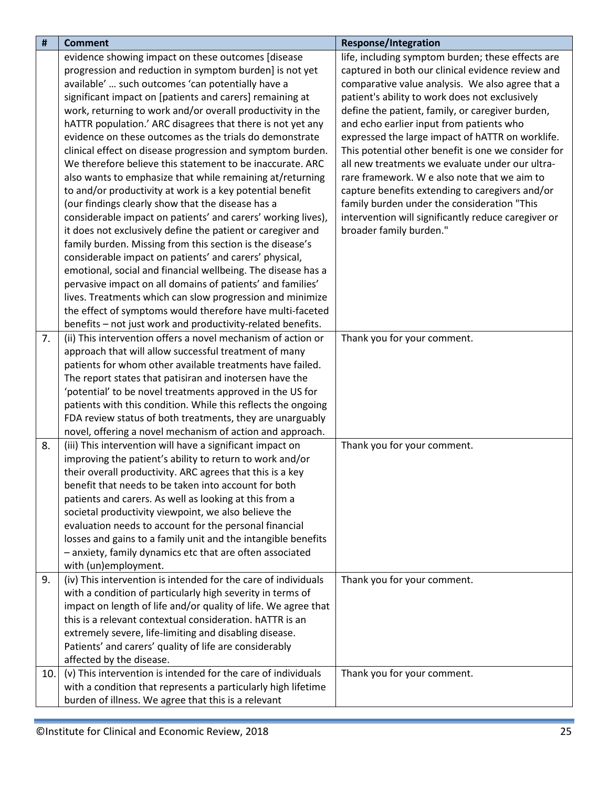| #   | <b>Comment</b>                                                                                                          | <b>Response/Integration</b>                         |
|-----|-------------------------------------------------------------------------------------------------------------------------|-----------------------------------------------------|
|     | evidence showing impact on these outcomes [disease                                                                      | life, including symptom burden; these effects are   |
|     | progression and reduction in symptom burden] is not yet                                                                 | captured in both our clinical evidence review and   |
|     | available'  such outcomes 'can potentially have a                                                                       | comparative value analysis. We also agree that a    |
|     | significant impact on [patients and carers] remaining at                                                                | patient's ability to work does not exclusively      |
|     | work, returning to work and/or overall productivity in the                                                              | define the patient, family, or caregiver burden,    |
|     | hATTR population.' ARC disagrees that there is not yet any                                                              | and echo earlier input from patients who            |
|     | evidence on these outcomes as the trials do demonstrate                                                                 | expressed the large impact of hATTR on worklife.    |
|     | clinical effect on disease progression and symptom burden.                                                              | This potential other benefit is one we consider for |
|     | We therefore believe this statement to be inaccurate. ARC                                                               | all new treatments we evaluate under our ultra-     |
|     | also wants to emphasize that while remaining at/returning                                                               | rare framework. We also note that we aim to         |
|     | to and/or productivity at work is a key potential benefit                                                               | capture benefits extending to caregivers and/or     |
|     | (our findings clearly show that the disease has a                                                                       | family burden under the consideration "This         |
|     | considerable impact on patients' and carers' working lives),                                                            | intervention will significantly reduce caregiver or |
|     | it does not exclusively define the patient or caregiver and                                                             | broader family burden."                             |
|     | family burden. Missing from this section is the disease's                                                               |                                                     |
|     | considerable impact on patients' and carers' physical,                                                                  |                                                     |
|     | emotional, social and financial wellbeing. The disease has a                                                            |                                                     |
|     | pervasive impact on all domains of patients' and families'                                                              |                                                     |
|     | lives. Treatments which can slow progression and minimize                                                               |                                                     |
|     | the effect of symptoms would therefore have multi-faceted                                                               |                                                     |
|     | benefits - not just work and productivity-related benefits.                                                             |                                                     |
| 7.  | (ii) This intervention offers a novel mechanism of action or                                                            | Thank you for your comment.                         |
|     | approach that will allow successful treatment of many                                                                   |                                                     |
|     | patients for whom other available treatments have failed.                                                               |                                                     |
|     | The report states that patisiran and inotersen have the                                                                 |                                                     |
|     | 'potential' to be novel treatments approved in the US for                                                               |                                                     |
|     | patients with this condition. While this reflects the ongoing                                                           |                                                     |
|     | FDA review status of both treatments, they are unarguably                                                               |                                                     |
|     | novel, offering a novel mechanism of action and approach.                                                               |                                                     |
| 8.  | (iii) This intervention will have a significant impact on                                                               | Thank you for your comment.                         |
|     | improving the patient's ability to return to work and/or                                                                |                                                     |
|     | their overall productivity. ARC agrees that this is a key                                                               |                                                     |
|     | benefit that needs to be taken into account for both                                                                    |                                                     |
|     | patients and carers. As well as looking at this from a                                                                  |                                                     |
|     | societal productivity viewpoint, we also believe the                                                                    |                                                     |
|     | evaluation needs to account for the personal financial<br>losses and gains to a family unit and the intangible benefits |                                                     |
|     | - anxiety, family dynamics etc that are often associated                                                                |                                                     |
|     | with (un)employment.                                                                                                    |                                                     |
| 9.  | (iv) This intervention is intended for the care of individuals                                                          | Thank you for your comment.                         |
|     | with a condition of particularly high severity in terms of                                                              |                                                     |
|     | impact on length of life and/or quality of life. We agree that                                                          |                                                     |
|     | this is a relevant contextual consideration. hATTR is an                                                                |                                                     |
|     | extremely severe, life-limiting and disabling disease.                                                                  |                                                     |
|     | Patients' and carers' quality of life are considerably                                                                  |                                                     |
|     | affected by the disease.                                                                                                |                                                     |
| 10. | (v) This intervention is intended for the care of individuals                                                           | Thank you for your comment.                         |
|     | with a condition that represents a particularly high lifetime                                                           |                                                     |
|     | burden of illness. We agree that this is a relevant                                                                     |                                                     |
|     |                                                                                                                         |                                                     |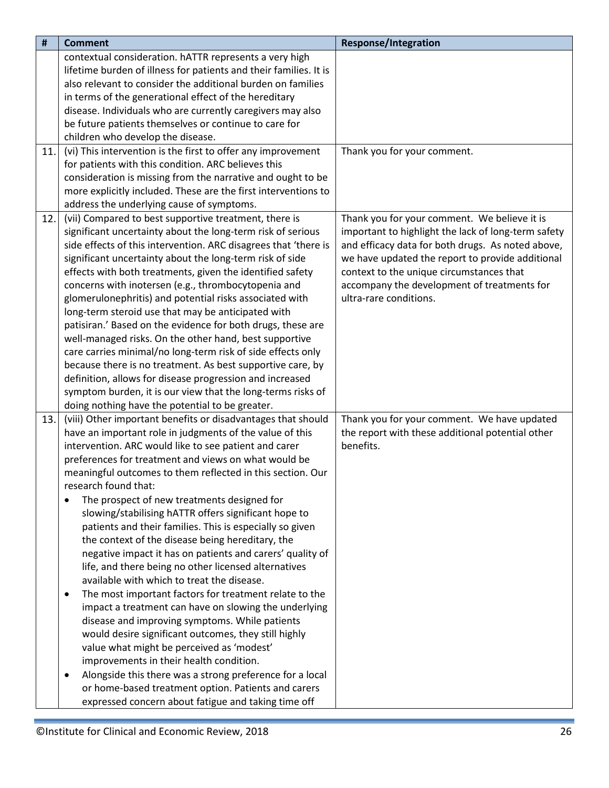| #   | <b>Comment</b>                                                      | <b>Response/Integration</b>                         |
|-----|---------------------------------------------------------------------|-----------------------------------------------------|
|     | contextual consideration. hATTR represents a very high              |                                                     |
|     | lifetime burden of illness for patients and their families. It is   |                                                     |
|     | also relevant to consider the additional burden on families         |                                                     |
|     | in terms of the generational effect of the hereditary               |                                                     |
|     | disease. Individuals who are currently caregivers may also          |                                                     |
|     | be future patients themselves or continue to care for               |                                                     |
|     | children who develop the disease.                                   |                                                     |
| 11. | (vi) This intervention is the first to offer any improvement        | Thank you for your comment.                         |
|     | for patients with this condition. ARC believes this                 |                                                     |
|     | consideration is missing from the narrative and ought to be         |                                                     |
|     | more explicitly included. These are the first interventions to      |                                                     |
|     | address the underlying cause of symptoms.                           |                                                     |
| 12. | (vii) Compared to best supportive treatment, there is               | Thank you for your comment. We believe it is        |
|     | significant uncertainty about the long-term risk of serious         | important to highlight the lack of long-term safety |
|     | side effects of this intervention. ARC disagrees that 'there is     | and efficacy data for both drugs. As noted above,   |
|     | significant uncertainty about the long-term risk of side            | we have updated the report to provide additional    |
|     | effects with both treatments, given the identified safety           | context to the unique circumstances that            |
|     | concerns with inotersen (e.g., thrombocytopenia and                 | accompany the development of treatments for         |
|     | glomerulonephritis) and potential risks associated with             | ultra-rare conditions.                              |
|     | long-term steroid use that may be anticipated with                  |                                                     |
|     | patisiran.' Based on the evidence for both drugs, these are         |                                                     |
|     | well-managed risks. On the other hand, best supportive              |                                                     |
|     | care carries minimal/no long-term risk of side effects only         |                                                     |
|     | because there is no treatment. As best supportive care, by          |                                                     |
|     | definition, allows for disease progression and increased            |                                                     |
|     | symptom burden, it is our view that the long-terms risks of         |                                                     |
|     | doing nothing have the potential to be greater.                     |                                                     |
| 13. | (viii) Other important benefits or disadvantages that should        | Thank you for your comment. We have updated         |
|     | have an important role in judgments of the value of this            | the report with these additional potential other    |
|     | intervention. ARC would like to see patient and carer               | benefits.                                           |
|     | preferences for treatment and views on what would be                |                                                     |
|     | meaningful outcomes to them reflected in this section. Our          |                                                     |
|     | research found that:                                                |                                                     |
|     | The prospect of new treatments designed for<br>$\bullet$            |                                                     |
|     | slowing/stabilising hATTR offers significant hope to                |                                                     |
|     | patients and their families. This is especially so given            |                                                     |
|     | the context of the disease being hereditary, the                    |                                                     |
|     | negative impact it has on patients and carers' quality of           |                                                     |
|     | life, and there being no other licensed alternatives                |                                                     |
|     | available with which to treat the disease.                          |                                                     |
|     | The most important factors for treatment relate to the<br>$\bullet$ |                                                     |
|     | impact a treatment can have on slowing the underlying               |                                                     |
|     | disease and improving symptoms. While patients                      |                                                     |
|     | would desire significant outcomes, they still highly                |                                                     |
|     | value what might be perceived as 'modest'                           |                                                     |
|     | improvements in their health condition.                             |                                                     |
|     | Alongside this there was a strong preference for a local<br>٠       |                                                     |
|     | or home-based treatment option. Patients and carers                 |                                                     |
|     | expressed concern about fatigue and taking time off                 |                                                     |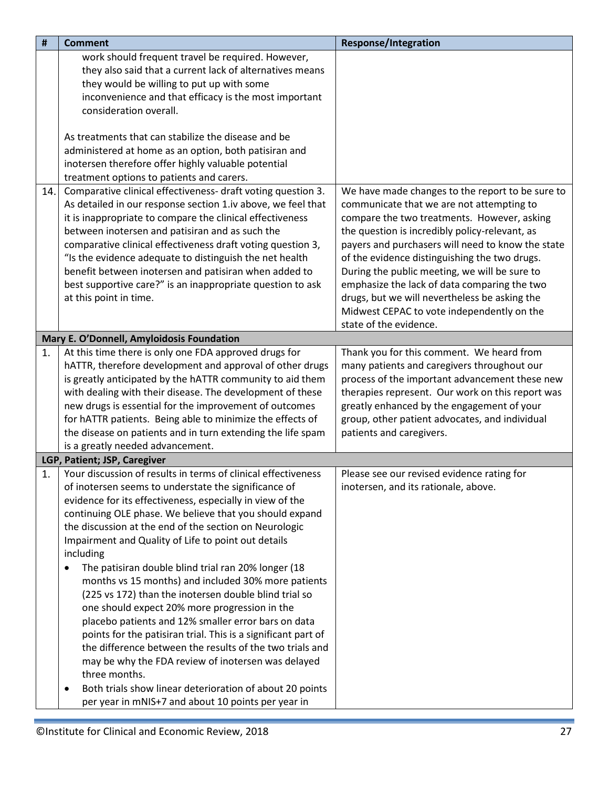<span id="page-26-1"></span><span id="page-26-0"></span>

| #   | <b>Comment</b>                                                        | <b>Response/Integration</b>                       |
|-----|-----------------------------------------------------------------------|---------------------------------------------------|
|     | work should frequent travel be required. However,                     |                                                   |
|     | they also said that a current lack of alternatives means              |                                                   |
|     | they would be willing to put up with some                             |                                                   |
|     | inconvenience and that efficacy is the most important                 |                                                   |
|     | consideration overall.                                                |                                                   |
|     |                                                                       |                                                   |
|     | As treatments that can stabilize the disease and be                   |                                                   |
|     | administered at home as an option, both patisiran and                 |                                                   |
|     | inotersen therefore offer highly valuable potential                   |                                                   |
|     | treatment options to patients and carers.                             |                                                   |
| 14. | Comparative clinical effectiveness- draft voting question 3.          | We have made changes to the report to be sure to  |
|     | As detailed in our response section 1.iv above, we feel that          | communicate that we are not attempting to         |
|     | it is inappropriate to compare the clinical effectiveness             | compare the two treatments. However, asking       |
|     | between inotersen and patisiran and as such the                       | the question is incredibly policy-relevant, as    |
|     | comparative clinical effectiveness draft voting question 3,           | payers and purchasers will need to know the state |
|     | "Is the evidence adequate to distinguish the net health               | of the evidence distinguishing the two drugs.     |
|     | benefit between inotersen and patisiran when added to                 | During the public meeting, we will be sure to     |
|     | best supportive care?" is an inappropriate question to ask            | emphasize the lack of data comparing the two      |
|     | at this point in time.                                                | drugs, but we will nevertheless be asking the     |
|     |                                                                       | Midwest CEPAC to vote independently on the        |
|     |                                                                       | state of the evidence.                            |
|     | Mary E. O'Donnell, Amyloidosis Foundation                             |                                                   |
| 1.  | At this time there is only one FDA approved drugs for                 | Thank you for this comment. We heard from         |
|     | hATTR, therefore development and approval of other drugs              | many patients and caregivers throughout our       |
|     | is greatly anticipated by the hATTR community to aid them             | process of the important advancement these new    |
|     | with dealing with their disease. The development of these             | therapies represent. Our work on this report was  |
|     | new drugs is essential for the improvement of outcomes                | greatly enhanced by the engagement of your        |
|     | for hATTR patients. Being able to minimize the effects of             | group, other patient advocates, and individual    |
|     | the disease on patients and in turn extending the life spam           | patients and caregivers.                          |
|     | is a greatly needed advancement.                                      |                                                   |
|     | LGP, Patient; JSP, Caregiver                                          |                                                   |
| 1.  | Your discussion of results in terms of clinical effectiveness         | Please see our revised evidence rating for        |
|     | of inotersen seems to understate the significance of                  | inotersen, and its rationale, above.              |
|     | evidence for its effectiveness, especially in view of the             |                                                   |
|     | continuing OLE phase. We believe that you should expand               |                                                   |
|     | the discussion at the end of the section on Neurologic                |                                                   |
|     | Impairment and Quality of Life to point out details                   |                                                   |
|     | including                                                             |                                                   |
|     | The patisiran double blind trial ran 20% longer (18<br>$\bullet$      |                                                   |
|     | months vs 15 months) and included 30% more patients                   |                                                   |
|     | (225 vs 172) than the inotersen double blind trial so                 |                                                   |
|     | one should expect 20% more progression in the                         |                                                   |
|     | placebo patients and 12% smaller error bars on data                   |                                                   |
|     | points for the patisiran trial. This is a significant part of         |                                                   |
|     | the difference between the results of the two trials and              |                                                   |
|     | may be why the FDA review of inotersen was delayed                    |                                                   |
|     | three months.                                                         |                                                   |
|     | Both trials show linear deterioration of about 20 points<br>$\bullet$ |                                                   |
|     | per year in mNIS+7 and about 10 points per year in                    |                                                   |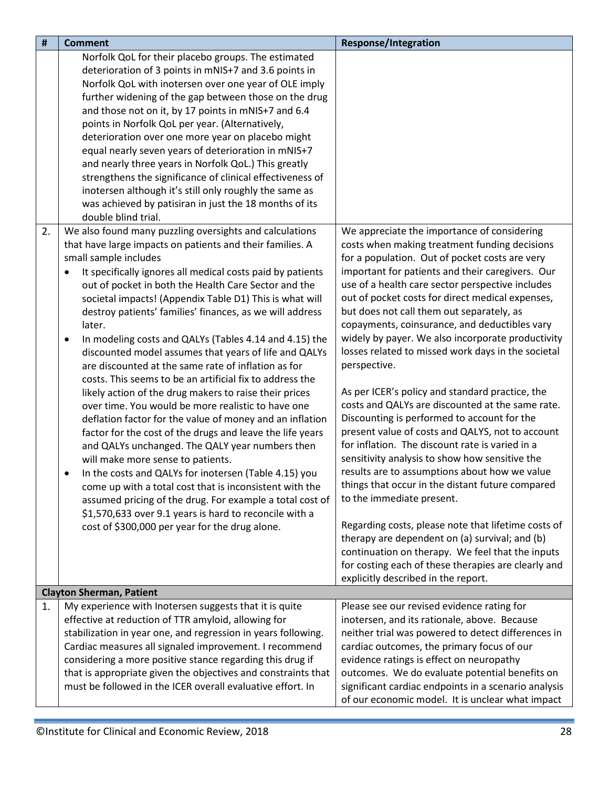<span id="page-27-0"></span>

| #  | <b>Comment</b>                                                                                                       | <b>Response/Integration</b>                                                                   |
|----|----------------------------------------------------------------------------------------------------------------------|-----------------------------------------------------------------------------------------------|
|    | Norfolk QoL for their placebo groups. The estimated                                                                  |                                                                                               |
|    | deterioration of 3 points in mNIS+7 and 3.6 points in                                                                |                                                                                               |
|    | Norfolk QoL with inotersen over one year of OLE imply                                                                |                                                                                               |
|    | further widening of the gap between those on the drug                                                                |                                                                                               |
|    | and those not on it, by 17 points in mNIS+7 and 6.4                                                                  |                                                                                               |
|    | points in Norfolk QoL per year. (Alternatively,                                                                      |                                                                                               |
|    | deterioration over one more year on placebo might                                                                    |                                                                                               |
|    | equal nearly seven years of deterioration in mNIS+7                                                                  |                                                                                               |
|    | and nearly three years in Norfolk QoL.) This greatly                                                                 |                                                                                               |
|    | strengthens the significance of clinical effectiveness of                                                            |                                                                                               |
|    | inotersen although it's still only roughly the same as                                                               |                                                                                               |
|    | was achieved by patisiran in just the 18 months of its                                                               |                                                                                               |
|    | double blind trial.                                                                                                  |                                                                                               |
| 2. | We also found many puzzling oversights and calculations                                                              | We appreciate the importance of considering                                                   |
|    | that have large impacts on patients and their families. A                                                            | costs when making treatment funding decisions                                                 |
|    | small sample includes                                                                                                | for a population. Out of pocket costs are very                                                |
|    | It specifically ignores all medical costs paid by patients<br>$\bullet$                                              | important for patients and their caregivers. Our                                              |
|    | out of pocket in both the Health Care Sector and the                                                                 | use of a health care sector perspective includes                                              |
|    | societal impacts! (Appendix Table D1) This is what will                                                              | out of pocket costs for direct medical expenses,<br>but does not call them out separately, as |
|    | destroy patients' families' finances, as we will address<br>later.                                                   | copayments, coinsurance, and deductibles vary                                                 |
|    |                                                                                                                      | widely by payer. We also incorporate productivity                                             |
|    | In modeling costs and QALYs (Tables 4.14 and 4.15) the<br>٠<br>discounted model assumes that years of life and QALYs | losses related to missed work days in the societal                                            |
|    | are discounted at the same rate of inflation as for                                                                  | perspective.                                                                                  |
|    | costs. This seems to be an artificial fix to address the                                                             |                                                                                               |
|    | likely action of the drug makers to raise their prices                                                               | As per ICER's policy and standard practice, the                                               |
|    | over time. You would be more realistic to have one                                                                   | costs and QALYs are discounted at the same rate.                                              |
|    | deflation factor for the value of money and an inflation                                                             | Discounting is performed to account for the                                                   |
|    | factor for the cost of the drugs and leave the life years                                                            | present value of costs and QALYS, not to account                                              |
|    | and QALYs unchanged. The QALY year numbers then                                                                      | for inflation. The discount rate is varied in a                                               |
|    | will make more sense to patients.                                                                                    | sensitivity analysis to show how sensitive the                                                |
|    | In the costs and QALYs for inotersen (Table 4.15) you<br>$\bullet$                                                   | results are to assumptions about how we value                                                 |
|    | come up with a total cost that is inconsistent with the                                                              | things that occur in the distant future compared                                              |
|    | assumed pricing of the drug. For example a total cost of                                                             | to the immediate present.                                                                     |
|    | \$1,570,633 over 9.1 years is hard to reconcile with a                                                               |                                                                                               |
|    | cost of \$300,000 per year for the drug alone.                                                                       | Regarding costs, please note that lifetime costs of                                           |
|    |                                                                                                                      | therapy are dependent on (a) survival; and (b)                                                |
|    |                                                                                                                      | continuation on therapy. We feel that the inputs                                              |
|    |                                                                                                                      | for costing each of these therapies are clearly and                                           |
|    |                                                                                                                      | explicitly described in the report.                                                           |
|    | <b>Clayton Sherman, Patient</b>                                                                                      | Please see our revised evidence rating for                                                    |
| 1. | My experience with Inotersen suggests that it is quite<br>effective at reduction of TTR amyloid, allowing for        | inotersen, and its rationale, above. Because                                                  |
|    | stabilization in year one, and regression in years following.                                                        | neither trial was powered to detect differences in                                            |
|    | Cardiac measures all signaled improvement. I recommend                                                               | cardiac outcomes, the primary focus of our                                                    |
|    | considering a more positive stance regarding this drug if                                                            | evidence ratings is effect on neuropathy                                                      |
|    | that is appropriate given the objectives and constraints that                                                        | outcomes. We do evaluate potential benefits on                                                |
|    | must be followed in the ICER overall evaluative effort. In                                                           | significant cardiac endpoints in a scenario analysis                                          |
|    |                                                                                                                      | of our economic model. It is unclear what impact                                              |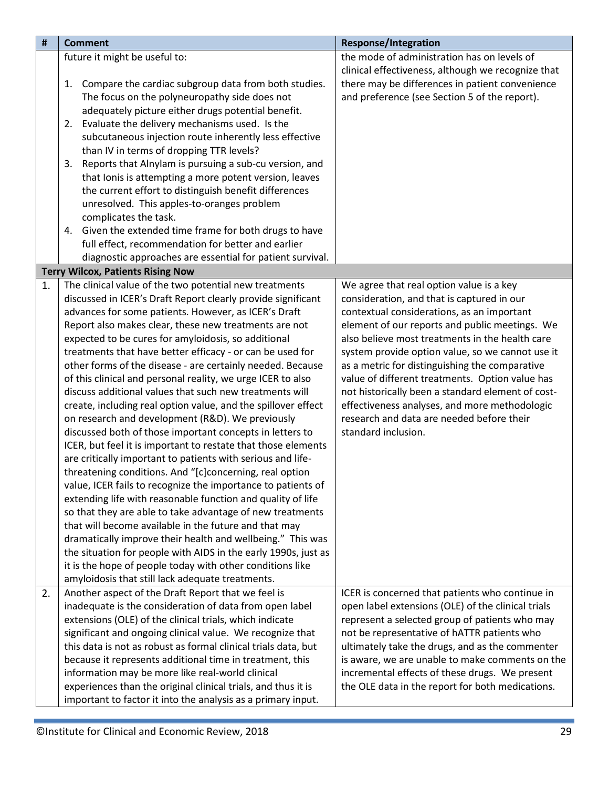<span id="page-28-0"></span>

| $\pmb{\sharp}$ | <b>Comment</b>                                                 | <b>Response/Integration</b>                        |
|----------------|----------------------------------------------------------------|----------------------------------------------------|
|                | future it might be useful to:                                  | the mode of administration has on levels of        |
|                |                                                                | clinical effectiveness, although we recognize that |
|                | Compare the cardiac subgroup data from both studies.<br>1.     | there may be differences in patient convenience    |
|                | The focus on the polyneuropathy side does not                  | and preference (see Section 5 of the report).      |
|                | adequately picture either drugs potential benefit.             |                                                    |
|                | 2. Evaluate the delivery mechanisms used. Is the               |                                                    |
|                | subcutaneous injection route inherently less effective         |                                                    |
|                | than IV in terms of dropping TTR levels?                       |                                                    |
|                | Reports that Alnylam is pursuing a sub-cu version, and<br>3.   |                                                    |
|                | that Ionis is attempting a more potent version, leaves         |                                                    |
|                | the current effort to distinguish benefit differences          |                                                    |
|                | unresolved. This apples-to-oranges problem                     |                                                    |
|                | complicates the task.                                          |                                                    |
|                | 4. Given the extended time frame for both drugs to have        |                                                    |
|                | full effect, recommendation for better and earlier             |                                                    |
|                | diagnostic approaches are essential for patient survival.      |                                                    |
|                | <b>Terry Wilcox, Patients Rising Now</b>                       |                                                    |
| 1.             | The clinical value of the two potential new treatments         | We agree that real option value is a key           |
|                | discussed in ICER's Draft Report clearly provide significant   | consideration, and that is captured in our         |
|                | advances for some patients. However, as ICER's Draft           | contextual considerations, as an important         |
|                | Report also makes clear, these new treatments are not          | element of our reports and public meetings. We     |
|                | expected to be cures for amyloidosis, so additional            | also believe most treatments in the health care    |
|                | treatments that have better efficacy - or can be used for      | system provide option value, so we cannot use it   |
|                | other forms of the disease - are certainly needed. Because     | as a metric for distinguishing the comparative     |
|                | of this clinical and personal reality, we urge ICER to also    | value of different treatments. Option value has    |
|                | discuss additional values that such new treatments will        | not historically been a standard element of cost-  |
|                | create, including real option value, and the spillover effect  | effectiveness analyses, and more methodologic      |
|                | on research and development (R&D). We previously               | research and data are needed before their          |
|                | discussed both of those important concepts in letters to       | standard inclusion.                                |
|                | ICER, but feel it is important to restate that those elements  |                                                    |
|                | are critically important to patients with serious and life-    |                                                    |
|                | threatening conditions. And "[c]concerning, real option        |                                                    |
|                | value, ICER fails to recognize the importance to patients of   |                                                    |
|                | extending life with reasonable function and quality of life    |                                                    |
|                | so that they are able to take advantage of new treatments      |                                                    |
|                | that will become available in the future and that may          |                                                    |
|                | dramatically improve their health and wellbeing." This was     |                                                    |
|                | the situation for people with AIDS in the early 1990s, just as |                                                    |
|                | it is the hope of people today with other conditions like      |                                                    |
|                | amyloidosis that still lack adequate treatments.               |                                                    |
| 2.             | Another aspect of the Draft Report that we feel is             | ICER is concerned that patients who continue in    |
|                | inadequate is the consideration of data from open label        | open label extensions (OLE) of the clinical trials |
|                | extensions (OLE) of the clinical trials, which indicate        | represent a selected group of patients who may     |
|                | significant and ongoing clinical value. We recognize that      | not be representative of hATTR patients who        |
|                | this data is not as robust as formal clinical trials data, but | ultimately take the drugs, and as the commenter    |
|                | because it represents additional time in treatment, this       | is aware, we are unable to make comments on the    |
|                | information may be more like real-world clinical               | incremental effects of these drugs. We present     |
|                | experiences than the original clinical trials, and thus it is  | the OLE data in the report for both medications.   |
|                | important to factor it into the analysis as a primary input.   |                                                    |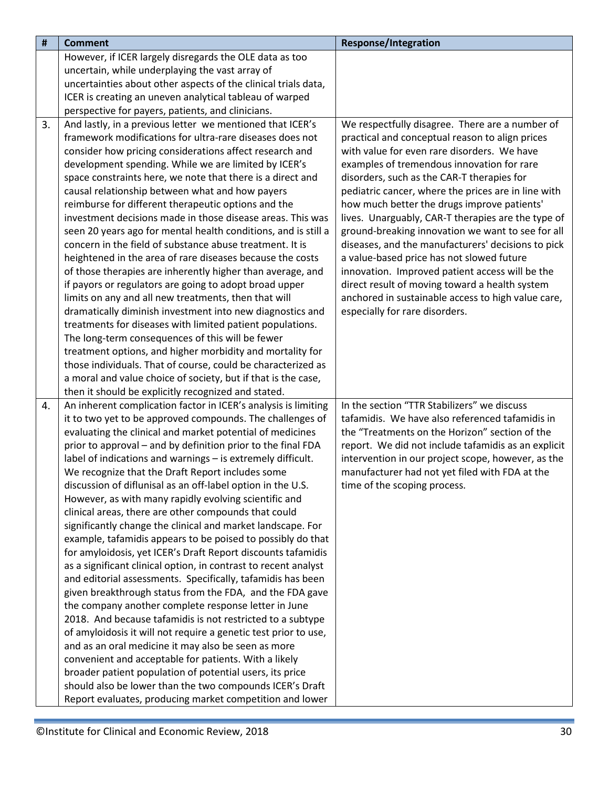| #  | <b>Comment</b>                                                                                                    | <b>Response/Integration</b>                                                          |
|----|-------------------------------------------------------------------------------------------------------------------|--------------------------------------------------------------------------------------|
|    | However, if ICER largely disregards the OLE data as too                                                           |                                                                                      |
|    | uncertain, while underplaying the vast array of                                                                   |                                                                                      |
|    | uncertainties about other aspects of the clinical trials data,                                                    |                                                                                      |
|    | ICER is creating an uneven analytical tableau of warped                                                           |                                                                                      |
|    | perspective for payers, patients, and clinicians.                                                                 |                                                                                      |
| 3. | And lastly, in a previous letter we mentioned that ICER's                                                         | We respectfully disagree. There are a number of                                      |
|    | framework modifications for ultra-rare diseases does not                                                          | practical and conceptual reason to align prices                                      |
|    | consider how pricing considerations affect research and                                                           | with value for even rare disorders. We have                                          |
|    | development spending. While we are limited by ICER's                                                              | examples of tremendous innovation for rare                                           |
|    | space constraints here, we note that there is a direct and                                                        | disorders, such as the CAR-T therapies for                                           |
|    | causal relationship between what and how payers                                                                   | pediatric cancer, where the prices are in line with                                  |
|    | reimburse for different therapeutic options and the                                                               | how much better the drugs improve patients'                                          |
|    | investment decisions made in those disease areas. This was                                                        | lives. Unarguably, CAR-T therapies are the type of                                   |
|    | seen 20 years ago for mental health conditions, and is still a                                                    | ground-breaking innovation we want to see for all                                    |
|    | concern in the field of substance abuse treatment. It is                                                          | diseases, and the manufacturers' decisions to pick                                   |
|    | heightened in the area of rare diseases because the costs                                                         | a value-based price has not slowed future                                            |
|    | of those therapies are inherently higher than average, and                                                        | innovation. Improved patient access will be the                                      |
|    | if payors or regulators are going to adopt broad upper                                                            | direct result of moving toward a health system                                       |
|    | limits on any and all new treatments, then that will<br>dramatically diminish investment into new diagnostics and | anchored in sustainable access to high value care,<br>especially for rare disorders. |
|    | treatments for diseases with limited patient populations.                                                         |                                                                                      |
|    | The long-term consequences of this will be fewer                                                                  |                                                                                      |
|    | treatment options, and higher morbidity and mortality for                                                         |                                                                                      |
|    | those individuals. That of course, could be characterized as                                                      |                                                                                      |
|    | a moral and value choice of society, but if that is the case,                                                     |                                                                                      |
|    | then it should be explicitly recognized and stated.                                                               |                                                                                      |
| 4. | An inherent complication factor in ICER's analysis is limiting                                                    | In the section "TTR Stabilizers" we discuss                                          |
|    | it to two yet to be approved compounds. The challenges of                                                         | tafamidis. We have also referenced tafamidis in                                      |
|    | evaluating the clinical and market potential of medicines                                                         | the "Treatments on the Horizon" section of the                                       |
|    | prior to approval - and by definition prior to the final FDA                                                      | report. We did not include tafamidis as an explicit                                  |
|    | label of indications and warnings - is extremely difficult.                                                       | intervention in our project scope, however, as the                                   |
|    | We recognize that the Draft Report includes some                                                                  | manufacturer had not yet filed with FDA at the                                       |
|    | discussion of diflunisal as an off-label option in the U.S.                                                       | time of the scoping process.                                                         |
|    | However, as with many rapidly evolving scientific and                                                             |                                                                                      |
|    | clinical areas, there are other compounds that could                                                              |                                                                                      |
|    | significantly change the clinical and market landscape. For                                                       |                                                                                      |
|    | example, tafamidis appears to be poised to possibly do that                                                       |                                                                                      |
|    | for amyloidosis, yet ICER's Draft Report discounts tafamidis                                                      |                                                                                      |
|    | as a significant clinical option, in contrast to recent analyst                                                   |                                                                                      |
|    | and editorial assessments. Specifically, tafamidis has been                                                       |                                                                                      |
|    | given breakthrough status from the FDA, and the FDA gave                                                          |                                                                                      |
|    | the company another complete response letter in June                                                              |                                                                                      |
|    | 2018. And because tafamidis is not restricted to a subtype                                                        |                                                                                      |
|    | of amyloidosis it will not require a genetic test prior to use,                                                   |                                                                                      |
|    | and as an oral medicine it may also be seen as more                                                               |                                                                                      |
|    | convenient and acceptable for patients. With a likely                                                             |                                                                                      |
|    | broader patient population of potential users, its price                                                          |                                                                                      |
|    | should also be lower than the two compounds ICER's Draft                                                          |                                                                                      |
|    | Report evaluates, producing market competition and lower                                                          |                                                                                      |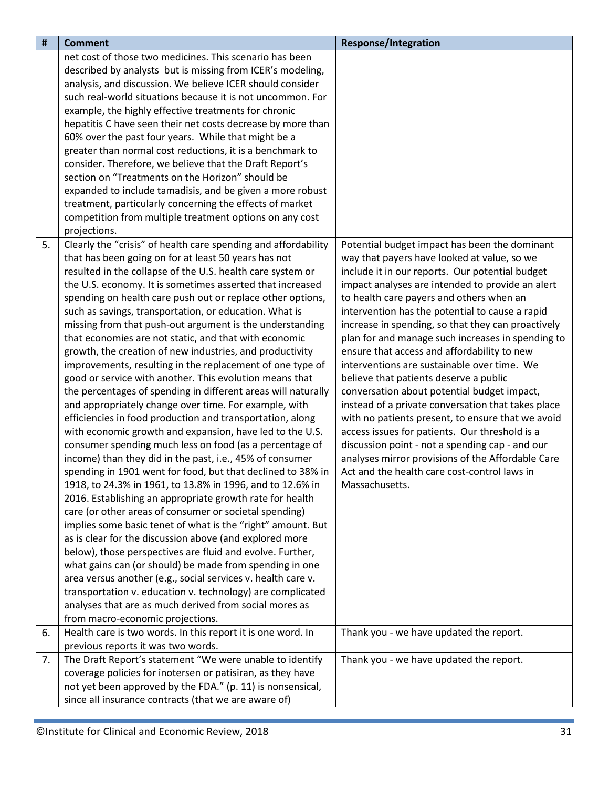| $\pmb{\sharp}$ | <b>Comment</b>                                                                                                     | <b>Response/Integration</b>                        |
|----------------|--------------------------------------------------------------------------------------------------------------------|----------------------------------------------------|
|                | net cost of those two medicines. This scenario has been                                                            |                                                    |
|                | described by analysts but is missing from ICER's modeling,                                                         |                                                    |
|                | analysis, and discussion. We believe ICER should consider                                                          |                                                    |
|                | such real-world situations because it is not uncommon. For                                                         |                                                    |
|                | example, the highly effective treatments for chronic                                                               |                                                    |
|                | hepatitis C have seen their net costs decrease by more than                                                        |                                                    |
|                | 60% over the past four years. While that might be a                                                                |                                                    |
|                | greater than normal cost reductions, it is a benchmark to                                                          |                                                    |
|                | consider. Therefore, we believe that the Draft Report's                                                            |                                                    |
|                | section on "Treatments on the Horizon" should be                                                                   |                                                    |
|                | expanded to include tamadisis, and be given a more robust                                                          |                                                    |
|                | treatment, particularly concerning the effects of market                                                           |                                                    |
|                | competition from multiple treatment options on any cost                                                            |                                                    |
|                | projections.                                                                                                       |                                                    |
| 5.             | Clearly the "crisis" of health care spending and affordability                                                     | Potential budget impact has been the dominant      |
|                | that has been going on for at least 50 years has not                                                               | way that payers have looked at value, so we        |
|                | resulted in the collapse of the U.S. health care system or                                                         | include it in our reports. Our potential budget    |
|                | the U.S. economy. It is sometimes asserted that increased                                                          | impact analyses are intended to provide an alert   |
|                | spending on health care push out or replace other options,                                                         | to health care payers and others when an           |
|                | such as savings, transportation, or education. What is                                                             | intervention has the potential to cause a rapid    |
|                | missing from that push-out argument is the understanding                                                           | increase in spending, so that they can proactively |
|                | that economies are not static, and that with economic                                                              | plan for and manage such increases in spending to  |
|                | growth, the creation of new industries, and productivity                                                           | ensure that access and affordability to new        |
|                | improvements, resulting in the replacement of one type of                                                          | interventions are sustainable over time. We        |
|                | good or service with another. This evolution means that                                                            | believe that patients deserve a public             |
|                | the percentages of spending in different areas will naturally                                                      | conversation about potential budget impact,        |
|                | and appropriately change over time. For example, with                                                              | instead of a private conversation that takes place |
|                | efficiencies in food production and transportation, along                                                          | with no patients present, to ensure that we avoid  |
|                | with economic growth and expansion, have led to the U.S.                                                           | access issues for patients. Our threshold is a     |
|                | consumer spending much less on food (as a percentage of                                                            | discussion point - not a spending cap - and our    |
|                | income) than they did in the past, i.e., 45% of consumer                                                           | analyses mirror provisions of the Affordable Care  |
|                | spending in 1901 went for food, but that declined to 38% in                                                        | Act and the health care cost-control laws in       |
|                | 1918, to 24.3% in 1961, to 13.8% in 1996, and to 12.6% in                                                          | Massachusetts.                                     |
|                | 2016. Establishing an appropriate growth rate for health<br>care (or other areas of consumer or societal spending) |                                                    |
|                | implies some basic tenet of what is the "right" amount. But                                                        |                                                    |
|                | as is clear for the discussion above (and explored more                                                            |                                                    |
|                | below), those perspectives are fluid and evolve. Further,                                                          |                                                    |
|                | what gains can (or should) be made from spending in one                                                            |                                                    |
|                | area versus another (e.g., social services v. health care v.                                                       |                                                    |
|                | transportation v. education v. technology) are complicated                                                         |                                                    |
|                | analyses that are as much derived from social mores as                                                             |                                                    |
|                | from macro-economic projections.                                                                                   |                                                    |
| 6.             | Health care is two words. In this report it is one word. In                                                        | Thank you - we have updated the report.            |
|                | previous reports it was two words.                                                                                 |                                                    |
| 7.             | The Draft Report's statement "We were unable to identify                                                           | Thank you - we have updated the report.            |
|                | coverage policies for inotersen or patisiran, as they have                                                         |                                                    |
|                | not yet been approved by the FDA." (p. 11) is nonsensical,                                                         |                                                    |
|                | since all insurance contracts (that we are aware of)                                                               |                                                    |
|                |                                                                                                                    |                                                    |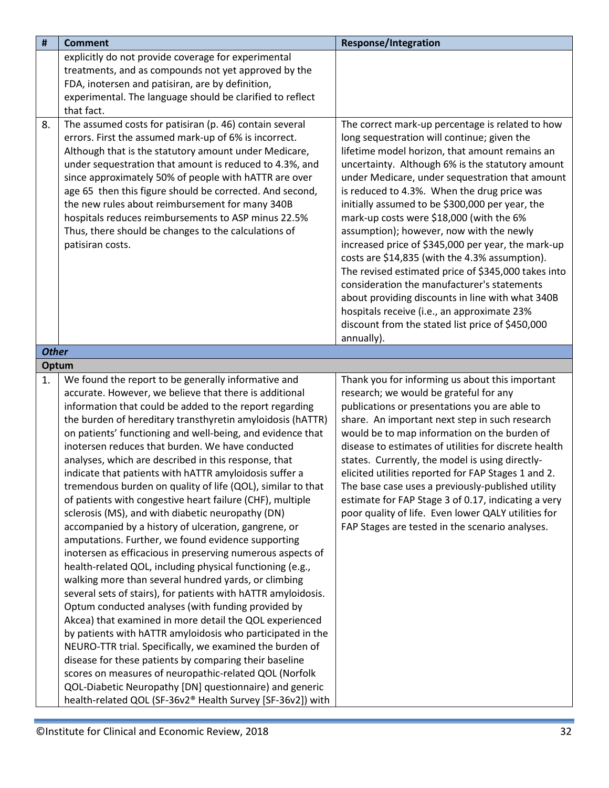<span id="page-31-1"></span><span id="page-31-0"></span>

| $\pmb{\sharp}$ | <b>Comment</b>                                                                                                                                                                                                                                                                                                                                                                                                                                                                                                                                                                                                                                                                                                                                                                                                                                                                                                                                                                                                                                                                                                                                                                                                                                                                                                                                                                                                                                                                                                        | <b>Response/Integration</b>                                                                                                                                                                                                                                                                                                                                                                                                                                                                                                                                                                                                                                                                                                                                                                                                           |
|----------------|-----------------------------------------------------------------------------------------------------------------------------------------------------------------------------------------------------------------------------------------------------------------------------------------------------------------------------------------------------------------------------------------------------------------------------------------------------------------------------------------------------------------------------------------------------------------------------------------------------------------------------------------------------------------------------------------------------------------------------------------------------------------------------------------------------------------------------------------------------------------------------------------------------------------------------------------------------------------------------------------------------------------------------------------------------------------------------------------------------------------------------------------------------------------------------------------------------------------------------------------------------------------------------------------------------------------------------------------------------------------------------------------------------------------------------------------------------------------------------------------------------------------------|---------------------------------------------------------------------------------------------------------------------------------------------------------------------------------------------------------------------------------------------------------------------------------------------------------------------------------------------------------------------------------------------------------------------------------------------------------------------------------------------------------------------------------------------------------------------------------------------------------------------------------------------------------------------------------------------------------------------------------------------------------------------------------------------------------------------------------------|
|                | explicitly do not provide coverage for experimental                                                                                                                                                                                                                                                                                                                                                                                                                                                                                                                                                                                                                                                                                                                                                                                                                                                                                                                                                                                                                                                                                                                                                                                                                                                                                                                                                                                                                                                                   |                                                                                                                                                                                                                                                                                                                                                                                                                                                                                                                                                                                                                                                                                                                                                                                                                                       |
|                | treatments, and as compounds not yet approved by the<br>FDA, inotersen and patisiran, are by definition,                                                                                                                                                                                                                                                                                                                                                                                                                                                                                                                                                                                                                                                                                                                                                                                                                                                                                                                                                                                                                                                                                                                                                                                                                                                                                                                                                                                                              |                                                                                                                                                                                                                                                                                                                                                                                                                                                                                                                                                                                                                                                                                                                                                                                                                                       |
|                | experimental. The language should be clarified to reflect                                                                                                                                                                                                                                                                                                                                                                                                                                                                                                                                                                                                                                                                                                                                                                                                                                                                                                                                                                                                                                                                                                                                                                                                                                                                                                                                                                                                                                                             |                                                                                                                                                                                                                                                                                                                                                                                                                                                                                                                                                                                                                                                                                                                                                                                                                                       |
|                | that fact.                                                                                                                                                                                                                                                                                                                                                                                                                                                                                                                                                                                                                                                                                                                                                                                                                                                                                                                                                                                                                                                                                                                                                                                                                                                                                                                                                                                                                                                                                                            |                                                                                                                                                                                                                                                                                                                                                                                                                                                                                                                                                                                                                                                                                                                                                                                                                                       |
| 8.             | The assumed costs for patisiran (p. 46) contain several<br>errors. First the assumed mark-up of 6% is incorrect.<br>Although that is the statutory amount under Medicare,<br>under sequestration that amount is reduced to 4.3%, and<br>since approximately 50% of people with hATTR are over<br>age 65 then this figure should be corrected. And second,<br>the new rules about reimbursement for many 340B<br>hospitals reduces reimbursements to ASP minus 22.5%<br>Thus, there should be changes to the calculations of<br>patisiran costs.                                                                                                                                                                                                                                                                                                                                                                                                                                                                                                                                                                                                                                                                                                                                                                                                                                                                                                                                                                       | The correct mark-up percentage is related to how<br>long sequestration will continue; given the<br>lifetime model horizon, that amount remains an<br>uncertainty. Although 6% is the statutory amount<br>under Medicare, under sequestration that amount<br>is reduced to 4.3%. When the drug price was<br>initially assumed to be \$300,000 per year, the<br>mark-up costs were \$18,000 (with the 6%<br>assumption); however, now with the newly<br>increased price of \$345,000 per year, the mark-up<br>costs are \$14,835 (with the 4.3% assumption).<br>The revised estimated price of \$345,000 takes into<br>consideration the manufacturer's statements<br>about providing discounts in line with what 340B<br>hospitals receive (i.e., an approximate 23%<br>discount from the stated list price of \$450,000<br>annually). |
| <b>Other</b>   |                                                                                                                                                                                                                                                                                                                                                                                                                                                                                                                                                                                                                                                                                                                                                                                                                                                                                                                                                                                                                                                                                                                                                                                                                                                                                                                                                                                                                                                                                                                       |                                                                                                                                                                                                                                                                                                                                                                                                                                                                                                                                                                                                                                                                                                                                                                                                                                       |
| Optum          |                                                                                                                                                                                                                                                                                                                                                                                                                                                                                                                                                                                                                                                                                                                                                                                                                                                                                                                                                                                                                                                                                                                                                                                                                                                                                                                                                                                                                                                                                                                       |                                                                                                                                                                                                                                                                                                                                                                                                                                                                                                                                                                                                                                                                                                                                                                                                                                       |
| 1.             | We found the report to be generally informative and<br>accurate. However, we believe that there is additional<br>information that could be added to the report regarding<br>the burden of hereditary transthyretin amyloidosis (hATTR)<br>on patients' functioning and well-being, and evidence that<br>inotersen reduces that burden. We have conducted<br>analyses, which are described in this response, that<br>indicate that patients with hATTR amyloidosis suffer a<br>tremendous burden on quality of life (QOL), similar to that<br>of patients with congestive heart failure (CHF), multiple<br>sclerosis (MS), and with diabetic neuropathy (DN)<br>accompanied by a history of ulceration, gangrene, or<br>amputations. Further, we found evidence supporting<br>inotersen as efficacious in preserving numerous aspects of<br>health-related QOL, including physical functioning (e.g.,<br>walking more than several hundred yards, or climbing<br>several sets of stairs), for patients with hATTR amyloidosis.<br>Optum conducted analyses (with funding provided by<br>Akcea) that examined in more detail the QOL experienced<br>by patients with hATTR amyloidosis who participated in the<br>NEURO-TTR trial. Specifically, we examined the burden of<br>disease for these patients by comparing their baseline<br>scores on measures of neuropathic-related QOL (Norfolk<br>QOL-Diabetic Neuropathy [DN] questionnaire) and generic<br>health-related QOL (SF-36v2® Health Survey [SF-36v2]) with | Thank you for informing us about this important<br>research; we would be grateful for any<br>publications or presentations you are able to<br>share. An important next step in such research<br>would be to map information on the burden of<br>disease to estimates of utilities for discrete health<br>states. Currently, the model is using directly-<br>elicited utilities reported for FAP Stages 1 and 2.<br>The base case uses a previously-published utility<br>estimate for FAP Stage 3 of 0.17, indicating a very<br>poor quality of life. Even lower QALY utilities for<br>FAP Stages are tested in the scenario analyses.                                                                                                                                                                                                 |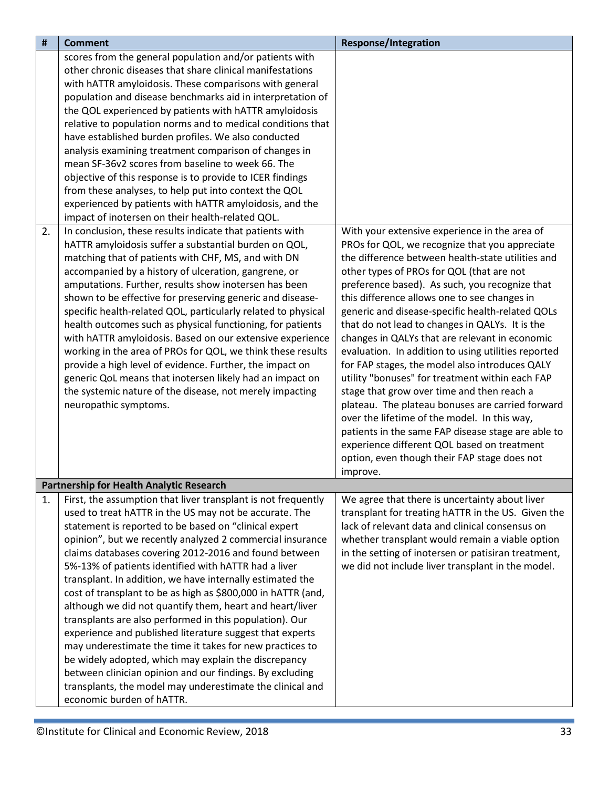<span id="page-32-0"></span>

| $\pmb{\sharp}$ | <b>Comment</b>                                                | <b>Response/Integration</b>                         |
|----------------|---------------------------------------------------------------|-----------------------------------------------------|
|                | scores from the general population and/or patients with       |                                                     |
|                | other chronic diseases that share clinical manifestations     |                                                     |
|                | with hATTR amyloidosis. These comparisons with general        |                                                     |
|                | population and disease benchmarks aid in interpretation of    |                                                     |
|                | the QOL experienced by patients with hATTR amyloidosis        |                                                     |
|                | relative to population norms and to medical conditions that   |                                                     |
|                | have established burden profiles. We also conducted           |                                                     |
|                | analysis examining treatment comparison of changes in         |                                                     |
|                | mean SF-36v2 scores from baseline to week 66. The             |                                                     |
|                | objective of this response is to provide to ICER findings     |                                                     |
|                | from these analyses, to help put into context the QOL         |                                                     |
|                | experienced by patients with hATTR amyloidosis, and the       |                                                     |
|                | impact of inotersen on their health-related QOL.              |                                                     |
| 2.             | In conclusion, these results indicate that patients with      | With your extensive experience in the area of       |
|                | hATTR amyloidosis suffer a substantial burden on QOL,         | PROs for QOL, we recognize that you appreciate      |
|                | matching that of patients with CHF, MS, and with DN           | the difference between health-state utilities and   |
|                | accompanied by a history of ulceration, gangrene, or          | other types of PROs for QOL (that are not           |
|                | amputations. Further, results show inotersen has been         | preference based). As such, you recognize that      |
|                | shown to be effective for preserving generic and disease-     | this difference allows one to see changes in        |
|                | specific health-related QOL, particularly related to physical | generic and disease-specific health-related QOLs    |
|                | health outcomes such as physical functioning, for patients    | that do not lead to changes in QALYs. It is the     |
|                | with hATTR amyloidosis. Based on our extensive experience     | changes in QALYs that are relevant in economic      |
|                | working in the area of PROs for QOL, we think these results   | evaluation. In addition to using utilities reported |
|                | provide a high level of evidence. Further, the impact on      | for FAP stages, the model also introduces QALY      |
|                | generic QoL means that inotersen likely had an impact on      | utility "bonuses" for treatment within each FAP     |
|                | the systemic nature of the disease, not merely impacting      | stage that grow over time and then reach a          |
|                | neuropathic symptoms.                                         | plateau. The plateau bonuses are carried forward    |
|                |                                                               | over the lifetime of the model. In this way,        |
|                |                                                               | patients in the same FAP disease stage are able to  |
|                |                                                               | experience different QOL based on treatment         |
|                |                                                               | option, even though their FAP stage does not        |
|                |                                                               | improve.                                            |
|                | <b>Partnership for Health Analytic Research</b>               |                                                     |
| 1.             | First, the assumption that liver transplant is not frequently | We agree that there is uncertainty about liver      |
|                | used to treat hATTR in the US may not be accurate. The        | transplant for treating hATTR in the US. Given the  |
|                | statement is reported to be based on "clinical expert         | lack of relevant data and clinical consensus on     |
|                | opinion", but we recently analyzed 2 commercial insurance     | whether transplant would remain a viable option     |
|                | claims databases covering 2012-2016 and found between         | in the setting of inotersen or patisiran treatment, |
|                | 5%-13% of patients identified with hATTR had a liver          | we did not include liver transplant in the model.   |
|                | transplant. In addition, we have internally estimated the     |                                                     |
|                | cost of transplant to be as high as \$800,000 in hATTR (and,  |                                                     |
|                | although we did not quantify them, heart and heart/liver      |                                                     |
|                | transplants are also performed in this population). Our       |                                                     |
|                | experience and published literature suggest that experts      |                                                     |
|                | may underestimate the time it takes for new practices to      |                                                     |
|                | be widely adopted, which may explain the discrepancy          |                                                     |
|                | between clinician opinion and our findings. By excluding      |                                                     |
|                | transplants, the model may underestimate the clinical and     |                                                     |
|                | economic burden of hATTR.                                     |                                                     |